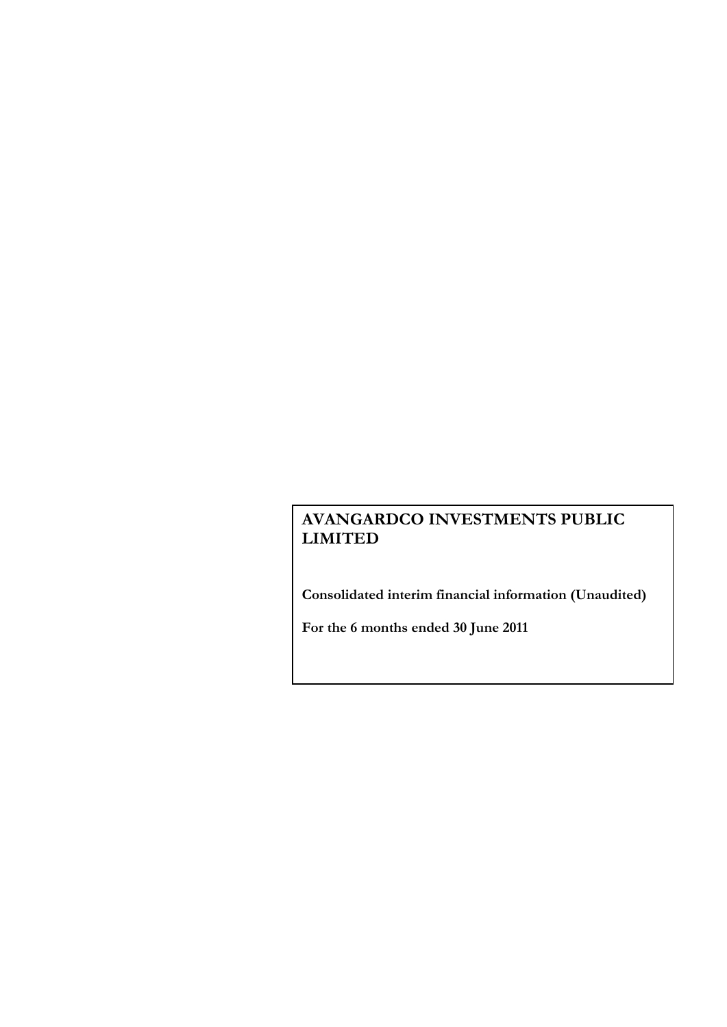**Consolidated interim financial information (Unaudited)** 

**For the 6 months ended 30 June 2011**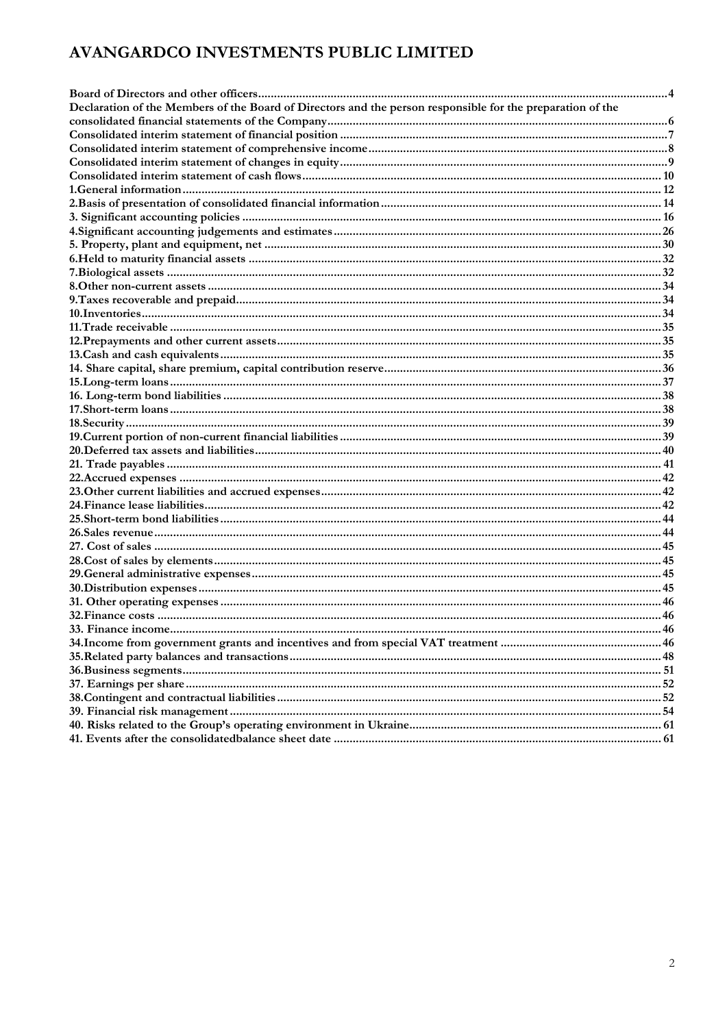| Declaration of the Members of the Board of Directors and the person responsible for the preparation of the |  |
|------------------------------------------------------------------------------------------------------------|--|
|                                                                                                            |  |
|                                                                                                            |  |
|                                                                                                            |  |
|                                                                                                            |  |
|                                                                                                            |  |
|                                                                                                            |  |
|                                                                                                            |  |
|                                                                                                            |  |
|                                                                                                            |  |
|                                                                                                            |  |
|                                                                                                            |  |
|                                                                                                            |  |
|                                                                                                            |  |
|                                                                                                            |  |
|                                                                                                            |  |
|                                                                                                            |  |
|                                                                                                            |  |
|                                                                                                            |  |
|                                                                                                            |  |
|                                                                                                            |  |
|                                                                                                            |  |
|                                                                                                            |  |
|                                                                                                            |  |
|                                                                                                            |  |
|                                                                                                            |  |
|                                                                                                            |  |
|                                                                                                            |  |
|                                                                                                            |  |
|                                                                                                            |  |
|                                                                                                            |  |
|                                                                                                            |  |
|                                                                                                            |  |
|                                                                                                            |  |
|                                                                                                            |  |
|                                                                                                            |  |
|                                                                                                            |  |
|                                                                                                            |  |
|                                                                                                            |  |
|                                                                                                            |  |
|                                                                                                            |  |
|                                                                                                            |  |
|                                                                                                            |  |
|                                                                                                            |  |
|                                                                                                            |  |
|                                                                                                            |  |
|                                                                                                            |  |
|                                                                                                            |  |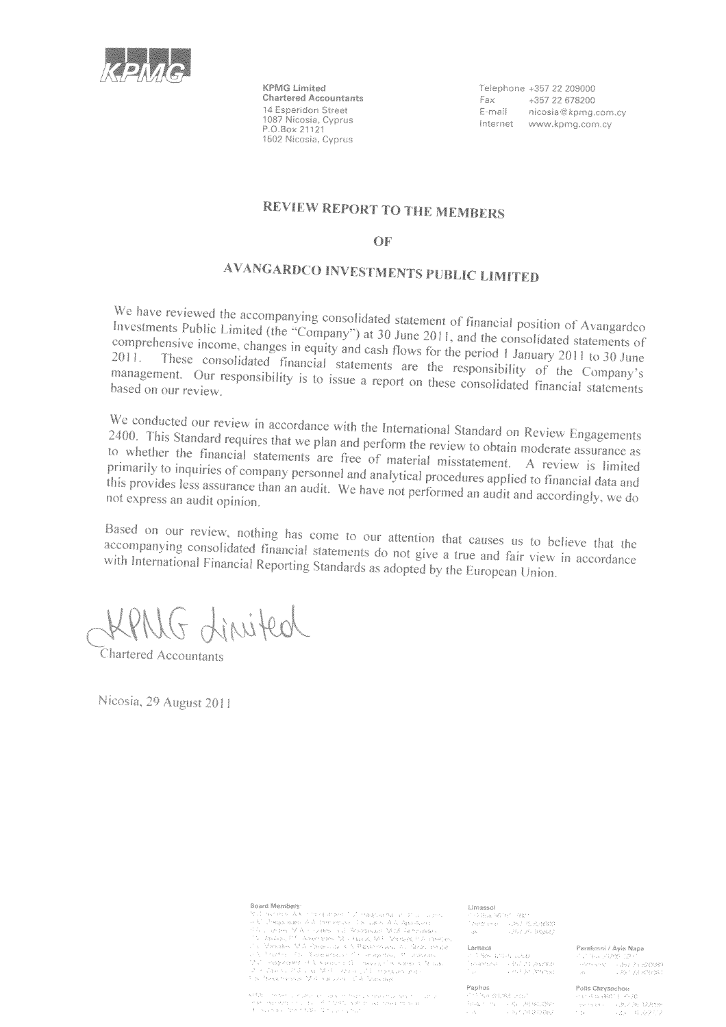

**KPMG Limited Chartered Accountants** 14 Esperidon Street 1087 Nicosia, Cyprus P.O.Box 21121 1502 Nicosia, Cyprus

Telephone +357 22 209000 Fax +357 22 678200 E-mail nicosia@kpmg.com.cy Internet www.kpmg.com.cy

# REVIEW REPORT TO THE MEMBERS

#### OF

# **AVANGARDCO INVESTMENTS PUBLIC LIMITED**

We have reviewed the accompanying consolidated statement of financial position of Avangardco Investments Public Limited (the "Company") at 30 June 2011, and the consolidated statements of comprehensive income, changes in equity and cash flows for the period 1 January 2011 to 30 June These consolidated financial statements are the responsibility of the Company's management. Our responsibility is to issue a report on these consolidated financial statements based on our review.

We conducted our review in accordance with the International Standard on Review Engagements 2400. This Standard requires that we plan and perform the review to obtain moderate assurance as to whether the financial statements are free of material misstatement. A review is limited primarily to inquiries of company personnel and analytical procedures applied to financial data and this provides less assurance than an audit. We have not performed an audit and accordingly, we do not express an audit opinion.

Based on our review, nothing has come to our attention that causes us to believe that the accompanying consolidated financial statements do not give a true and fair view in accordance with International Financial Reporting Standards as adopted by the European Union.

Jostinito i

Chartered Accountants

Nicosia, 29 August 2011

#### Royer Marchare

**Board Members:**<br>  $\mathcal{R} = \mathcal{R} \cup \{0, 1\}$  of the people of the conduction of the conduction of A. A temperature of A. A Apartments<br>  $\mathcal{R} = \mathcal{R} \cup \{0, 1\}$  of the effects of a space A.A. Apartments<br>  $\mathcal{R} = \mathcal{R} \cup \{$ 

ktige i mitar viki verkende av andre den andre maden der den i verken<br>I med med avsende and den i minister vikingen verkende var maden verkende.<br>I film den en først fløfall 1997 var dynam.

#### Limassot

Panhos

states<br>Sidak 50161 - 9821 

lielander († 1942) 1. januari (†<br>1. juli - John Politika († 1939)

i<br>Katendari 1970 

**Larnaca**<br>21 Mesi Walio Wale

#### Paralimni / Ayia Napa

i Bucistové it is interested om<br>Teoresed – Edd 23 BDD89<br>Tap  $\langle \mathcal{B}^{\pm} \rangle$  .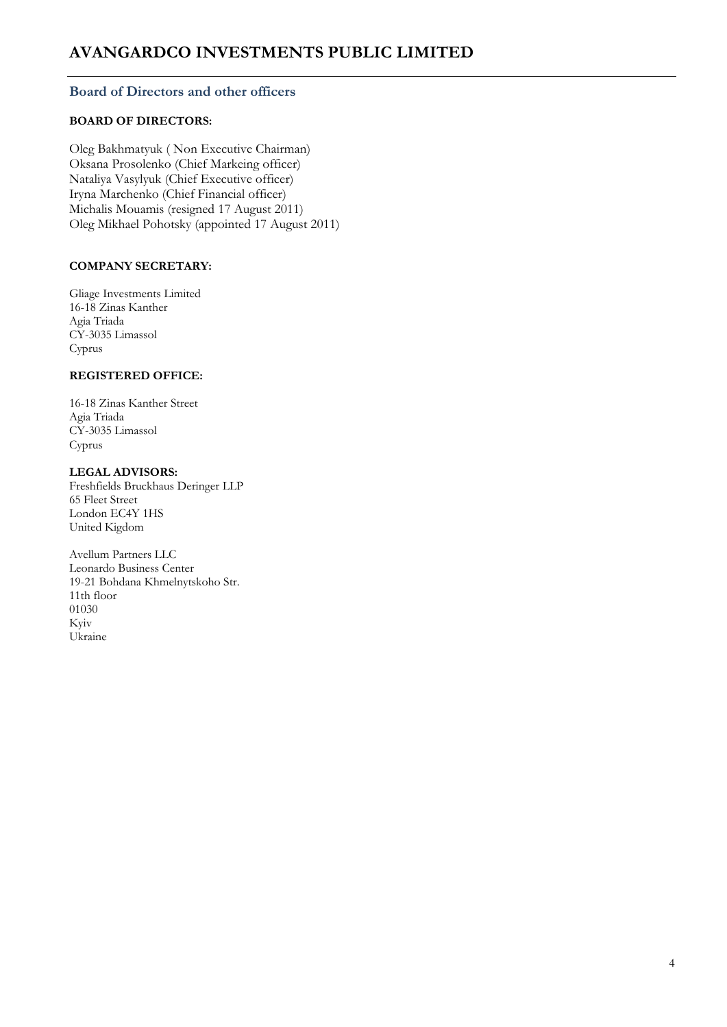# **Board of Directors and other officers**

## **BOARD OF DIRECTORS:**

Oleg Bakhmatyuk ( Non Executive Chairman) Oksana Prosolenko (Chief Markeing officer) Nataliya Vasylyuk (Chief Executive officer) Iryna Marchenko (Chief Financial officer) Michalis Mouamis (resigned 17 August 2011) Oleg Mikhael Pohotsky (appointed 17 August 2011)

### **COMPANY SECRETARY:**

Gliage Investments Limited 16-18 Zinas Kanther Agia Triada CY-3035 Limassol Cyprus

## **REGISTERED OFFICE:**

16-18 Zinas Kanther Street Agia Triada CY-3035 Limassol Cyprus

#### **LEGAL ADVISORS:**

Freshfields Bruckhaus Deringer LLP 65 Fleet Street London EC4Y 1HS United Kigdom

Avellum Partners LLC Leonardo Business Center 19-21 Bohdana Khmelnytskoho Str. 11th floor 01030 Kyiv Ukraine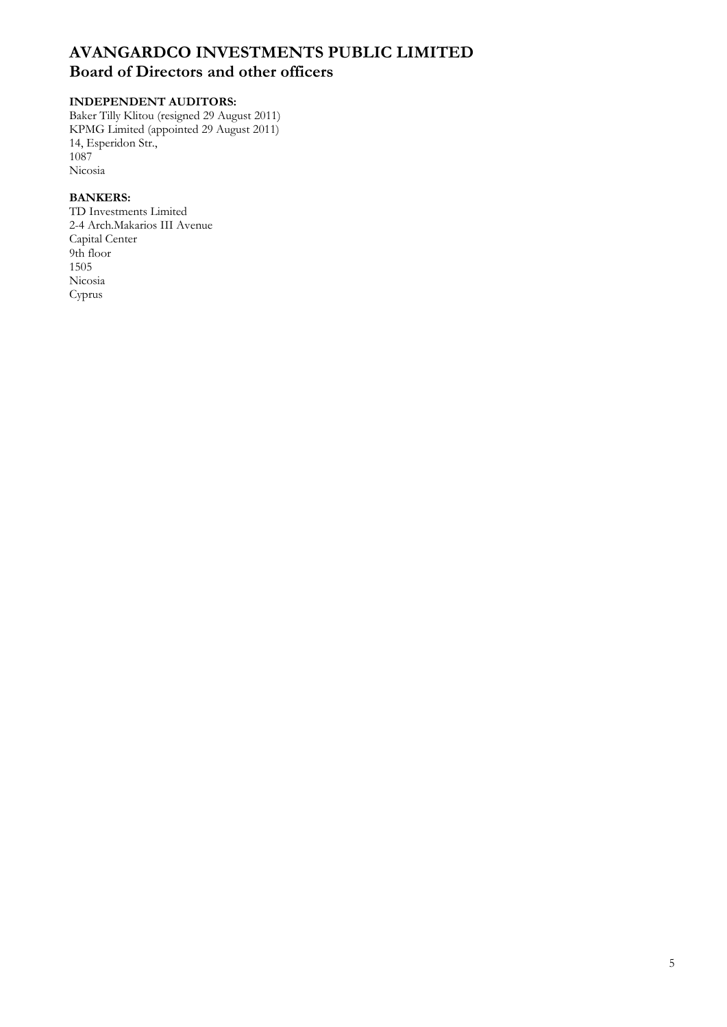# **AVANGARDCO INVESTMENTS PUBLIC LIMITED Board of Directors and other officers**

# **INDEPENDENT AUDITORS:**

Baker Tilly Klitou (resigned 29 August 2011) KPMG Limited (appointed 29 August 2011) 14, Esperidon Str.,  $1087$ Nicosia

# **BANKERS:**

TD Investments Limited 2-4 Arch.Makarios III Avenue Capital Center 9th floor 1505 Nicosia Cyprus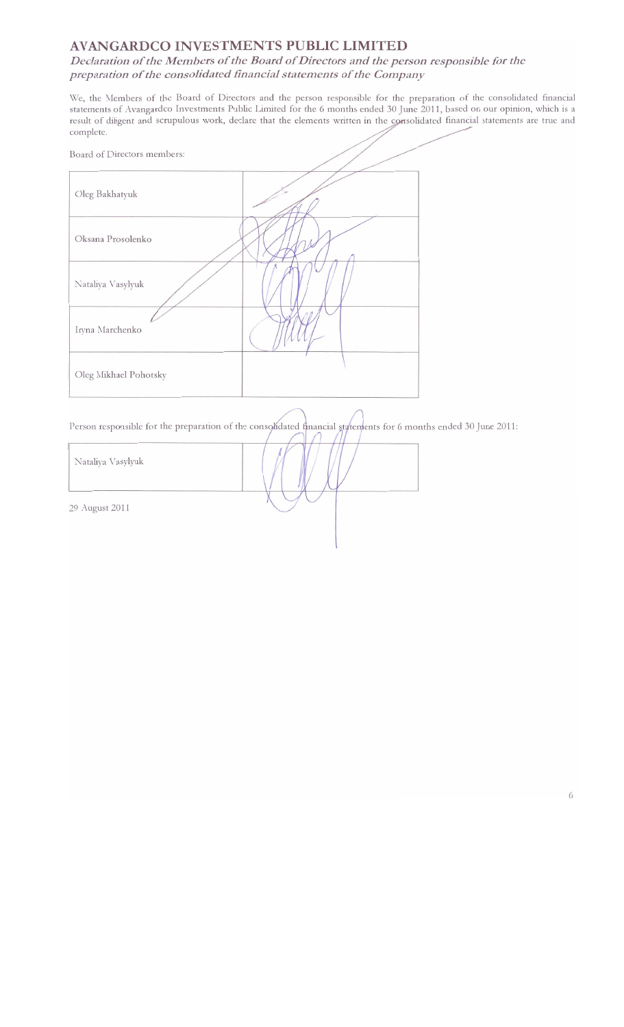Declaration of the Members of the Board of Directors and the person responsible for the preparation of the consolidated financial statements of the Company

We, the Members of the Board of Directors and the person responsible for the preparation of the consolidated financial<br>statements of Avangardco Investments Public Limited for the 6 months ended 30 June 2011, based on our o result of diligent and scrupulous work, declare that the elements written in the consolidated financial statements are true and complete.

| Board of Directors members: |  |
|-----------------------------|--|
| Oleg Bakhatyuk              |  |
| Oksana Prosolenko           |  |
| Nataliya Vasylyuk           |  |
| Iryna Marchenko             |  |
| Oleg Mikhael Pohotsky       |  |

Person responsible for the preparation of the consolidated financial statements for 6 months ended 30 June 2011:

| Nataliya Vasylyuk |  |
|-------------------|--|
| 29 August 2011    |  |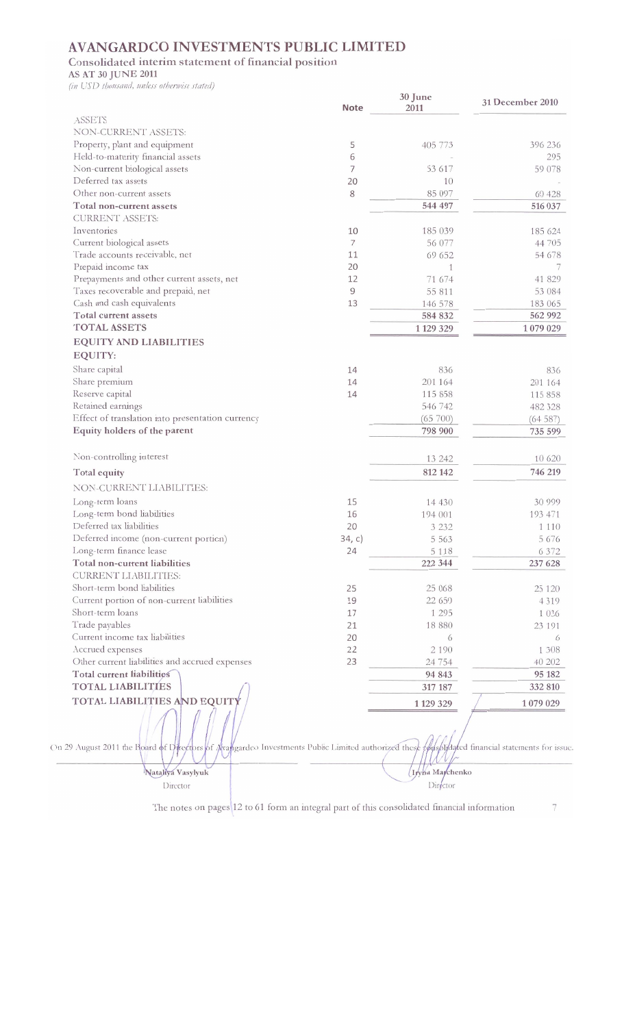Consolidated interim statement of financial position

AS AT 30 JUNE 2011

(in USD thousand, unless otherwise stated)

|                                                                                                                                                    | <b>Note</b>    | <i>s</i> <sup>0</sup> June<br>2011 | 31 December 2010 |
|----------------------------------------------------------------------------------------------------------------------------------------------------|----------------|------------------------------------|------------------|
| ASSETS                                                                                                                                             |                |                                    |                  |
| NON-CURRENT ASSETS:                                                                                                                                |                |                                    |                  |
| Property, plant and equipment                                                                                                                      | 5              | 405 773                            | 396 236          |
| Held-to-maturity financial assets                                                                                                                  | 6              |                                    | 295              |
| Non-current biological assets                                                                                                                      | 7              | 53 617                             | 59 078           |
| Deferred tax assets                                                                                                                                | 20             | 10                                 |                  |
| Other non-current assets                                                                                                                           | 8              | 85 097                             | 60 428           |
| Total non-current assets<br><b>CURRENT ASSETS:</b>                                                                                                 |                | 544 497                            | 516 037          |
| Inventories                                                                                                                                        | 10             | 185 039                            | 185 624          |
| Current biological assets                                                                                                                          | $\overline{7}$ | 56 077                             | 44 705           |
| Trade accounts receivable, net                                                                                                                     | 11             | 69 652                             | 54 678           |
| Prepaid income tax                                                                                                                                 | 20             | 1                                  | 7                |
| Prepayments and other current assets, net                                                                                                          | 12             | 71 674                             | 41 829           |
| Taxes recoverable and prepaid, net                                                                                                                 | $\overline{9}$ | 55 811                             | 53 084           |
| Cash and cash equivalents                                                                                                                          | 13             | 146 578                            | 183 065          |
| Total current assets                                                                                                                               |                | 584 832                            | 562 992          |
| <b>TOTAL ASSETS</b>                                                                                                                                |                | 1 129 329                          | 1079029          |
| <b>EQUITY AND LIABILITIES</b>                                                                                                                      |                |                                    |                  |
| EQUITY:                                                                                                                                            |                |                                    |                  |
| Share capital                                                                                                                                      | 14             | 836                                | 836              |
| Share premium                                                                                                                                      | 14             | 201 164                            | 201 164          |
| Reserve capital                                                                                                                                    | 14             | 115 858                            | 115 858          |
| Retained earnings                                                                                                                                  |                | 546 742                            | 482 328          |
| Effect of translation into presentation currency                                                                                                   |                | (65700)                            | (64587)          |
| Equity holders of the parent                                                                                                                       |                | 798 900                            | 735 599          |
| Non-controlling interest                                                                                                                           |                | 13 24 2                            | 10 620           |
| Total equity                                                                                                                                       |                | 812 142                            | 746 219          |
| NON-CURRENT LIABILITIES:                                                                                                                           |                |                                    |                  |
| Long-term loans                                                                                                                                    | 15             | 14 430                             | 30 999           |
| Long-term bond liabilities                                                                                                                         | 16             | 194 001                            | 193 471          |
| Deferred tax liabilities                                                                                                                           | 20             | 3 2 3 2                            | 1 1 1 0          |
| Deferred income (non-current portion)                                                                                                              | 34, c)         | 5 5 6 3                            | 5 6 7 6          |
| Long-term finance lease                                                                                                                            | 24             | 5 1 1 8                            | 6 3 7 2          |
| Total non-current liabilities                                                                                                                      |                | 222 344                            | 237 628          |
| <b>CURRENT LIABILITIES:</b>                                                                                                                        |                |                                    |                  |
| Short-term bond liabilities                                                                                                                        | 25             | 25 068                             | 25 1 20          |
| Current portion of non-current liabilities                                                                                                         | 19             | 22 650                             | 4319             |
| Short-term loans                                                                                                                                   | 17             | 1 2 9 5                            | 1 0 3 6          |
| Trade payables                                                                                                                                     | 21             | 18 880                             | 23 191           |
| Current income tax liabilities                                                                                                                     | 20             | 6                                  | 6                |
| Accrued expenses                                                                                                                                   | 22             | 2 1 9 0                            | 1 3 0 8          |
| Other current liabilities and accrued expenses                                                                                                     | 23             | 24 7 5 4                           | 40 202           |
| Total current liabilities                                                                                                                          |                | 94 843                             | 95 182           |
| <b>TOTAL LIABILITIES</b>                                                                                                                           |                | 317 187                            | 332 810          |
| TOTAL LIABILITIES AND EQUITY                                                                                                                       |                | 1 129 329                          | 1079029          |
| On 29 August 2011 the Board of Directors of Avangardeo Investments Public Limited authorized these effols bidaried financial statements for issue. |                |                                    |                  |
|                                                                                                                                                    |                |                                    |                  |
| Nataliya Vasylyuk                                                                                                                                  |                | Iryna Marchenko<br>Director        |                  |

The notes on pages 12 to 61 form an integral part of this consolidated financial information  $\overline{7}$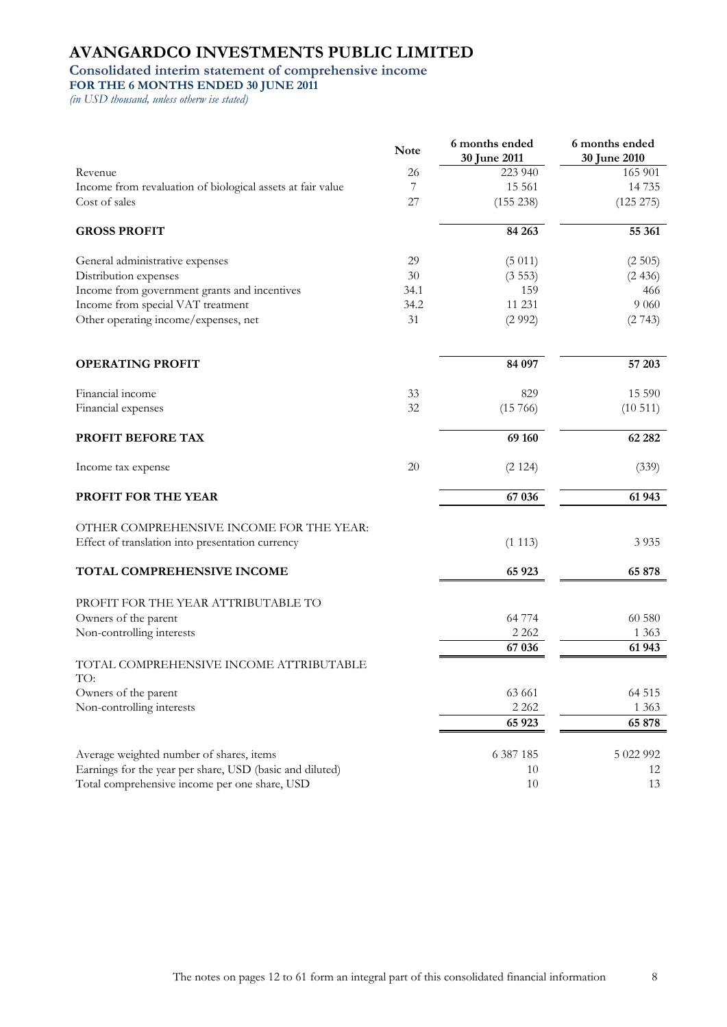# **Consolidated interim statement of comprehensive income**

**FOR THE 6 MONTHS ENDED 30 JUNE 2011** 

*(in USD thousand, unless otherw ise stated)*

|                                                            | <b>Note</b> | 6 months ended<br>30 June 2011 | 6 months ended<br>30 June 2010 |
|------------------------------------------------------------|-------------|--------------------------------|--------------------------------|
| Revenue                                                    | 26          | 223 940                        | 165 901                        |
| Income from revaluation of biological assets at fair value | 7           | 15 5 61                        | 14735                          |
| Cost of sales                                              | 27          | (155 238)                      | (125 275)                      |
| <b>GROSS PROFIT</b>                                        |             | 84 263                         | 55 361                         |
| General administrative expenses                            | 29          | (5011)                         | (2505)                         |
| Distribution expenses                                      | 30          | (3553)                         | (2436)                         |
| Income from government grants and incentives               | 34.1        | 159                            | 466                            |
| Income from special VAT treatment                          | 34.2        | 11 231                         | 9 0 6 0                        |
| Other operating income/expenses, net                       | 31          | (2992)                         | (2743)                         |
| <b>OPERATING PROFIT</b>                                    |             | 84 097                         | 57 203                         |
|                                                            |             |                                |                                |
| Financial income                                           | 33          | 829                            | 15 5 9 0                       |
| Financial expenses                                         | 32          | (15766)                        | (10511)                        |
| PROFIT BEFORE TAX                                          |             | 69 160                         | 62 282                         |
| Income tax expense                                         | 20          | (2124)                         | (339)                          |
| PROFIT FOR THE YEAR                                        |             | 67 036                         | 61 943                         |
| OTHER COMPREHENSIVE INCOME FOR THE YEAR:                   |             |                                |                                |
| Effect of translation into presentation currency           |             | (1113)                         | 3 9 3 5                        |
| TOTAL COMPREHENSIVE INCOME                                 |             | 65 923                         | 65 878                         |
| PROFIT FOR THE YEAR ATTRIBUTABLE TO                        |             |                                |                                |
| Owners of the parent                                       |             | 64 774                         | 60 580                         |
| Non-controlling interests                                  |             | 2 2 6 2                        | 1 3 6 3                        |
|                                                            |             | 67 036                         | 61 943                         |
| TOTAL COMPREHENSIVE INCOME ATTRIBUTABLE<br>TO:             |             |                                |                                |
| Owners of the parent                                       |             | 63 661                         | 64 515                         |
| Non-controlling interests                                  |             | 2 2 6 2                        | 1 3 6 3                        |
|                                                            |             | 65 923                         | 65 878                         |
| Average weighted number of shares, items                   |             | 6 387 185                      | 5 022 992                      |
| Earnings for the year per share, USD (basic and diluted)   |             | 10                             | 12                             |
| Total comprehensive income per one share, USD              |             | $10\,$                         | 13                             |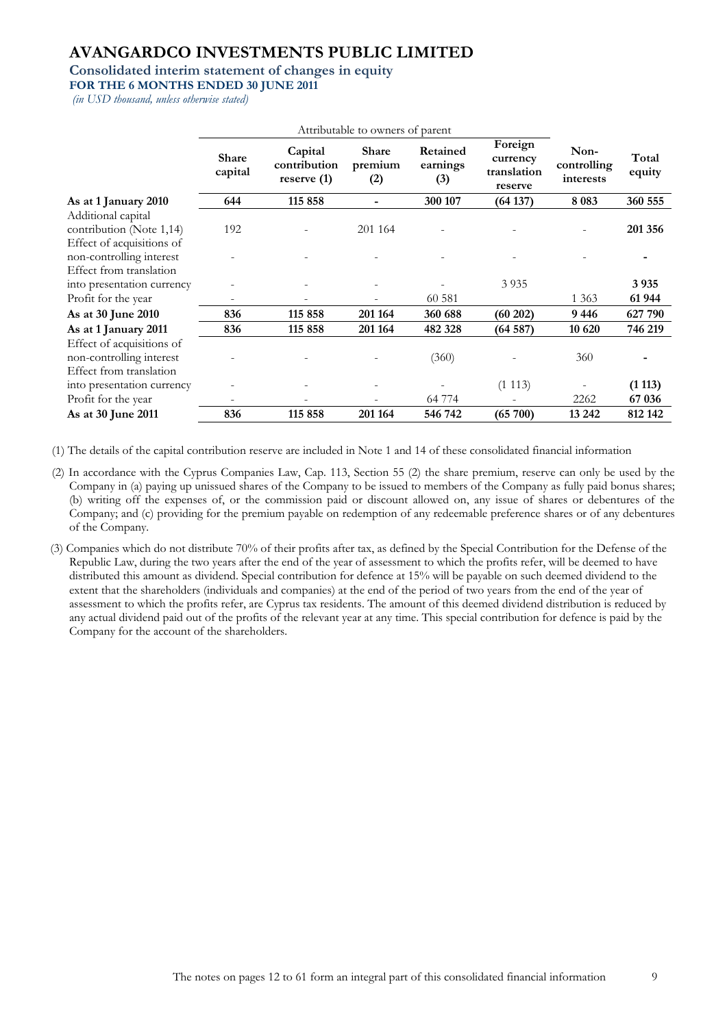# **Consolidated interim statement of changes in equity**

**FOR THE 6 MONTHS ENDED 30 JUNE 2011** 

 *(in USD thousand, unless otherwise stated)*

|                                                                                  | Attributable to owners of parent |                                          |                                |                             |                                               |                                  |                   |
|----------------------------------------------------------------------------------|----------------------------------|------------------------------------------|--------------------------------|-----------------------------|-----------------------------------------------|----------------------------------|-------------------|
|                                                                                  | <b>Share</b><br>capital          | Capital<br>contribution<br>reserve $(1)$ | <b>Share</b><br>premium<br>(2) | Retained<br>earnings<br>(3) | Foreign<br>currency<br>translation<br>reserve | Non-<br>controlling<br>interests | Total<br>equity   |
| As at 1 January 2010                                                             | 644                              | 115 858                                  |                                | 300 107                     | (64137)                                       | 8 0 8 3                          | 360 555           |
| Additional capital<br>contribution (Note 1,14)<br>Effect of acquisitions of      | 192                              |                                          | 201 164                        |                             |                                               |                                  | 201 356           |
| non-controlling interest                                                         |                                  |                                          |                                |                             |                                               |                                  |                   |
| Effect from translation<br>into presentation currency<br>Profit for the year     |                                  |                                          |                                | 60 581                      | 3 9 3 5                                       | 1 3 6 3                          | 3 9 3 5<br>61 944 |
| As at 30 June 2010                                                               | 836                              | 115 858                                  | 201 164                        | 360 688                     | (60 202)                                      | 9446                             | 627 790           |
| As at 1 January 2011                                                             | 836                              | 115 858                                  | 201 164                        | 482 328                     | (64587)                                       | 10 620                           | 746 219           |
| Effect of acquisitions of<br>non-controlling interest<br>Effect from translation |                                  |                                          |                                | (360)                       |                                               | 360                              |                   |
| into presentation currency                                                       |                                  |                                          |                                |                             | (1113)                                        |                                  | (1113)            |
| Profit for the year                                                              |                                  |                                          |                                | 64 774                      |                                               | 2262                             | 67 036            |
| As at 30 June 2011                                                               | 836                              | 115 858                                  | 201 164                        | 546 742                     | (65, 700)                                     | 13 24 2                          | 812 142           |

(1) The details of the capital contribution reserve are included in Note 1 and 14 of these consolidated financial information

- (2) In accordance with the Cyprus Companies Law, Cap. 113, Section 55 (2) the share premium, reserve can only be used by the Company in (a) paying up unissued shares of the Company to be issued to members of the Company as fully paid bonus shares; (b) writing off the expenses of, or the commission paid or discount allowed on, any issue of shares or debentures of the Company; and (c) providing for the premium payable on redemption of any redeemable preference shares or of any debentures of the Company.
- (3) Companies which do not distribute 70% of their profits after tax, as defined by the Special Contribution for the Defense of the Republic Law, during the two years after the end of the year of assessment to which the profits refer, will be deemed to have distributed this amount as dividend. Special contribution for defence at 15% will be payable on such deemed dividend to the extent that the shareholders (individuals and companies) at the end of the period of two years from the end of the year of assessment to which the profits refer, are Cyprus tax residents. The amount of this deemed dividend distribution is reduced by any actual dividend paid out of the profits of the relevant year at any time. This special contribution for defence is paid by the Company for the account of the shareholders.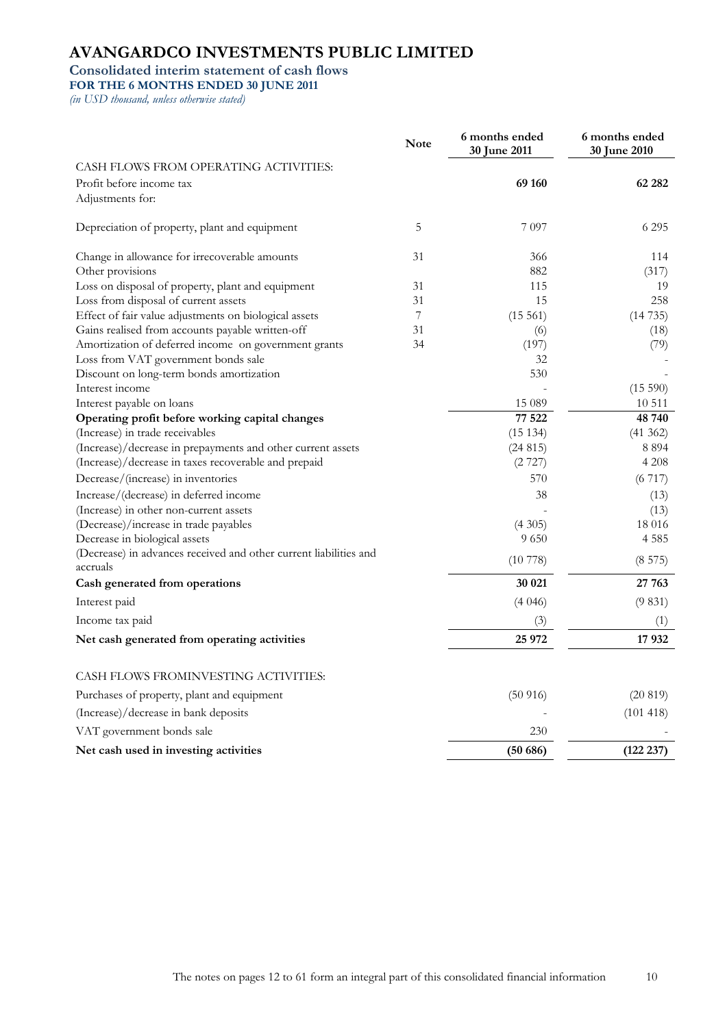## **Consolidated interim statement of cash flows**

# **FOR THE 6 MONTHS ENDED 30 JUNE 2011**

*(in USD thousand, unless otherwise stated)* 

|                                                                               | <b>Note</b> | 6 months ended<br>30 June 2011 | 6 months ended<br>30 June 2010 |
|-------------------------------------------------------------------------------|-------------|--------------------------------|--------------------------------|
| CASH FLOWS FROM OPERATING ACTIVITIES:                                         |             |                                |                                |
| Profit before income tax                                                      |             | 69 160                         | 62 282                         |
| Adjustments for:                                                              |             |                                |                                |
| Depreciation of property, plant and equipment                                 | 5           | 7 0 9 7                        | 6 2 9 5                        |
| Change in allowance for irrecoverable amounts                                 | 31          | 366                            | 114                            |
| Other provisions                                                              |             | 882                            | (317)                          |
| Loss on disposal of property, plant and equipment                             | 31          | 115                            | 19                             |
| Loss from disposal of current assets                                          | 31          | 15                             | 258                            |
| Effect of fair value adjustments on biological assets                         | 7           | (15 561)                       | (14735)                        |
| Gains realised from accounts payable written-off                              | 31          | (6)                            | (18)                           |
| Amortization of deferred income on government grants                          | 34          | (197)                          | (79)                           |
| Loss from VAT government bonds sale                                           |             | 32                             |                                |
| Discount on long-term bonds amortization                                      |             | 530                            |                                |
| Interest income                                                               |             |                                | (15 590)                       |
| Interest payable on loans                                                     |             | 15 089                         | 10 511                         |
| Operating profit before working capital changes                               |             | 77 522                         | 48 740                         |
| (Increase) in trade receivables                                               |             | (15134)                        | (41362)                        |
| (Increase)/decrease in prepayments and other current assets                   |             | (24815)                        | 8894                           |
| (Increase)/decrease in taxes recoverable and prepaid                          |             | (2727)                         | 4 2 0 8                        |
| Decrease/(increase) in inventories                                            |             | 570                            | (6717)                         |
| Increase/(decrease) in deferred income                                        |             | 38                             | (13)                           |
| (Increase) in other non-current assets                                        |             |                                | (13)                           |
| (Decrease)/increase in trade payables                                         |             | (4305)                         | 18 016                         |
| Decrease in biological assets                                                 |             | 9650                           | 4 5 8 5                        |
| (Decrease) in advances received and other current liabilities and<br>accruals |             | (10778)                        | (8575)                         |
| Cash generated from operations                                                |             | 30 021                         | 27 763                         |
| Interest paid                                                                 |             | (4046)                         | (9831)                         |
| Income tax paid                                                               |             | (3)                            | (1)                            |
| Net cash generated from operating activities                                  |             | 25 972                         | 17 932                         |
| CASH FLOWS FROMINVESTING ACTIVITIES:                                          |             |                                |                                |
| Purchases of property, plant and equipment                                    |             | (50916)                        | (20 819)                       |
| (Increase)/decrease in bank deposits                                          |             |                                | (101418)                       |
| VAT government bonds sale                                                     |             | 230                            |                                |
| Net cash used in investing activities                                         |             | (50686)                        | (122 237)                      |
|                                                                               |             |                                |                                |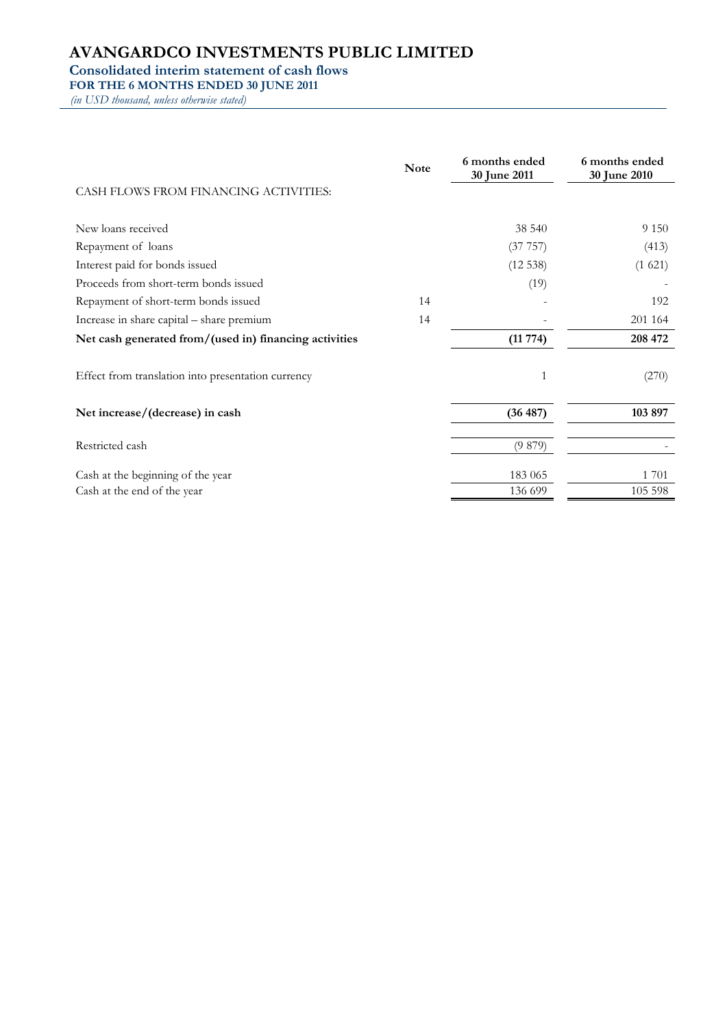**Consolidated interim statement of cash flows** 

**FOR THE 6 MONTHS ENDED 30 JUNE 2011** 

 *(in USD thousand, unless otherwise stated)* 

|                                                        | <b>Note</b> | 6 months ended<br>30 June 2011 | 6 months ended<br>30 June 2010 |
|--------------------------------------------------------|-------------|--------------------------------|--------------------------------|
| CASH FLOWS FROM FINANCING ACTIVITIES:                  |             |                                |                                |
| New loans received                                     |             | 38 540                         | 9 1 5 0                        |
| Repayment of loans                                     |             | (37 757)                       | (413)                          |
| Interest paid for bonds issued                         |             | (12538)                        | (1 621)                        |
| Proceeds from short-term bonds issued                  |             | (19)                           |                                |
| Repayment of short-term bonds issued                   | 14          |                                | 192                            |
| Increase in share capital – share premium              | 14          |                                | 201 164                        |
| Net cash generated from/(used in) financing activities |             | (11 774)                       | 208 472                        |
| Effect from translation into presentation currency     |             | $\mathbf{1}$                   | (270)                          |
| Net increase/(decrease) in cash                        |             | (36 487)                       | 103 897                        |
| Restricted cash                                        |             | (9 879)                        |                                |
| Cash at the beginning of the year                      |             | 183 065                        | 1 701                          |
| Cash at the end of the year                            |             | 136 699                        | 105 598                        |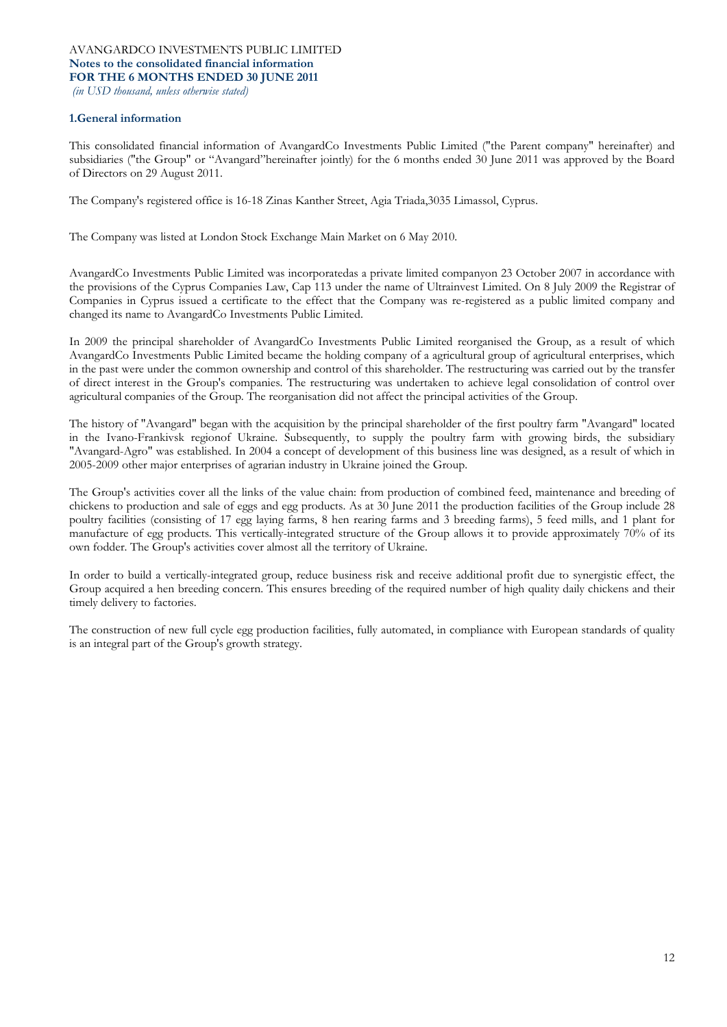#### **1.General information**

This consolidated financial information of AvangardCo Investments Public Limited ("the Parent company" hereinafter) and subsidiaries ("the Group" or "Avangard"hereinafter jointly) for the 6 months ended 30 June 2011 was approved by the Board of Directors on 29 August 2011.

The Company's registered office is 16-18 Zinas Kanther Street, Agia Triada,3035 Limassol, Cyprus.

The Company was listed at London Stock Exchange Main Market on 6 May 2010.

AvangardCo Investments Public Limited was incorporatedas a private limited companyon 23 October 2007 in accordance with the provisions of the Cyprus Companies Law, Cap 113 under the name of Ultrainvest Limited. On 8 July 2009 the Registrar of Companies in Cyprus issued a certificate to the effect that the Company was re-registered as a public limited company and changed its name to AvangardCo Investments Public Limited.

In 2009 the principal shareholder of AvangardCo Investments Public Limited reorganised the Group, as a result of which AvangardCo Investments Public Limited became the holding company of a agricultural group of agricultural enterprises, which in the past were under the common ownership and control of this shareholder. The restructuring was carried out by the transfer of direct interest in the Group's companies. The restructuring was undertaken to achieve legal consolidation of control over agricultural companies of the Group. The reorganisation did not affect the principal activities of the Group.

The history of "Avangard" began with the acquisition by the principal shareholder of the first poultry farm "Avangard" located in the Ivano-Frankivsk regionof Ukraine. Subsequently, to supply the poultry farm with growing birds, the subsidiary "Avangard-Agro" was established. In 2004 a concept of development of this business line was designed, as a result of which in 2005-2009 other major enterprises of agrarian industry in Ukraine joined the Group.

The Group's activities cover all the links of the value chain: from production of combined feed, maintenance and breeding of chickens to production and sale of eggs and egg products. As at 30 June 2011 the production facilities of the Group include 28 poultry facilities (consisting of 17 egg laying farms, 8 hen rearing farms and 3 breeding farms), 5 feed mills, and 1 plant for manufacture of egg products. This vertically-integrated structure of the Group allows it to provide approximately 70% of its own fodder. The Group's activities cover almost all the territory of Ukraine.

In order to build a vertically-integrated group, reduce business risk and receive additional profit due to synergistic effect, the Group acquired a hen breeding concern. This ensures breeding of the required number of high quality daily chickens and their timely delivery to factories.

The construction of new full cycle egg production facilities, fully automated, in compliance with European standards of quality is an integral part of the Group's growth strategy.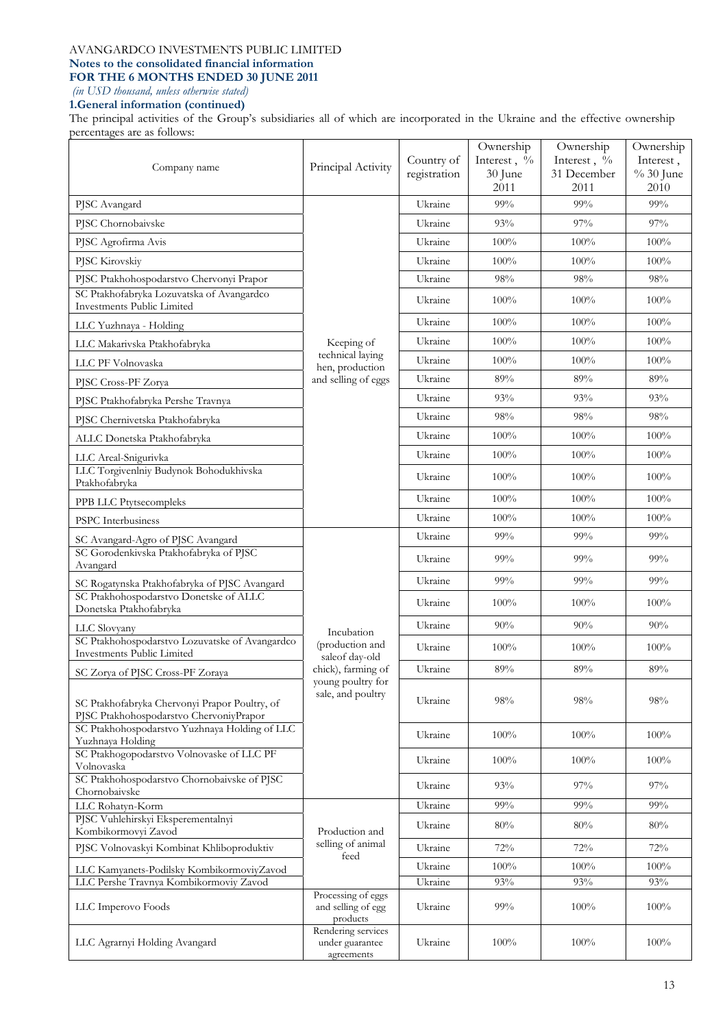# **1.General information (continued)**

The principal activities of the Group's subsidiaries all of which are incorporated in the Ukraine and the effective ownership percentages are as follows:

| Company name                                                                             | Principal Activity                                  | Country of<br>registration | Ownership<br>Interest, %<br>30 June<br>2011 | Ownership<br>Interest, %<br>31 December<br>2011 | Ownership<br>Interest,<br>% 30 June<br>2010 |
|------------------------------------------------------------------------------------------|-----------------------------------------------------|----------------------------|---------------------------------------------|-------------------------------------------------|---------------------------------------------|
| PJSC Avangard                                                                            |                                                     | Ukraine                    | 99%                                         | 99%                                             | 99%                                         |
| PJSC Chornobaivske                                                                       |                                                     | Ukraine                    | 93%                                         | 97%                                             | 97%                                         |
| PJSC Agrofirma Avis                                                                      |                                                     | Ukraine                    | 100%                                        | 100%                                            | $100\%$                                     |
| PJSC Kirovskiy                                                                           |                                                     | Ukraine                    | 100%                                        | 100%                                            | $100\%$                                     |
| PJSC Ptakhohospodarstvo Chervonyi Prapor                                                 |                                                     | Ukraine                    | 98%                                         | 98%                                             | 98%                                         |
| SC Ptakhofabryka Lozuvatska of Avangardco<br><b>Investments Public Limited</b>           |                                                     | Ukraine                    | 100%                                        | 100%                                            | $100\%$                                     |
| LLC Yuzhnaya - Holding                                                                   |                                                     | Ukraine                    | 100%                                        | 100%                                            | 100%                                        |
| LLC Makarivska Ptakhofabryka                                                             | Keeping of                                          | Ukraine                    | 100%                                        | 100%                                            | $100\%$                                     |
| LLC PF Volnovaska                                                                        | technical laying<br>hen, production                 | Ukraine                    | 100%                                        | 100%                                            | 100%                                        |
| PJSC Cross-PF Zorya                                                                      | and selling of eggs                                 | Ukraine                    | 89%                                         | 89%                                             | 89%                                         |
| PJSC Ptakhofabryka Pershe Travnya                                                        |                                                     | Ukraine                    | 93%                                         | 93%                                             | 93%                                         |
| PJSC Chernivetska Ptakhofabryka                                                          |                                                     | Ukraine                    | 98%                                         | 98%                                             | 98%                                         |
| ALLC Donetska Ptakhofabryka                                                              |                                                     | Ukraine                    | 100%                                        | 100%                                            | 100%                                        |
| LLC Areal-Snigurivka                                                                     |                                                     | Ukraine                    | 100%                                        | 100%                                            | 100%                                        |
| LLC Torgivenlniy Budynok Bohodukhivska<br>Ptakhofabryka                                  |                                                     | Ukraine                    | 100%                                        | 100%                                            | 100%                                        |
| PPB LLC Ptytsecompleks                                                                   |                                                     | Ukraine                    | 100%                                        | 100%                                            | 100%                                        |
| <b>PSPC</b> Interbusiness                                                                |                                                     | Ukraine                    | 100%                                        | 100%                                            | 100%                                        |
| SC Avangard-Agro of PJSC Avangard                                                        |                                                     | Ukraine                    | 99%                                         | 99%                                             | 99%                                         |
| SC Gorodenkivska Ptakhofabryka of PJSC<br>Avangard                                       |                                                     | Ukraine                    | 99%                                         | 99%                                             | $99\%$                                      |
| SC Rogatynska Ptakhofabryka of PJSC Avangard                                             |                                                     | Ukraine                    | 99%                                         | 99%                                             | $99\%$                                      |
| SC Ptakhohospodarstvo Donetske of ALLC<br>Donetska Ptakhofabryka                         |                                                     | Ukraine                    | 100%                                        | 100%                                            | 100%                                        |
| LLC Slovyany                                                                             | Incubation                                          | Ukraine                    | 90%                                         | 90%                                             | 90%                                         |
| SC Ptakhohospodarstvo Lozuvatske of Avangardco<br>Investments Public Limited             | (production and<br>saleof day-old                   | Ukraine                    | 100%                                        | 100%                                            | $100\%$                                     |
| SC Zorya of PJSC Cross-PF Zoraya                                                         | chick), farming of<br>young poultry for             | Ukraine                    | 89%                                         | 89%                                             | 89%                                         |
| SC Ptakhofabryka Chervonyi Prapor Poultry, of<br>PJSC Ptakhohospodarstvo ChervoniyPrapor | sale, and poultry                                   | Ukraine                    | 98%                                         | 98%                                             | 98%                                         |
| SC Ptakhohospodarstvo Yuzhnaya Holding of LLC<br>Yuzhnaya Holding                        |                                                     | Ukraine                    | $100\%$                                     | 100%                                            | 100%                                        |
| SC Ptakhogopodarstvo Volnovaske of LLC PF<br>Volnovaska                                  |                                                     | Ukraine                    | 100%                                        | 100%                                            | 100%                                        |
| SC Ptakhohospodarstvo Chornobaivske of PJSC<br>Chornobaivske                             |                                                     | Ukraine                    | 93%                                         | 97%                                             | 97%                                         |
| LLC Rohatyn-Korm                                                                         |                                                     | Ukraine                    | 99%                                         | 99%                                             | 99%                                         |
| PJSC Vuhlehirskyi Eksperementalnyi<br>Kombikormovyi Zavod                                | Production and                                      | Ukraine                    | 80%                                         | 80%                                             | 80%                                         |
| PJSC Volnovaskyi Kombinat Khliboproduktiv                                                | selling of animal<br>feed                           | Ukraine                    | 72%                                         | 72%                                             | 72%                                         |
| LLC Kamyanets-Podilsky KombikormoviyZavod                                                |                                                     | Ukraine                    | 100%                                        | 100%                                            | $100\%$                                     |
| LLC Pershe Travnya Kombikormoviy Zavod                                                   | Processing of eggs                                  | Ukraine                    | $93\%$                                      | 93%                                             | 93%                                         |
| LLC Imperovo Foods                                                                       | and selling of egg<br>products                      | Ukraine                    | 99%                                         | 100%                                            | 100%                                        |
| LLC Agrarnyi Holding Avangard                                                            | Rendering services<br>under guarantee<br>agreements | Ukraine                    | 100%                                        | 100%                                            | 100%                                        |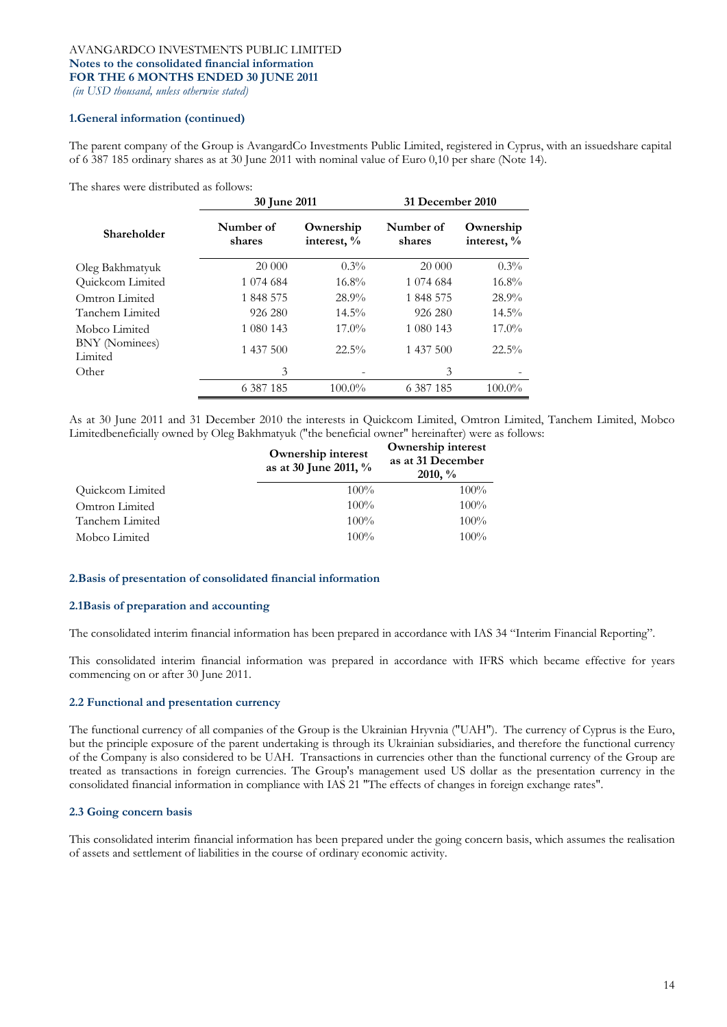*(in USD thousand, unless otherwise stated)*

#### **1.General information (continued)**

The parent company of the Group is AvangardCo Investments Public Limited, registered in Cyprus, with an issuedshare capital of 6 387 185 ordinary shares as at 30 June 2011 with nominal value of Euro 0,10 per share (Note 14).

The shares were distributed as follows:

|                                  | 30 June 2011        |                          | 31 December 2010    |                          |
|----------------------------------|---------------------|--------------------------|---------------------|--------------------------|
| Shareholder                      | Number of<br>shares | Ownership<br>interest, % | Number of<br>shares | Ownership<br>interest, % |
| Oleg Bakhmatyuk                  | 20 000              | $0.3\%$                  | 20 000              | $0.3\%$                  |
| Quickcom Limited                 | 1 074 684           | $16.8\%$                 | 1 074 684           | $16.8\%$                 |
| Omtron Limited                   | 1 848 575           | $28.9\%$                 | 1 848 575           | $28.9\%$                 |
| Tanchem Limited                  | 926 280             | $14.5\%$                 | 926 280             | $14.5\%$                 |
| Mobco Limited                    | 1 080 143           | $17.0\%$                 | 1 080 143           | $17.0\%$                 |
| <b>BNY</b> (Nominees)<br>Limited | 1 437 500           | 22.5%                    | 1 437 500           | $22.5\%$                 |
| Other                            | 3                   |                          | 3                   |                          |
|                                  | 6 387 185           | $100.0\%$                | 6 387 185           | $100.0\%$                |

As at 30 June 2011 and 31 December 2010 the interests in Quickcom Limited, Omtron Limited, Tanchem Limited, Mobco Limitedbeneficially owned by Oleg Bakhmatyuk ("the beneficial owner" hereinafter) were as follows:

|                  | Ownership interest<br>as at 30 June 2011, % | <b>Ownership interest</b><br>as at 31 December<br>$2010, \%$ |  |
|------------------|---------------------------------------------|--------------------------------------------------------------|--|
| Quickcom Limited | $100\%$                                     | $100\%$                                                      |  |
| Omtron Limited   | $100\%$                                     | $100\%$                                                      |  |
| Tanchem Limited  | $100\%$                                     | $100\%$                                                      |  |
| Mobco Limited    | $100\%$                                     | $100\%$                                                      |  |

#### **2.Basis of presentation of consolidated financial information**

#### **2.1Basis of preparation and accounting**

The consolidated interim financial information has been prepared in accordance with IAS 34 "Interim Financial Reporting".

This consolidated interim financial information was prepared in accordance with IFRS which became effective for years commencing on or after 30 June 2011.

#### **2.2 Functional and presentation currency**

The functional currency of all companies of the Group is the Ukrainian Hryvnia ("UAH"). The currency of Cyprus is the Euro, but the principle exposure of the parent undertaking is through its Ukrainian subsidiaries, and therefore the functional currency of the Company is also considered to be UAH. Transactions in currencies other than the functional currency of the Group are treated as transactions in foreign currencies. The Group's management used US dollar as the presentation currency in the consolidated financial information in compliance with IAS 21 "The effects of changes in foreign exchange rates".

#### **2.3 Going concern basis**

This consolidated interim financial information has been prepared under the going concern basis, which assumes the realisation of assets and settlement of liabilities in the course of ordinary economic activity.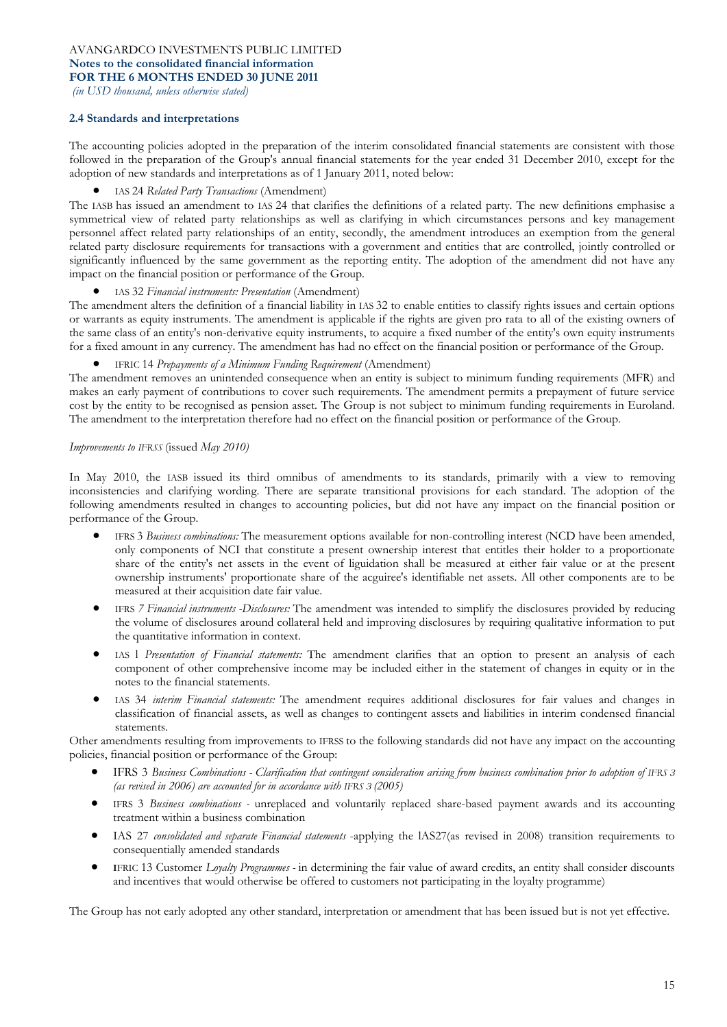#### **2.4 Standards and interpretations**

The accounting policies adopted in the preparation of the interim consolidated financial statements are consistent with those followed in the preparation of the Group's annual financial statements for the year ended 31 December 2010, except for the adoption of new standards and interpretations as of 1 January 2011, noted below:

IAS 24 *Related Party Transactions* (Amendment)

The IASB has issued an amendment to IAS 24 that clarifies the definitions of a related party. The new definitions emphasise a symmetrical view of related party relationships as well as clarifying in which circumstances persons and key management personnel affect related party relationships of an entity, secondly, the amendment introduces an exemption from the general related party disclosure requirements for transactions with a government and entities that are controlled, jointly controlled or significantly influenced by the same government as the reporting entity. The adoption of the amendment did not have any impact on the financial position or performance of the Group.

#### IAS 32 *Financial instruments: Presentation* (Amendment)

The amendment alters the definition of a financial liability in IAS 32 to enable entities to classify rights issues and certain options or warrants as equity instruments. The amendment is applicable if the rights are given pro rata to all of the existing owners of the same class of an entity's non-derivative equity instruments, to acquire a fixed number of the entity's own equity instruments for a fixed amount in any currency. The amendment has had no effect on the financial position or performance of the Group.

IFRIC 14 *Prepayments of a Minimum Funding Requirement* (Amendment)

The amendment removes an unintended consequence when an entity is subject to minimum funding requirements (MFR) and makes an early payment of contributions to cover such requirements. The amendment permits a prepayment of future service cost by the entity to be recognised as pension asset. The Group is not subject to minimum funding requirements in Euroland. The amendment to the interpretation therefore had no effect on the financial position or performance of the Group.

#### *Improvements to IFRSS* (issued *May 2010)*

In May 2010, the IASB issued its third omnibus of amendments to its standards, primarily with a view to removing inconsistencies and clarifying wording. There are separate transitional provisions for each standard. The adoption of the following amendments resulted in changes to accounting policies, but did not have any impact on the financial position or performance of the Group.

- IFRS 3 *Business combinations:* The measurement options available for non-controlling interest (NCD have been amended, only components of NCI that constitute a present ownership interest that entitles their holder to a proportionate share of the entity's net assets in the event of liguidation shall be measured at either fair value or at the present ownership instruments' proportionate share of the acguiree's identifiable net assets. All other components are to be measured at their acquisition date fair value.
- IFRS *7 Financial instruments -Disclosures:* The amendment was intended to simplify the disclosures provided by reducing the volume of disclosures around collateral held and improving disclosures by requiring qualitative information to put the quantitative information in context.
- IAS l *Presentation of Financial statements:* The amendment clarifies that an option to present an analysis of each component of other comprehensive income may be included either in the statement of changes in equity or in the notes to the financial statements.
- IAS 34 *interim Financial statements:* The amendment requires additional disclosures for fair values and changes in classification of financial assets, as well as changes to contingent assets and liabilities in interim condensed financial statements.

Other amendments resulting from improvements to IFRSS to the following standards did not have any impact on the accounting policies, financial position or performance of the Group:

- IFRS 3 *Business Combinations Clarification that contingent consideration arising from business combination prior to adoption of IFRS <sup>З</sup> (as revised in 2006) are accounted for in accordance with IFRS З (2005)*
- IFRS 3 *Business combinations* unreplaced and voluntarily replaced share-based payment awards and its accounting treatment within a business combination
- IAS 27 *consolidated and separate Financial statements* -applying the lAS27(as revised in 2008) transition requirements to consequentially amended standards
- **<sup>I</sup>**FRIC 13 Customer *Loyalty Programmes* in determining the fair value of award credits, an entity shall consider discounts and incentives that would otherwise be offered to customers not participating in the loyalty programme)

The Group has not early adopted any other standard, interpretation or amendment that has been issued but is not yet effective.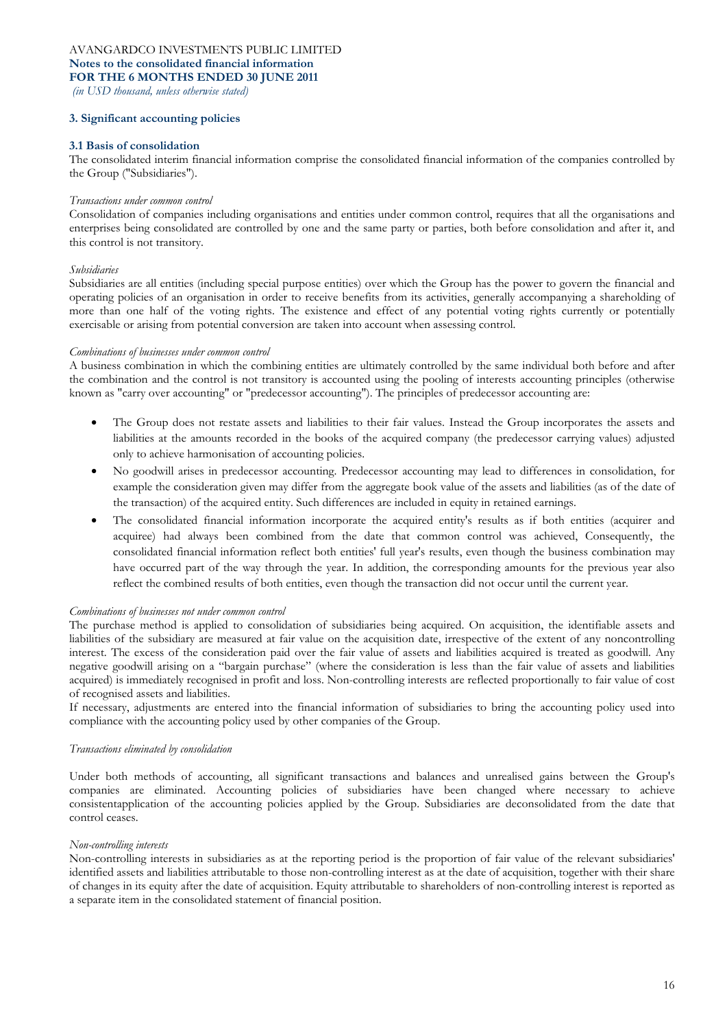#### **3. Significant accounting policies**

#### **3.1 Basis of consolidation**

The consolidated interim financial information comprise the consolidated financial information of the companies controlled by the Group ("Subsidiaries").

#### *Transactions under common control*

Consolidation of companies including organisations and entities under common control, requires that all the organisations and enterprises being consolidated are controlled by one and the same party or parties, both before consolidation and after it, and this control is not transitory.

#### *Subsidiaries*

Subsidiaries are all entities (including special purpose entities) over which the Group has the power to govern the financial and operating policies of an organisation in order to receive benefits from its activities, generally accompanying a shareholding of more than one half of the voting rights. The existence and effect of any potential voting rights currently or potentially exercisable or arising from potential conversion are taken into account when assessing control.

#### *Combinations of businesses under common control*

A business combination in which the combining entities are ultimately controlled by the same individual both before and after the combination and the control is not transitory is accounted using the pooling of interests accounting principles (otherwise known as "carry over accounting" or "predecessor accounting"). The principles of predecessor accounting are:

- The Group does not restate assets and liabilities to their fair values. Instead the Group incorporates the assets and liabilities at the amounts recorded in the books of the acquired company (the predecessor carrying values) adjusted only to achieve harmonisation of accounting policies.
- No goodwill arises in predecessor accounting. Predecessor accounting may lead to differences in consolidation, for example the consideration given may differ from the aggregate book value of the assets and liabilities (as of the date of the transaction) of the acquired entity. Such differences are included in equity in retained earnings.
- The consolidated financial information incorporate the acquired entity's results as if both entities (acquirer and acquiree) had always been combined from the date that common control was achieved, Consequently, the consolidated financial information reflect both entities' full year's results, even though the business combination may have occurred part of the way through the year. In addition, the corresponding amounts for the previous year also reflect the combined results of both entities, even though the transaction did not occur until the current year.

#### *Combinations of businesses not under common control*

The purchase method is applied to consolidation of subsidiaries being acquired. On acquisition, the identifiable assets and liabilities of the subsidiary are measured at fair value on the acquisition date, irrespective of the extent of any noncontrolling interest. The excess of the consideration paid over the fair value of assets and liabilities acquired is treated as goodwill. Any negative goodwill arising on a "bargain purchase" (where the consideration is less than the fair value of assets and liabilities acquired) is immediately recognised in profit and loss. Non-controlling interests are reflected proportionally to fair value of cost of recognised assets and liabilities.

If necessary, adjustments are entered into the financial information of subsidiaries to bring the accounting policy used into compliance with the accounting policy used by other companies of the Group.

#### *Transactions eliminated by consolidation*

Under both methods of accounting, all significant transactions and balances and unrealised gains between the Group's companies are eliminated. Accounting policies of subsidiaries have been changed where necessary to achieve consistentapplication of the accounting policies applied by the Group. Subsidiaries are deconsolidated from the date that control ceases.

#### *Non-controlling interests*

Non-controlling interests in subsidiaries as at the reporting period is the proportion of fair value of the relevant subsidiaries' identified assets and liabilities attributable to those non-controlling interest as at the date of acquisition, together with their share of changes in its equity after the date of acquisition. Equity attributable to shareholders of non-controlling interest is reported as a separate item in the consolidated statement of financial position.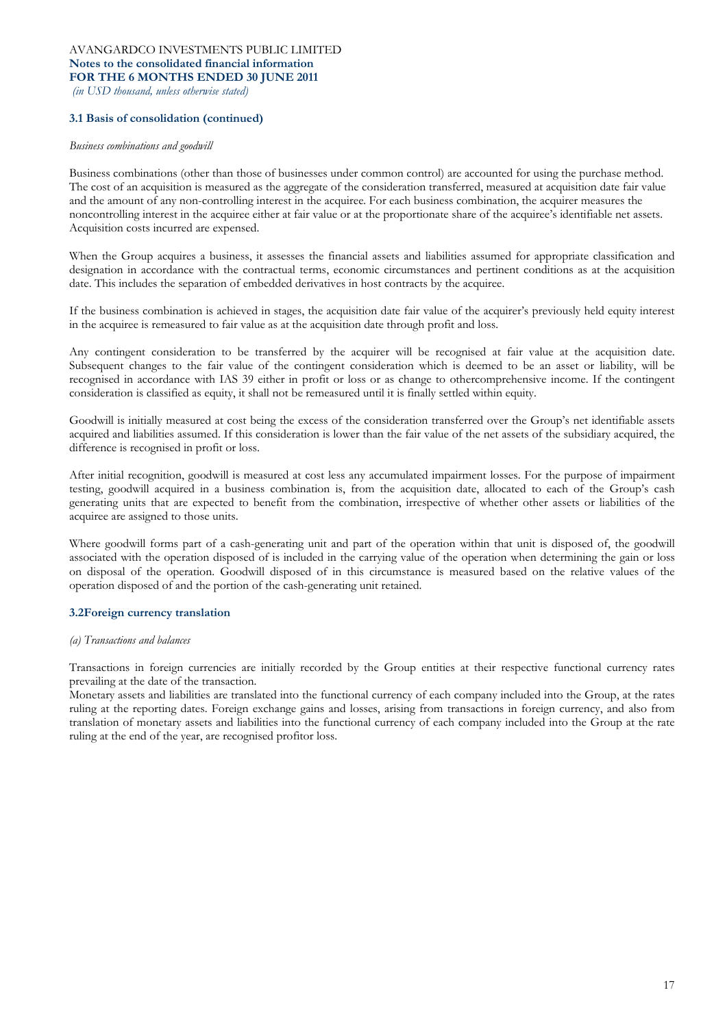*(in USD thousand, unless otherwise stated)*

#### **3.1 Basis of consolidation (continued)**

#### *Business combinations and goodwill*

Business combinations (other than those of businesses under common control) are accounted for using the purchase method. The cost of an acquisition is measured as the aggregate of the consideration transferred, measured at acquisition date fair value and the amount of any non-controlling interest in the acquiree. For each business combination, the acquirer measures the noncontrolling interest in the acquiree either at fair value or at the proportionate share of the acquiree's identifiable net assets. Acquisition costs incurred are expensed.

When the Group acquires a business, it assesses the financial assets and liabilities assumed for appropriate classification and designation in accordance with the contractual terms, economic circumstances and pertinent conditions as at the acquisition date. This includes the separation of embedded derivatives in host contracts by the acquiree.

If the business combination is achieved in stages, the acquisition date fair value of the acquirer's previously held equity interest in the acquiree is remeasured to fair value as at the acquisition date through profit and loss.

Any contingent consideration to be transferred by the acquirer will be recognised at fair value at the acquisition date. Subsequent changes to the fair value of the contingent consideration which is deemed to be an asset or liability, will be recognised in accordance with IAS 39 either in profit or loss or as change to othercomprehensive income. If the contingent consideration is classified as equity, it shall not be remeasured until it is finally settled within equity.

Goodwill is initially measured at cost being the excess of the consideration transferred over the Group's net identifiable assets acquired and liabilities assumed. If this consideration is lower than the fair value of the net assets of the subsidiary acquired, the difference is recognised in profit or loss.

After initial recognition, goodwill is measured at cost less any accumulated impairment losses. For the purpose of impairment testing, goodwill acquired in a business combination is, from the acquisition date, allocated to each of the Group's cash generating units that are expected to benefit from the combination, irrespective of whether other assets or liabilities of the acquiree are assigned to those units.

Where goodwill forms part of a cash-generating unit and part of the operation within that unit is disposed of, the goodwill associated with the operation disposed of is included in the carrying value of the operation when determining the gain or loss on disposal of the operation. Goodwill disposed of in this circumstance is measured based on the relative values of the operation disposed of and the portion of the cash-generating unit retained.

#### **3.2Foreign currency translation**

#### *(а) Transactions and balances*

Transactions in foreign currencies are initially recorded by the Group entities at their respective functional currency rates prevailing at the date of the transaction.

Monetary assets and liabilities are translated into the functional currency of each company included into the Group, at the rates ruling at the reporting dates. Foreign exchange gains and losses, arising from transactions in foreign currency, and also from translation of monetary assets and liabilities into the functional currency of each company included into the Group at the rate ruling at the end of the year, are recognised profitor loss.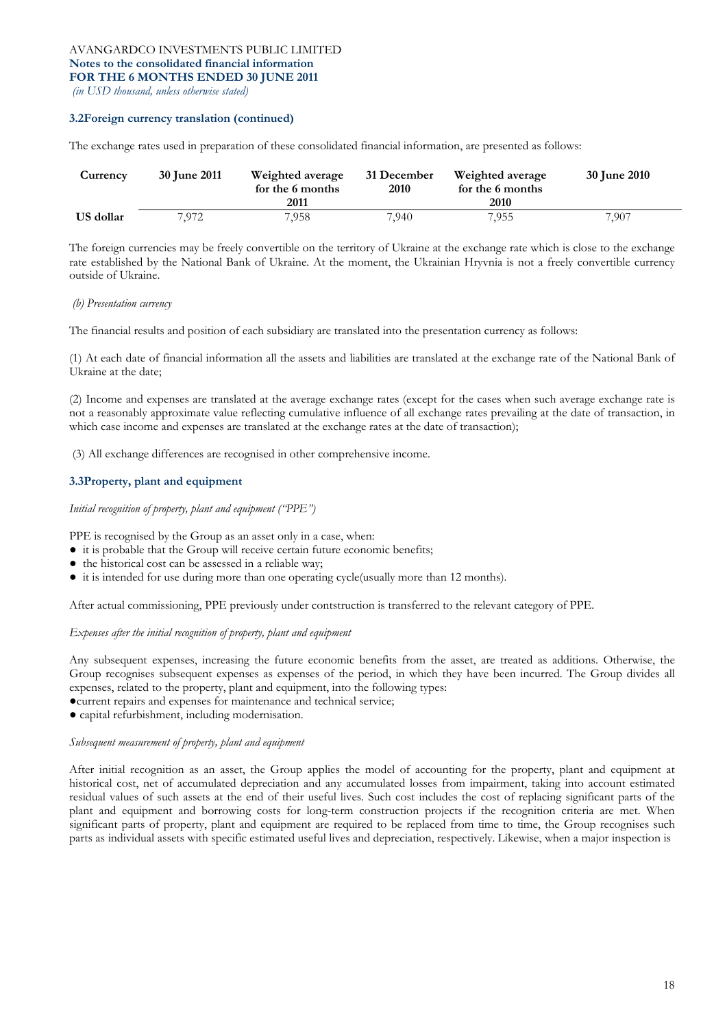*(in USD thousand, unless otherwise stated)*

#### **3.2Foreign currency translation (continued)**

The exchange rates used in preparation of these consolidated financial information, are presented as follows:

| Currency  | <b>30 June 2011</b> | Weighted average<br>for the 6 months<br>2011 | 31 December<br><b>2010</b> | Weighted average<br>for the 6 months<br>2010 | 30 June 2010 |
|-----------|---------------------|----------------------------------------------|----------------------------|----------------------------------------------|--------------|
| US dollar | 7.972               | 7.958                                        | 7.940                      | 7,955                                        | 7.907        |

The foreign currencies may be freely convertible on the territory of Ukraine at the exchange rate which is close to the exchange rate established by the National Bank of Ukraine. At the moment, the Ukrainian Hryvnia is not a freely convertible currency outside of Ukraine.

#### *(b) Presentation currency*

The financial results and position of each subsidiary are translated into the presentation currency as follows:

(1) At each date of financial information all the assets and liabilities are translated at the exchange rate of the National Bank of Ukraine at the date;

(2) Income and expenses are translated at the average exchange rates (except for the cases when such average exchange rate is not a reasonably approximate value reflecting cumulative influence of all exchange rates prevailing at the date of transaction, in which case income and expenses are translated at the exchange rates at the date of transaction);

(3) All exchange differences are recognised in other comprehensive income.

#### **3.3Property, plant and equipment**

*Initial recognition of property, plant and equipment ("PPE")* 

PPE is recognised by the Group as an asset only in a case, when:

- it is probable that the Group will receive certain future economic benefits;
- the historical cost can be assessed in a reliable way;
- it is intended for use during more than one operating cycle(usually more than 12 months).

After actual commissioning, PPE previously under contstruction is transferred to the relevant category of PPE.

#### *Expenses after the initial recognition of property, plant and equipment*

Any subsequent expenses, increasing the future economic benefits from the asset, are treated as additions. Otherwise, the Group recognises subsequent expenses as expenses of the period, in which they have been incurred. The Group divides all expenses, related to the property, plant and equipment, into the following types:

- ●current repairs and expenses for maintenance and technical service;
- capital refurbishment, including modernisation.

#### *Subsequent measurement of property, plant and equipment*

After initial recognition as an asset, the Group applies the model of accounting for the property, plant and equipment at historical cost, net of accumulated depreciation and any accumulated losses from impairment, taking into account estimated residual values of such assets at the end of their useful lives. Such cost includes the cost of replacing significant parts of the plant and equipment and borrowing costs for long-term construction projects if the recognition criteria are met. When significant parts of property, plant and equipment are required to be replaced from time to time, the Group recognises such parts as individual assets with specific estimated useful lives and depreciation, respectively. Likewise, when a major inspection is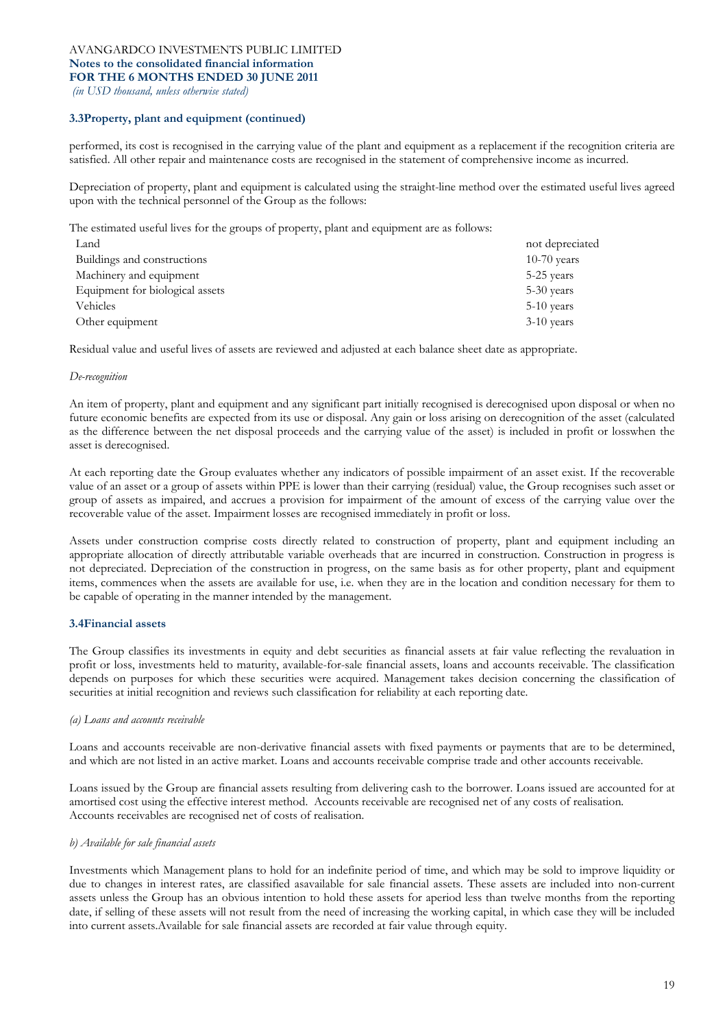#### **3.3Property, plant and equipment (continued)**

performed, its cost is recognised in the carrying value of the plant and equipment as a replacement if the recognition criteria are satisfied. All other repair and maintenance costs are recognised in the statement of comprehensive income as incurred.

Depreciation of property, plant and equipment is calculated using the straight-line method over the estimated useful lives agreed upon with the technical personnel of the Group as the follows:

The estimated useful lives for the groups of property, plant and equipment are as follows:

| Land                            | not depreciated |
|---------------------------------|-----------------|
| Buildings and constructions     | $10-70$ years   |
| Machinery and equipment         | 5-25 years      |
| Equipment for biological assets | $5-30$ years    |
| <b>Vehicles</b>                 | $5-10$ years    |
| Other equipment                 | $3-10$ years    |

Residual value and useful lives of assets are reviewed and adjusted at each balance sheet date as appropriate.

#### *De-recognition*

An item of property, plant and equipment and any significant part initially recognised is derecognised upon disposal or when no future economic benefits are expected from its use or disposal. Any gain or loss arising on derecognition of the asset (calculated as the difference between the net disposal proceeds and the carrying value of the asset) is included in profit or losswhen the asset is derecognised.

At each reporting date the Group evaluates whether any indicators of possible impairment of an asset exist. If the recoverable value of an asset or a group of assets within PPE is lower than their carrying (residual) value, the Group recognises such asset or group of assets as impaired, and accrues a provision for impairment of the amount of excess of the carrying value over the recoverable value of the asset. Impairment losses are recognised immediately in profit or loss.

Assets under construction comprise costs directly related to construction of property, plant and equipment including an appropriate allocation of directly attributable variable overheads that are incurred in construction. Construction in progress is not depreciated. Depreciation of the construction in progress, on the same basis as for other property, plant and equipment items, commences when the assets are available for use, i.e. when they are in the location and condition necessary for them to be capable of operating in the manner intended by the management.

#### **3.4Financial assets**

The Group classifies its investments in equity and debt securities as financial assets at fair value reflecting the revaluation in profit or loss, investments held to maturity, available-for-sale financial assets, loans and accounts receivable. The classification depends on purposes for which these securities were acquired. Management takes decision concerning the classification of securities at initial recognition and reviews such classification for reliability at each reporting date.

#### *(a) Loans and accounts receivable*

Loans and accounts receivable are non-derivative financial assets with fixed payments or payments that are to be determined, and which are not listed in an active market. Loans and accounts receivable comprise trade and other accounts receivable.

Loans issued by the Group are financial assets resulting from delivering cash to the borrower. Loans issued are accounted for at amortised cost using the effective interest method. Accounts receivable are recognised net of any costs of realisation. Accounts receivables are recognised net of costs of realisation.

#### *b) Available for sale financial assets*

Investments which Management plans to hold for an indefinite period of time, and which may be sold to improve liquidity or due to changes in interest rates, are classified asavailable for sale financial assets. These assets are included into non-current assets unless the Group has an obvious intention to hold these assets for aperiod less than twelve months from the reporting date, if selling of these assets will not result from the need of increasing the working capital, in which case they will be included into current assets.Available for sale financial assets are recorded at fair value through equity.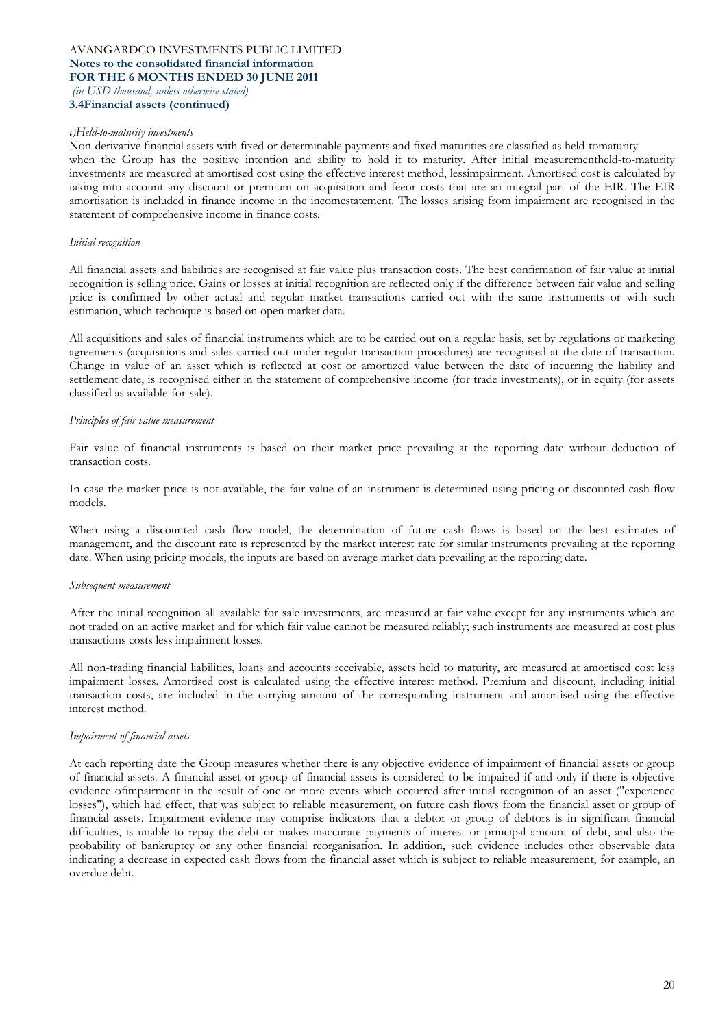#### *c)Held-to-maturity investments*

Non-derivative financial assets with fixed or determinable payments and fixed maturities are classified as held-tomaturity when the Group has the positive intention and ability to hold it to maturity. After initial measurementheld-to-maturity investments are measured at amortised cost using the effective interest method, lessimpairment. Amortised cost is calculated by taking into account any discount or premium on acquisition and feeor costs that are an integral part of the EIR. The EIR amortisation is included in finance income in the incomestatement. The losses arising from impairment are recognised in the statement of comprehensive income in finance costs.

#### *Initial recognition*

All financial assets and liabilities are recognised at fair value plus transaction costs. The best confirmation of fair value at initial recognition is selling price. Gains or losses at initial recognition are reflected only if the difference between fair value and selling price is confirmed by other actual and regular market transactions carried out with the same instruments or with such estimation, which technique is based on open market data.

All acquisitions and sales of financial instruments which are to be carried out on a regular basis, set by regulations or marketing agreements (acquisitions and sales carried out under regular transaction procedures) are recognised at the date of transaction. Change in value of an asset which is reflected at cost or amortized value between the date of incurring the liability and settlement date, is recognised either in the statement of comprehensive income (for trade investments), or in equity (for assets classified as available-for-sale).

#### *Principles of fair value measurement*

Fair value of financial instruments is based on their market price prevailing at the reporting date without deduction of transaction costs.

In case the market price is not available, the fair value of an instrument is determined using pricing or discounted cash flow models.

When using a discounted cash flow model, the determination of future cash flows is based on the best estimates of management, and the discount rate is represented by the market interest rate for similar instruments prevailing at the reporting date. When using pricing models, the inputs are based on average market data prevailing at the reporting date.

#### *Subsequent measurement*

After the initial recognition all available for sale investments, are measured at fair value except for any instruments which are not traded on an active market and for which fair value cannot be measured reliably; such instruments are measured at cost plus transactions costs less impairment losses.

All non-trading financial liabilities, loans and accounts receivable, assets held to maturity, are measured at amortised cost less impairment losses. Amortised cost is calculated using the effective interest method. Premium and discount, including initial transaction costs, are included in the carrying amount of the corresponding instrument and amortised using the effective interest method.

#### *Impairment of financial assets*

At each reporting date the Group measures whether there is any objective evidence of impairment of financial assets or group of financial assets. A financial asset or group of financial assets is considered to be impaired if and only if there is objective evidence ofimpairment in the result of one or more events which occurred after initial recognition of an asset ("experience losses"), which had effect, that was subject to reliable measurement, on future cash flows from the financial asset or group of financial assets. Impairment evidence may comprise indicators that a debtor or group of debtors is in significant financial difficulties, is unable to repay the debt or makes inaccurate payments of interest or principal amount of debt, and also the probability of bankruptcy or any other financial reorganisation. In addition, such evidence includes other observable data indicating a decrease in expected cash flows from the financial asset which is subject to reliable measurement, for example, an overdue debt.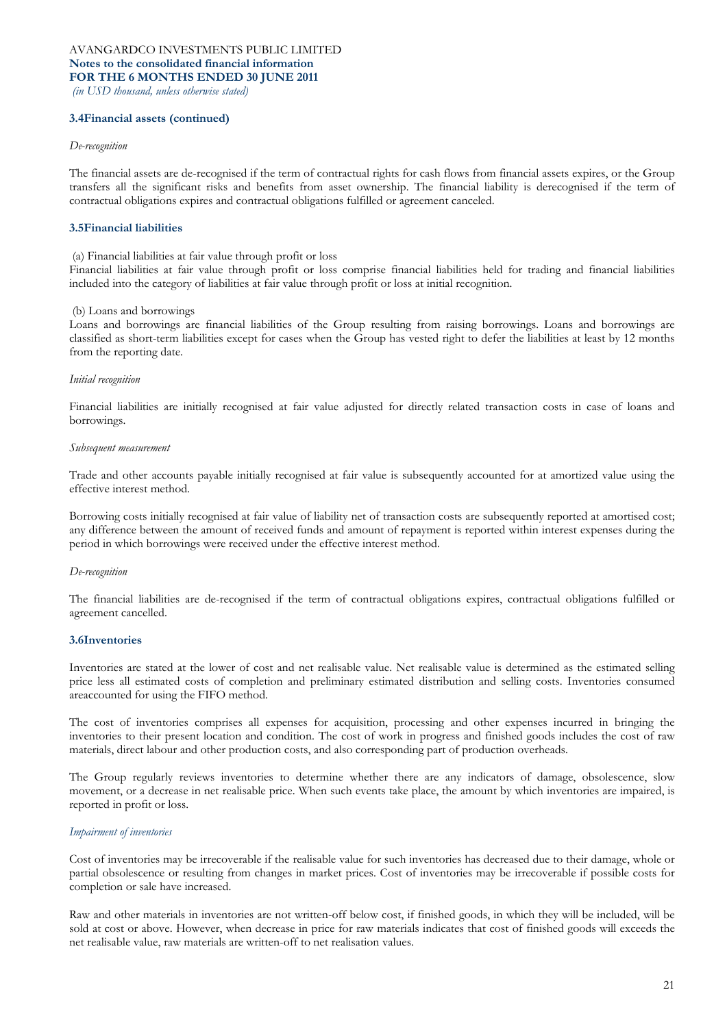#### **3.4Financial assets (continued)**

#### *De-recognition*

The financial assets are de-recognised if the term of contractual rights for cash flows from financial assets expires, or the Group transfers all the significant risks and benefits from asset ownership. The financial liability is derecognised if the term of contractual obligations expires and contractual obligations fulfilled or agreement canceled.

#### **3.5Financial liabilities**

#### (а) Financial liabilities at fair value through profit or loss

Financial liabilities at fair value through profit or loss comprise financial liabilities held for trading and financial liabilities included into the category of liabilities at fair value through profit or loss at initial recognition.

#### (b) Loans and borrowings

Loans and borrowings are financial liabilities of the Group resulting from raising borrowings. Loans and borrowings are classified as short-term liabilities except for cases when the Group has vested right to defer the liabilities at least by 12 months from the reporting date.

#### *Initial recognition*

Financial liabilities are initially recognised at fair value adjusted for directly related transaction costs in case of loans and borrowings.

#### *Subsequent measurement*

Trade and other accounts payable initially recognised at fair value is subsequently accounted for at amortized value using the effective interest method.

Borrowing costs initially recognised at fair value of liability net of transaction costs are subsequently reported at amortised cost; any difference between the amount of received funds and amount of repayment is reported within interest expenses during the period in which borrowings were received under the effective interest method.

#### *De-recognition*

The financial liabilities are de-recognised if the term of contractual obligations expires, contractual obligations fulfilled or agreement cancelled.

#### **3.6Inventories**

Inventories are stated at the lower of cost and net realisable value. Net realisable value is determined as the estimated selling price less all estimated costs of completion and preliminary estimated distribution and selling costs. Inventories consumed areaccounted for using the FIFO method.

The cost of inventories comprises all expenses for acquisition, processing and other expenses incurred in bringing the inventories to their present location and condition. The cost of work in progress and finished goods includes the cost of raw materials, direct labour and other production costs, and also corresponding part of production overheads.

The Group regularly reviews inventories to determine whether there are any indicators of damage, obsolescence, slow movement, or a decrease in net realisable price. When such events take place, the amount by which inventories are impaired, is reported in profit or loss.

#### *Impairment of inventories*

Cost of inventories may be irrecoverable if the realisable value for such inventories has decreased due to their damage, whole or partial obsolescence or resulting from changes in market prices. Cost of inventories may be irrecoverable if possible costs for completion or sale have increased.

Raw and other materials in inventories are not written-off below cost, if finished goods, in which they will be included, will be sold at cost or above. However, when decrease in price for raw materials indicates that cost of finished goods will exceeds the net realisable value, raw materials are written-off to net realisation values.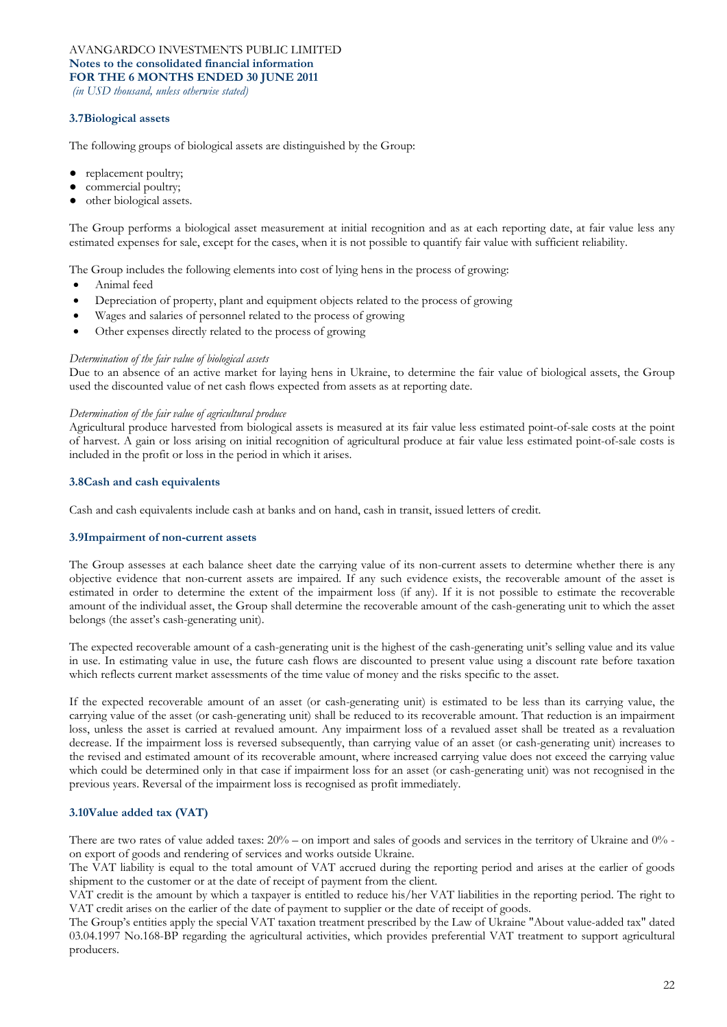#### **3.7Biological assets**

The following groups of biological assets are distinguished by the Group:

- replacement poultry;
- commercial poultry;
- other biological assets.

The Group performs a biological asset measurement at initial recognition and as at each reporting date, at fair value less any estimated expenses for sale, except for the cases, when it is not possible to quantify fair value with sufficient reliability.

The Group includes the following elements into cost of lying hens in the process of growing:

- Animal feed
- Depreciation of property, plant and equipment objects related to the process of growing
- Wages and salaries of personnel related to the process of growing
- Other expenses directly related to the process of growing

#### *Determination of the fair value of biological assets*

Due to an absence of an active market for laying hens in Ukraine, to determine the fair value of biological assets, the Group used the discounted value of net cash flows expected from assets as at reporting date.

#### *Determination of the fair value of agricultural produce*

Agricultural produce harvested from biological assets is measured at its fair value less estimated point-of-sale costs at the point of harvest. A gain or loss arising on initial recognition of agricultural produce at fair value less estimated point-of-sale costs is included in the profit or loss in the period in which it arises.

#### **3.8Cash and cash equivalents**

Cash and cash equivalents include cash at banks and on hand, cash in transit, issued letters of credit.

#### **3.9Impairment of non-current assets**

The Group assesses at each balance sheet date the carrying value of its non-current assets to determine whether there is any objective evidence that non-current assets are impaired. If any such evidence exists, the recoverable amount of the asset is estimated in order to determine the extent of the impairment loss (if any). If it is not possible to estimate the recoverable amount of the individual asset, the Group shall determine the recoverable amount of the cash-generating unit to which the asset belongs (the asset's cash-generating unit).

The expected recoverable amount of a cash-generating unit is the highest of the cash-generating unit's selling value and its value in use. In estimating value in use, the future cash flows are discounted to present value using a discount rate before taxation which reflects current market assessments of the time value of money and the risks specific to the asset.

If the expected recoverable amount of an asset (or cash-generating unit) is estimated to be less than its carrying value, the carrying value of the asset (or cash-generating unit) shall be reduced to its recoverable amount. That reduction is an impairment loss, unless the asset is carried at revalued amount. Any impairment loss of a revalued asset shall be treated as a revaluation decrease. If the impairment loss is reversed subsequently, than carrying value of an asset (or cash-generating unit) increases to the revised and estimated amount of its recoverable amount, where increased carrying value does not exceed the carrying value which could be determined only in that case if impairment loss for an asset (or cash-generating unit) was not recognised in the previous years. Reversal of the impairment loss is recognised as profit immediately.

#### **3.10Value added tax (VAT)**

There are two rates of value added taxes: 20% – on import and sales of goods and services in the territory of Ukraine and 0% on export of goods and rendering of services and works outside Ukraine.

The VAT liability is equal to the total amount of VAT accrued during the reporting period and arises at the earlier of goods shipment to the customer or at the date of receipt of payment from the client.

VAT credit is the amount by which a taxpayer is entitled to reduce his/her VAT liabilities in the reporting period. The right to VAT credit arises on the earlier of the date of payment to supplier or the date of receipt of goods.

The Group's entities apply the special VAT taxation treatment prescribed by the Law of Ukraine "About value-added tax" dated 03.04.1997 No.168-ВР regarding the agricultural activities, which provides preferential VAT treatment to support agricultural producers.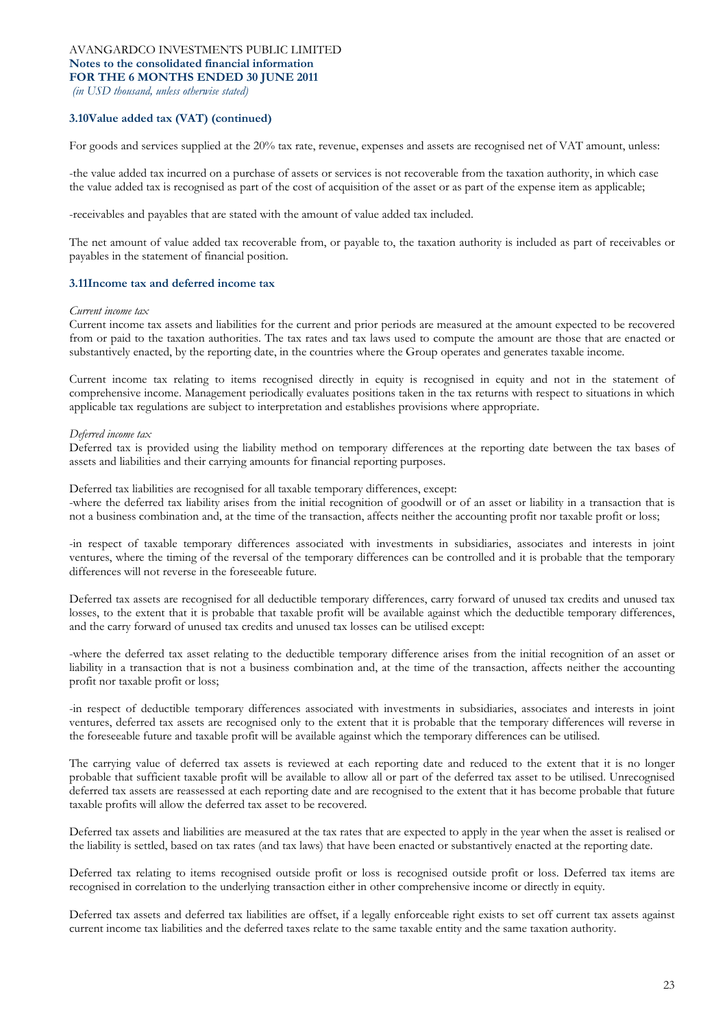# **3.10Value added tax (VAT) (continued)**

For goods and services supplied at the 20% tax rate, revenue, expenses and assets are recognised net of VAT amount, unless:

-the value added tax incurred on a purchase of assets or services is not recoverable from the taxation authority, in which case the value added tax is recognised as part of the cost of acquisition of the asset or as part of the expense item as applicable;

-receivables and payables that are stated with the amount of value added tax included.

The net amount of value added tax recoverable from, or payable to, the taxation authority is included as part of receivables or payables in the statement of financial position.

#### **3.11Income tax and deferred income tax**

#### *Current income tax*

Current income tax assets and liabilities for the current and prior periods are measured at the amount expected to be recovered from or paid to the taxation authorities. The tax rates and tax laws used to compute the amount are those that are enacted or substantively enacted, by the reporting date, in the countries where the Group operates and generates taxable income.

Current income tax relating to items recognised directly in equity is recognised in equity and not in the statement of comprehensive income. Management periodically evaluates positions taken in the tax returns with respect to situations in which applicable tax regulations are subject to interpretation and establishes provisions where appropriate.

#### *Deferred income tax*

Deferred tax is provided using the liability method on temporary differences at the reporting date between the tax bases of assets and liabilities and their carrying amounts for financial reporting purposes.

Deferred tax liabilities are recognised for all taxable temporary differences, except:

-where the deferred tax liability arises from the initial recognition of goodwill or of an asset or liability in a transaction that is not a business combination and, at the time of the transaction, affects neither the accounting profit nor taxable profit or loss;

-in respect of taxable temporary differences associated with investments in subsidiaries, associates and interests in joint ventures, where the timing of the reversal of the temporary differences can be controlled and it is probable that the temporary differences will not reverse in the foreseeable future.

Deferred tax assets are recognised for all deductible temporary differences, carry forward of unused tax credits and unused tax losses, to the extent that it is probable that taxable profit will be available against which the deductible temporary differences, and the carry forward of unused tax credits and unused tax losses can be utilised except:

-where the deferred tax asset relating to the deductible temporary difference arises from the initial recognition of an asset or liability in a transaction that is not a business combination and, at the time of the transaction, affects neither the accounting profit nor taxable profit or loss;

-in respect of deductible temporary differences associated with investments in subsidiaries, associates and interests in joint ventures, deferred tax assets are recognised only to the extent that it is probable that the temporary differences will reverse in the foreseeable future and taxable profit will be available against which the temporary differences can be utilised.

The carrying value of deferred tax assets is reviewed at each reporting date and reduced to the extent that it is no longer probable that sufficient taxable profit will be available to allow all or part of the deferred tax asset to be utilised. Unrecognised deferred tax assets are reassessed at each reporting date and are recognised to the extent that it has become probable that future taxable profits will allow the deferred tax asset to be recovered.

Deferred tax assets and liabilities are measured at the tax rates that are expected to apply in the year when the asset is realised or the liability is settled, based on tax rates (and tax laws) that have been enacted or substantively enacted at the reporting date.

Deferred tax relating to items recognised outside profit or loss is recognised outside profit or loss. Deferred tax items are recognised in correlation to the underlying transaction either in other comprehensive income or directly in equity.

Deferred tax assets and deferred tax liabilities are offset, if a legally enforceable right exists to set off current tax assets against current income tax liabilities and the deferred taxes relate to the same taxable entity and the same taxation authority.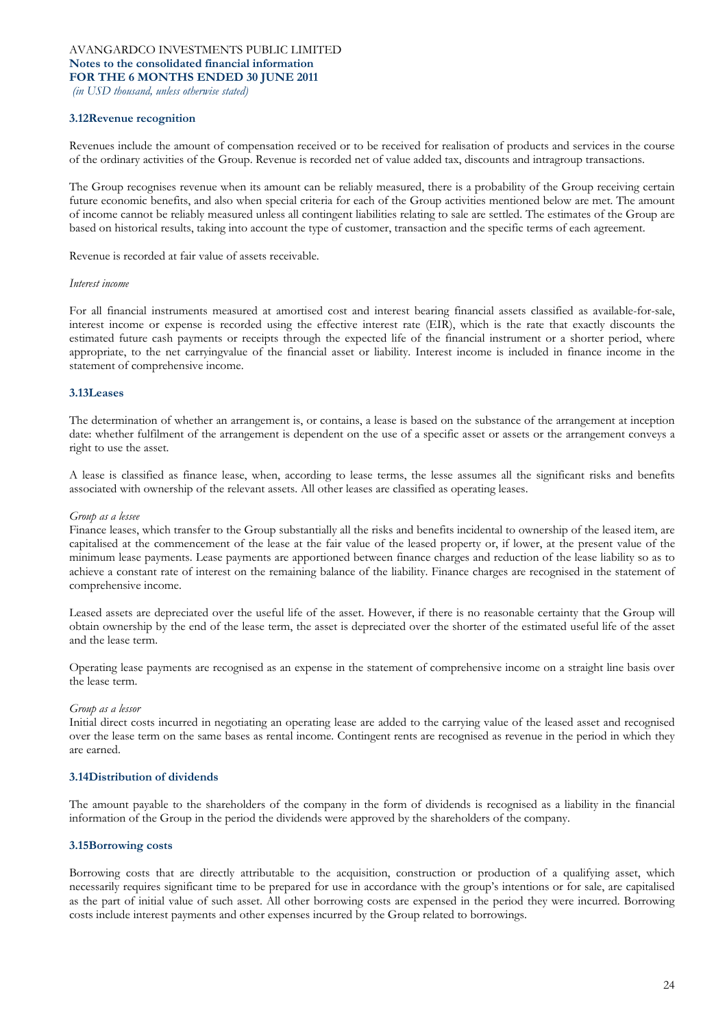#### **3.12Revenue recognition**

Revenues include the amount of compensation received or to be received for realisation of products and services in the course of the ordinary activities of the Group. Revenue is recorded net of value added tax, discounts and intragroup transactions.

The Group recognises revenue when its amount can be reliably measured, there is a probability of the Group receiving certain future economic benefits, and also when special criteria for each of the Group activities mentioned below are met. The amount of income cannot be reliably measured unless all contingent liabilities relating to sale are settled. The estimates of the Group are based on historical results, taking into account the type of customer, transaction and the specific terms of each agreement.

Revenue is recorded at fair value of assets receivable.

#### *Interest income*

For all financial instruments measured at amortised cost and interest bearing financial assets classified as available-for-sale, interest income or expense is recorded using the effective interest rate (EIR), which is the rate that exactly discounts the estimated future cash payments or receipts through the expected life of the financial instrument or a shorter period, where appropriate, to the net carryingvalue of the financial asset or liability. Interest income is included in finance income in the statement of comprehensive income.

#### **3.13Leases**

The determination of whether an arrangement is, or contains, a lease is based on the substance of the arrangement at inception date: whether fulfilment of the arrangement is dependent on the use of a specific asset or assets or the arrangement conveys a right to use the asset.

A lease is classified as finance lease, when, according to lease terms, the lesse assumes all the significant risks and benefits associated with ownership of the relevant assets. All other leases are classified as operating leases.

#### *Group as a lessee*

Finance leases, which transfer to the Group substantially all the risks and benefits incidental to ownership of the leased item, are capitalised at the commencement of the lease at the fair value of the leased property or, if lower, at the present value of the minimum lease payments. Lease payments are apportioned between finance charges and reduction of the lease liability so as to achieve a constant rate of interest on the remaining balance of the liability. Finance charges are recognised in the statement of comprehensive income.

Leased assets are depreciated over the useful life of the asset. However, if there is no reasonable certainty that the Group will obtain ownership by the end of the lease term, the asset is depreciated over the shorter of the estimated useful life of the asset and the lease term.

Operating lease payments are recognised as an expense in the statement of comprehensive income on a straight line basis over the lease term.

#### *Group as a lessor*

Initial direct costs incurred in negotiating an operating lease are added to the carrying value of the leased asset and recognised over the lease term on the same bases as rental income. Contingent rents are recognised as revenue in the period in which they are earned.

#### **3.14Distribution of dividends**

The amount payable to the shareholders of the company in the form of dividends is recognised as a liability in the financial information of the Group in the period the dividends were approved by the shareholders of the company.

#### **3.15Borrowing costs**

Borrowing costs that are directly attributable to the acquisition, construction or production of a qualifying asset, which necessarily requires significant time to be prepared for use in accordance with the group's intentions or for sale, are capitalised as the part of initial value of such asset. All other borrowing costs are expensed in the period they were incurred. Borrowing costs include interest payments and other expenses incurred by the Group related to borrowings.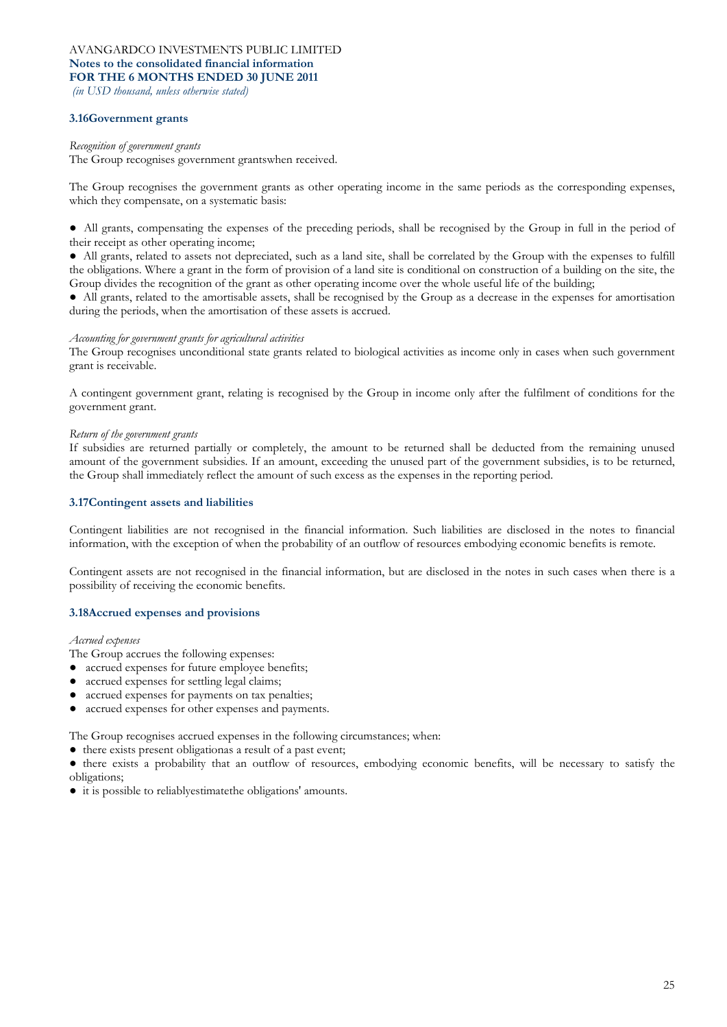#### **3.16Government grants**

#### *Recognition of government grants*

The Group recognises government grantswhen received.

The Group recognises the government grants as other operating income in the same periods as the corresponding expenses, which they compensate, on a systematic basis:

● All grants, compensating the expenses of the preceding periods, shall be recognised by the Group in full in the period of their receipt as other operating income;

● All grants, related to assets not depreciated, such as a land site, shall be correlated by the Group with the expenses to fulfill the obligations. Where a grant in the form of provision of a land site is conditional on construction of a building on the site, the Group divides the recognition of the grant as other operating income over the whole useful life of the building;

● All grants, related to the amortisable assets, shall be recognised by the Group as a decrease in the expenses for amortisation during the periods, when the amortisation of these assets is accrued.

#### *Accounting for government grants for agricultural activities*

The Group recognises unconditional state grants related to biological activities as income only in cases when such government grant is receivable.

A contingent government grant, relating is recognised by the Group in income only after the fulfilment of conditions for the government grant.

#### *Return of the government grants*

If subsidies are returned partially or completely, the amount to be returned shall be deducted from the remaining unused amount of the government subsidies. If an amount, exceeding the unused part of the government subsidies, is to be returned, the Group shall immediately reflect the amount of such excess as the expenses in the reporting period.

#### **3.17Contingent assets and liabilities**

Contingent liabilities are not recognised in the financial information. Such liabilities are disclosed in the notes to financial information, with the exception of when the probability of an outflow of resources embodying economic benefits is remote.

Contingent assets are not recognised in the financial information, but are disclosed in the notes in such cases when there is a possibility of receiving the economic benefits.

#### **3.18Accrued expenses and provisions**

#### *Accrued expenses*

The Group accrues the following expenses:

- accrued expenses for future employee benefits;
- accrued expenses for settling legal claims;
- accrued expenses for payments on tax penalties;
- accrued expenses for other expenses and payments.

The Group recognises accrued expenses in the following circumstances; when:

● there exists present obligationas a result of a past event;

● there exists a probability that an outflow of resources, embodying economic benefits, will be necessary to satisfy the obligations;

● it is possible to reliablyestimatethe obligations' amounts.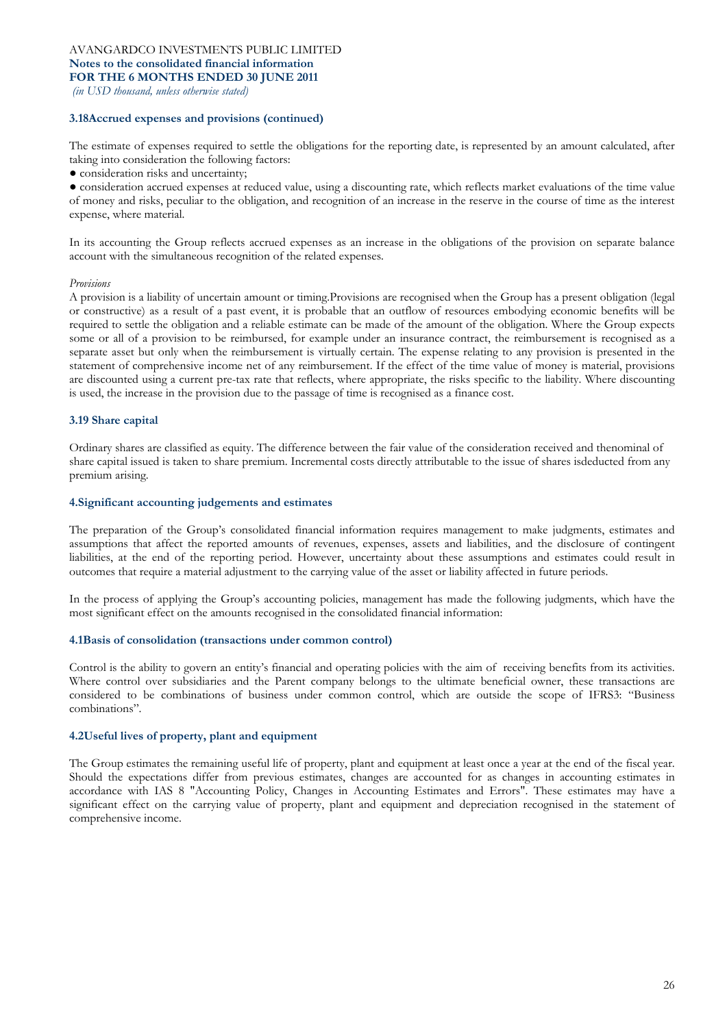#### **3.18Accrued expenses and provisions (continued)**

The estimate of expenses required to settle the obligations for the reporting date, is represented by an amount calculated, after taking into consideration the following factors:

● consideration risks and uncertainty;

● consideration accrued expenses at reduced value, using a discounting rate, which reflects market evaluations of the time value of money and risks, peculiar to the obligation, and recognition of an increase in the reserve in the course of time as the interest expense, where material.

In its accounting the Group reflects accrued expenses as an increase in the obligations of the provision on separate balance account with the simultaneous recognition of the related expenses.

#### *Provisions*

A provision is a liability of uncertain amount or timing.Provisions are recognised when the Group has a present obligation (legal or constructive) as a result of a past event, it is probable that an outflow of resources embodying economic benefits will be required to settle the obligation and a reliable estimate can be made of the amount of the obligation. Where the Group expects some or all of a provision to be reimbursed, for example under an insurance contract, the reimbursement is recognised as a separate asset but only when the reimbursement is virtually certain. The expense relating to any provision is presented in the statement of comprehensive income net of any reimbursement. If the effect of the time value of money is material, provisions are discounted using a current pre-tax rate that reflects, where appropriate, the risks specific to the liability. Where discounting is used, the increase in the provision due to the passage of time is recognised as a finance cost.

#### **3.19 Share capital**

Ordinary shares are classified as equity. The difference between the fair value of the consideration received and thenominal of share capital issued is taken to share premium. Incremental costs directly attributable to the issue of shares isdeducted from any premium arising.

#### **4.Significant accounting judgements and estimates**

The preparation of the Group's consolidated financial information requires management to make judgments, estimates and assumptions that affect the reported amounts of revenues, expenses, assets and liabilities, and the disclosure of contingent liabilities, at the end of the reporting period. However, uncertainty about these assumptions and estimates could result in outcomes that require a material adjustment to the carrying value of the asset or liability affected in future periods.

In the process of applying the Group's accounting policies, management has made the following judgments, which have the most significant effect on the amounts recognised in the consolidated financial information:

#### **4.1Basis of consolidation (transactions under common control)**

Control is the ability to govern an entity's financial and operating policies with the aim of receiving benefits from its activities. Where control over subsidiaries and the Parent company belongs to the ultimate beneficial owner, these transactions are considered to be combinations of business under common control, which are outside the scope of IFRS3: "Business combinations".

#### **4.2Useful lives of property, plant and equipment**

The Group estimates the remaining useful life of property, plant and equipment at least once a year at the end of the fiscal year. Should the expectations differ from previous estimates, changes are accounted for as changes in accounting estimates in accordance with IAS 8 "Accounting Policy, Changes in Accounting Estimates and Errors". These estimates may have a significant effect on the carrying value of property, plant and equipment and depreciation recognised in the statement of comprehensive income.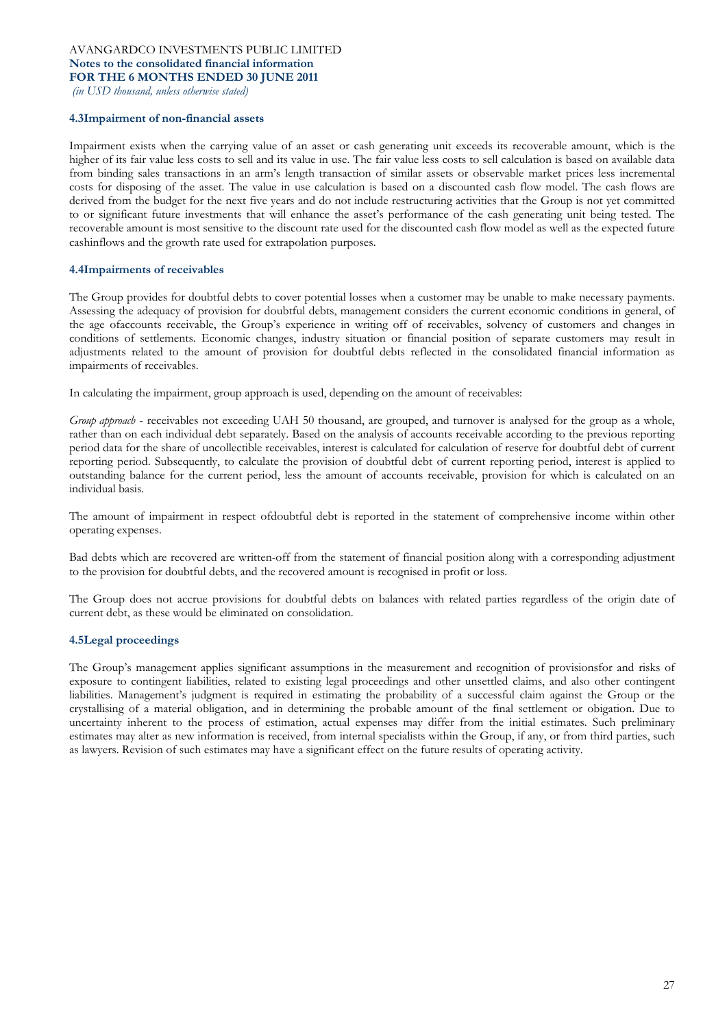**4.3Impairment of non-financial assets** 

Impairment exists when the carrying value of an asset or cash generating unit exceeds its recoverable amount, which is the higher of its fair value less costs to sell and its value in use. The fair value less costs to sell calculation is based on available data from binding sales transactions in an arm's length transaction of similar assets or observable market prices less incremental costs for disposing of the asset. The value in use calculation is based on a discounted cash flow model. The cash flows are derived from the budget for the next five years and do not include restructuring activities that the Group is not yet committed to or significant future investments that will enhance the asset's performance of the cash generating unit being tested. The recoverable amount is most sensitive to the discount rate used for the discounted cash flow model as well as the expected future cashinflows and the growth rate used for extrapolation purposes.

#### **4.4Impairments of receivables**

The Group provides for doubtful debts to cover potential losses when a customer may be unable to make necessary payments. Assessing the adequacy of provision for doubtful debts, management considers the current economic conditions in general, of the age ofaccounts receivable, the Group's experience in writing off of receivables, solvency of customers and changes in conditions of settlements. Economic changes, industry situation or financial position of separate customers may result in adjustments related to the amount of provision for doubtful debts reflected in the consolidated financial information as impairments of receivables.

In calculating the impairment, group approach is used, depending on the amount of receivables:

*Group approach* - receivables not exceeding UAH 50 thousand, are grouped, and turnover is analysed for the group as a whole, rather than on each individual debt separately. Based on the analysis of accounts receivable according to the previous reporting period data for the share of uncollectible receivables, interest is calculated for calculation of reserve for doubtful debt of current reporting period. Subsequently, to calculate the provision of doubtful debt of current reporting period, interest is applied to outstanding balance for the current period, less the amount of accounts receivable, provision for which is calculated on an individual basis.

The amount of impairment in respect ofdoubtful debt is reported in the statement of comprehensive income within other operating expenses.

Bad debts which are recovered are written-off from the statement of financial position along with a corresponding adjustment to the provision for doubtful debts, and the recovered amount is recognised in profit or loss.

The Group does not accrue provisions for doubtful debts on balances with related parties regardless of the origin date of current debt, as these would be eliminated on consolidation.

#### **4.5Legal proceedings**

The Group's management applies significant assumptions in the measurement and recognition of provisionsfor and risks of exposure to contingent liabilities, related to existing legal proceedings and other unsettled claims, and also other contingent liabilities. Management's judgment is required in estimating the probability of a successful claim against the Group or the crystallising of a material obligation, and in determining the probable amount of the final settlement or obigation. Due to uncertainty inherent to the process of estimation, actual expenses may differ from the initial estimates. Such preliminary estimates may alter as new information is received, from internal specialists within the Group, if any, or from third parties, such as lawyers. Revision of such estimates may have a significant effect on the future results of operating activity.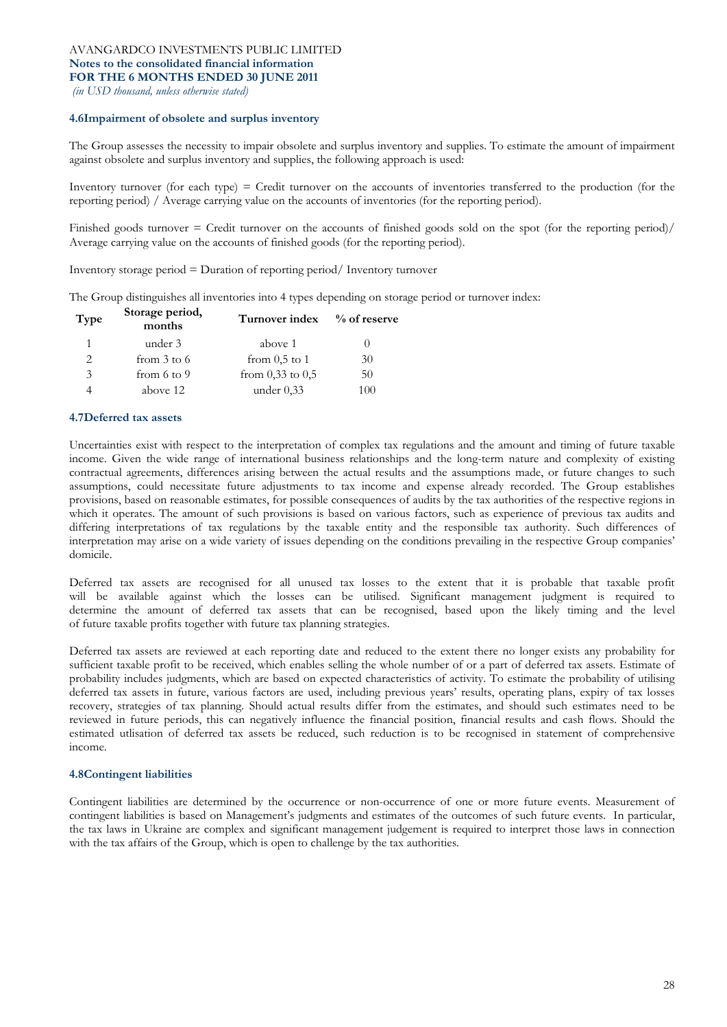#### **4.6Impairment of obsolete and surplus inventory**

The Group assesses the necessity to impair obsolete and surplus inventory and supplies. To estimate the amount of impairment against obsolete and surplus inventory and supplies, the following approach is used:

Inventory turnover (for each type) = Credit turnover on the accounts of inventories transferred to the production (for the reporting period) / Average carrying value on the accounts of inventories (for the reporting period).

Finished goods turnover = Credit turnover on the accounts of finished goods sold on the spot (for the reporting period)/ Average carrying value on the accounts of finished goods (for the reporting period).

Inventory storage period = Duration of reporting period/ Inventory turnover

The Group distinguishes all inventories into 4 types depending on storage period or turnover index:

| Type                        | Storage period,<br>months | Turnover index       | $\%$ of reserve |
|-----------------------------|---------------------------|----------------------|-----------------|
|                             | under 3                   | above 1              |                 |
| $\mathcal{D}_{\mathcal{L}}$ | from $3$ to $6$           | from $0.5$ to 1      | 30              |
| 3                           | from $6$ to $9$           | from $0,33$ to $0,5$ | 50              |
|                             | above 12                  | under $0,33$         | 100             |

#### **4.7Deferred tax assets**

Uncertainties exist with respect to the interpretation of complex tax regulations and the amount and timing of future taxable income. Given the wide range of international business relationships and the long-term nature and complexity of existing contractual agreements, differences arising between the actual results and the assumptions made, or future changes to such assumptions, could necessitate future adjustments to tax income and expense already recorded. The Group establishes provisions, based on reasonable estimates, for possible consequences of audits by the tax authorities of the respective regions in which it operates. The amount of such provisions is based on various factors, such as experience of previous tax audits and differing interpretations of tax regulations by the taxable entity and the responsible tax authority. Such differences of interpretation may arise on a wide variety of issues depending on the conditions prevailing in the respective Group companies' domicile.

Deferred tax assets are recognised for all unused tax losses to the extent that it is probable that taxable profit will be available against which the losses can be utilised. Significant management judgment is required to determine the amount of deferred tax assets that can be recognised, based upon the likely timing and the level of future taxable profits together with future tax planning strategies.

Deferred tax assets are reviewed at each reporting date and reduced to the extent there no longer exists any probability for sufficient taxable profit to be received, which enables selling the whole number of or a part of deferred tax assets. Estimate of probability includes judgments, which are based on expected characteristics of activity. To estimate the probability of utilising deferred tax assets in future, various factors are used, including previous years' results, operating plans, expiry of tax losses recovery, strategies of tax planning. Should actual results differ from the estimates, and should such estimates need to be reviewed in future periods, this can negatively influence the financial position, financial results and cash flows. Should the estimated utlisation of deferred tax assets be reduced, such reduction is to be recognised in statement of comprehensive income.

#### **4.8Contingent liabilities**

Contingent liabilities are determined by the occurrence or non-occurrence of one or more future events. Measurement of contingent liabilities is based on Management's judgments and estimates of the outcomes of such future events. In particular, the tax laws in Ukraine are complex and significant management judgement is required to interpret those laws in connection with the tax affairs of the Group, which is open to challenge by the tax authorities.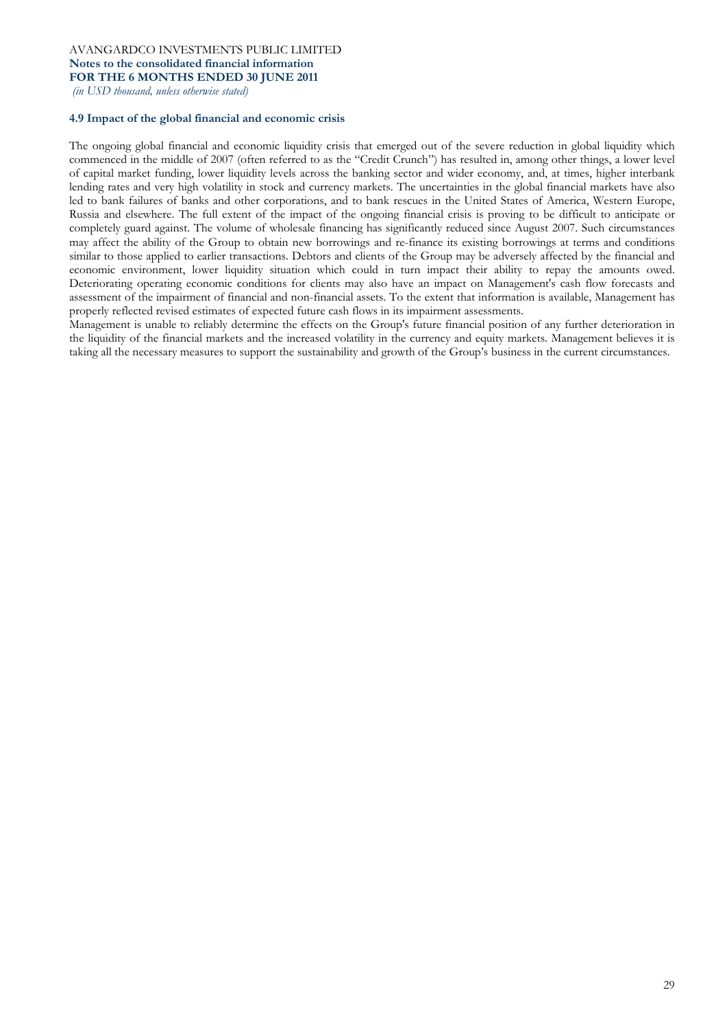*(in USD thousand, unless otherwise stated)*

#### **4.9 Impact of the global financial and economic crisis**

The ongoing global financial and economic liquidity crisis that emerged out of the severe reduction in global liquidity which commenced in the middle of 2007 (often referred to as the "Credit Crunch") has resulted in, among other things, a lower level of capital market funding, lower liquidity levels across the banking sector and wider economy, and, at times, higher interbank lending rates and very high volatility in stock and currency markets. The uncertainties in the global financial markets have also led to bank failures of banks and other corporations, and to bank rescues in the United States of America, Western Europe, Russia and elsewhere. The full extent of the impact of the ongoing financial crisis is proving to be difficult to anticipate or completely guard against. The volume of wholesale financing has significantly reduced since August 2007. Such circumstances may affect the ability of the Group to obtain new borrowings and re-finance its existing borrowings at terms and conditions similar to those applied to earlier transactions. Debtors and clients of the Group may be adversely affected by the financial and economic environment, lower liquidity situation which could in turn impact their ability to repay the amounts owed. Deteriorating operating economic conditions for clients may also have an impact on Management's cash flow forecasts and assessment of the impairment of financial and non-financial assets. To the extent that information is available, Management has properly reflected revised estimates of expected future cash flows in its impairment assessments.

Management is unable to reliably determine the effects on the Group's future financial position of any further deterioration in the liquidity of the financial markets and the increased volatility in the currency and equity markets. Management believes it is taking all the necessary measures to support the sustainability and growth of the Group's business in the current circumstances.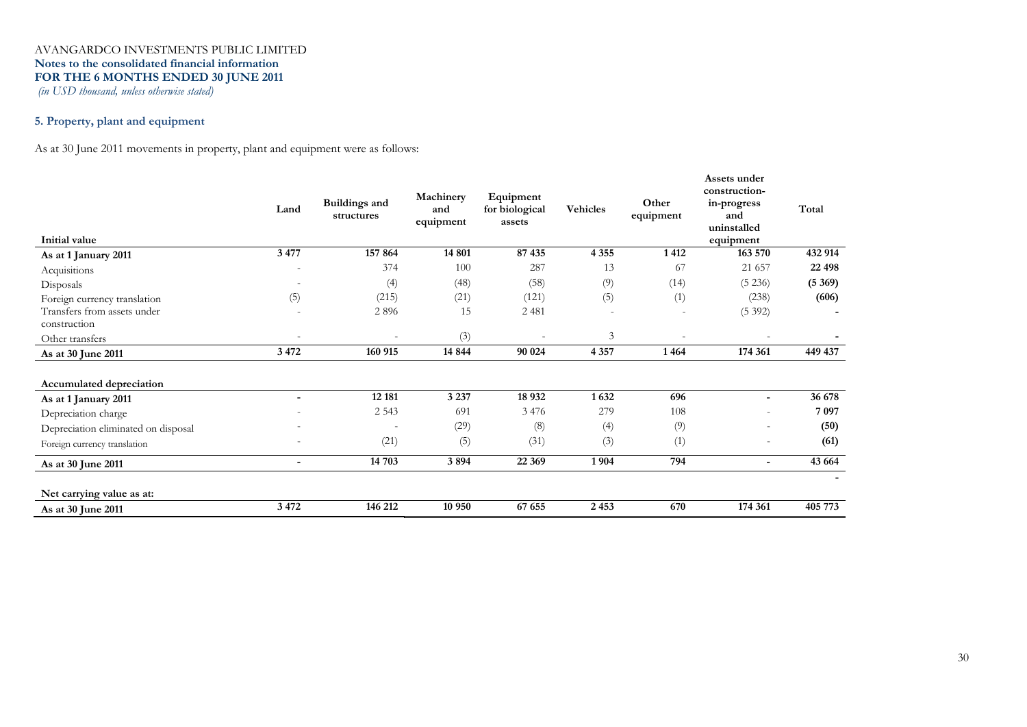*(in USD thousand, unless otherwise stated)*

## **5. Property, plant and equipment, net 5. Property, plant and equipment**

As at 30 June 2011 movements in property, plant and equipment were as follows:

| <b>Initial value</b>                | Land                         | <b>Buildings</b> and<br>structures | Machinery<br>and<br>equipment | Equipment<br>for biological<br>assets | <b>Vehicles</b> | Other<br>equipment | Assets under<br>construction-<br>in-progress<br>and<br>uninstalled<br>equipment | Total   |
|-------------------------------------|------------------------------|------------------------------------|-------------------------------|---------------------------------------|-----------------|--------------------|---------------------------------------------------------------------------------|---------|
| As at 1 January 2011                | 3 4 7 7                      | 157 864                            | 14 801                        | 87 435                                | 4 3 5 5         | 1 4 1 2            | 163 570                                                                         | 432 914 |
| Acquisitions                        |                              | 374                                | 100                           | 287                                   | 13              | 67                 | 21 657                                                                          | 22 4 98 |
| Disposals                           |                              | (4)                                | (48)                          | (58)                                  | (9)             | (14)               | (5 236)                                                                         | (5369)  |
| Foreign currency translation        | (5)                          | (215)                              | (21)                          | (121)                                 | (5)             | (1)                | (238)                                                                           | (606)   |
| Transfers from assets under         |                              | 2896                               | 15                            | 2 4 8 1                               |                 |                    | (5392)                                                                          |         |
| construction                        |                              |                                    |                               |                                       |                 |                    |                                                                                 |         |
| Other transfers                     | $\overline{a}$               | $\overline{\phantom{a}}$           | (3)                           |                                       | 3               |                    |                                                                                 |         |
| As at 30 June 2011                  | 3 4 7 2                      | 160 915                            | 14 844                        | 90 024                                | 4 3 5 7         | 1464               | 174 361                                                                         | 449 437 |
|                                     |                              |                                    |                               |                                       |                 |                    |                                                                                 |         |
| Accumulated depreciation            |                              |                                    |                               |                                       |                 |                    |                                                                                 |         |
| As at 1 January 2011                | $\blacksquare$               | 12 18 1                            | 3 2 3 7                       | 18 9 32                               | 1632            | 696                | $\qquad \qquad \blacksquare$                                                    | 36 678  |
| Depreciation charge                 |                              | 2 5 4 3                            | 691                           | 3 4 7 6                               | 279             | 108                | L,                                                                              | 7097    |
| Depreciation eliminated on disposal |                              |                                    | (29)                          | (8)                                   | (4)             | (9)                | $\overline{a}$                                                                  | (50)    |
| Foreign currency translation        |                              | (21)                               | (5)                           | (31)                                  | (3)             | (1)                | $\overline{a}$                                                                  | (61)    |
| As at 30 June 2011                  | $\qquad \qquad \blacksquare$ | 14 703                             | 3894                          | 22 3 69                               | 1904            | 794                | $\overline{\phantom{0}}$                                                        | 43 664  |
|                                     |                              |                                    |                               |                                       |                 |                    |                                                                                 |         |
| Net carrying value as at:           |                              |                                    |                               |                                       |                 |                    |                                                                                 |         |
| As at 30 June 2011                  | 3 4 7 2                      | 146 212                            | 10 950                        | 67 655                                | 2 4 5 3         | 670                | 174 361                                                                         | 405 773 |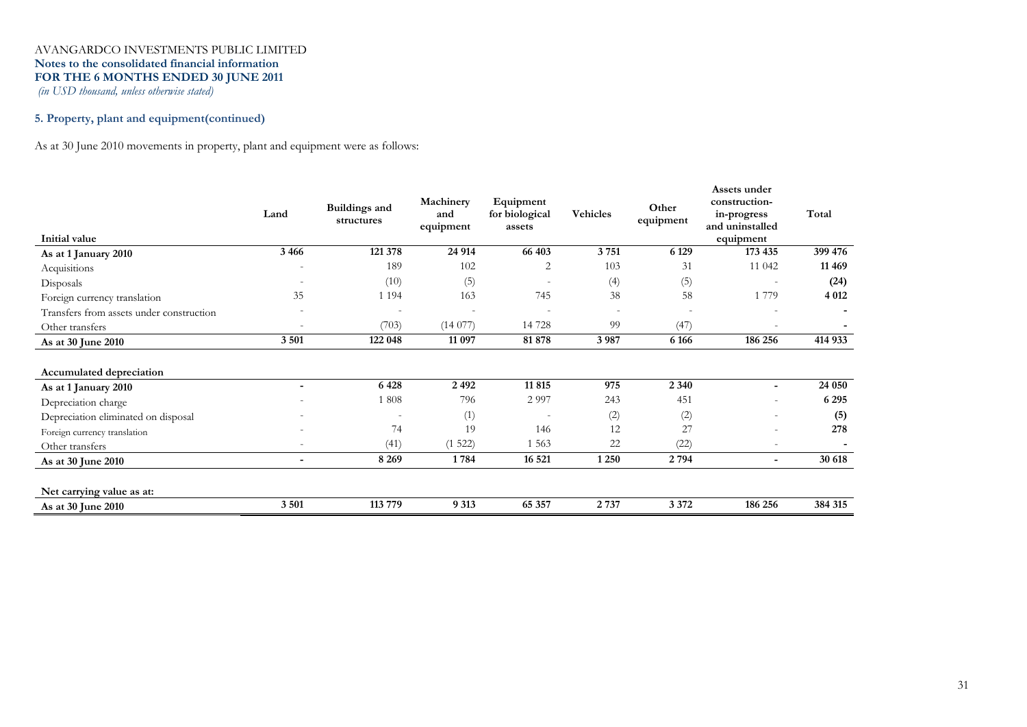*(in USD thousand, unless otherwise stated)*

## **5. Property, plant and equipment(continued)**

As at 30 June 2010 movements in property, plant and equipment were as follows:

| Initial value                            | Land                     | <b>Buildings and</b><br>structures | Machinery<br>and<br>equipment | Equipment<br>for biological<br>assets | <b>Vehicles</b> | Other<br>equipment       | Assets under<br>construction-<br>in-progress<br>and uninstalled<br>equipment | Total   |
|------------------------------------------|--------------------------|------------------------------------|-------------------------------|---------------------------------------|-----------------|--------------------------|------------------------------------------------------------------------------|---------|
| As at 1 January 2010                     | 3 4 6 6                  | 121 378                            | 24 914                        | 66 403                                | 3751            | 6 1 29                   | 173 435                                                                      | 399 476 |
| Acquisitions                             | $\overline{a}$           | 189                                | 102                           | $\overline{2}$                        | 103             | 31                       | 11 042                                                                       | 11 4 69 |
| Disposals                                |                          | (10)                               | (5)                           |                                       | (4)             | (5)                      |                                                                              | (24)    |
| Foreign currency translation             | 35                       | 1 1 9 4                            | 163                           | 745                                   | 38              | 58                       | 1 779                                                                        | 4 0 12  |
| Transfers from assets under construction | $\overline{\phantom{a}}$ | $\overline{a}$                     | $\overline{a}$                |                                       | $\overline{a}$  | $\overline{\phantom{a}}$ | $\overline{a}$                                                               |         |
| Other transfers                          |                          | (703)                              | (14077)                       | 14 7 28                               | 99              | (47)                     |                                                                              |         |
| As at 30 June 2010                       | 3 5 0 1                  | 122 048                            | 11 097                        | 81878                                 | 3 9 8 7         | 6 1 6 6                  | 186 256                                                                      | 414 933 |
| Accumulated depreciation                 |                          |                                    |                               |                                       |                 |                          |                                                                              |         |
| As at 1 January 2010                     | -                        | 6428                               | 2492                          | 11 815                                | 975             | 2 3 4 0                  | $\overline{\phantom{a}}$                                                     | 24 050  |
| Depreciation charge                      |                          | 1808                               | 796                           | 2 9 9 7                               | 243             | 451                      | $\overline{\phantom{a}}$                                                     | 6 2 9 5 |
| Depreciation eliminated on disposal      | $\overline{\phantom{a}}$ | $\overline{\phantom{a}}$           | (1)                           |                                       | (2)             | (2)                      | $\overline{\phantom{a}}$                                                     | (5)     |
| Foreign currency translation             |                          | 74                                 | 19                            | 146                                   | 12              | 27                       | $\overline{\phantom{a}}$                                                     | 278     |
| Other transfers                          | $\overline{a}$           | (41)                               | (1 522)                       | 1 5 6 3                               | 22              | (22)                     | $\overline{\phantom{a}}$                                                     |         |
| As at 30 June 2010                       | $\blacksquare$           | 8 2 6 9                            | 1784                          | 16 521                                | 1 2 5 0         | 2794                     | $\blacksquare$                                                               | 30 618  |
| Net carrying value as at:                |                          |                                    |                               |                                       |                 |                          |                                                                              |         |
| As at 30 June 2010                       | 3 5 0 1                  | 113 779                            | 9 3 13                        | 65 357                                | 2 7 3 7         | 3 3 7 2                  | 186 256                                                                      | 384 315 |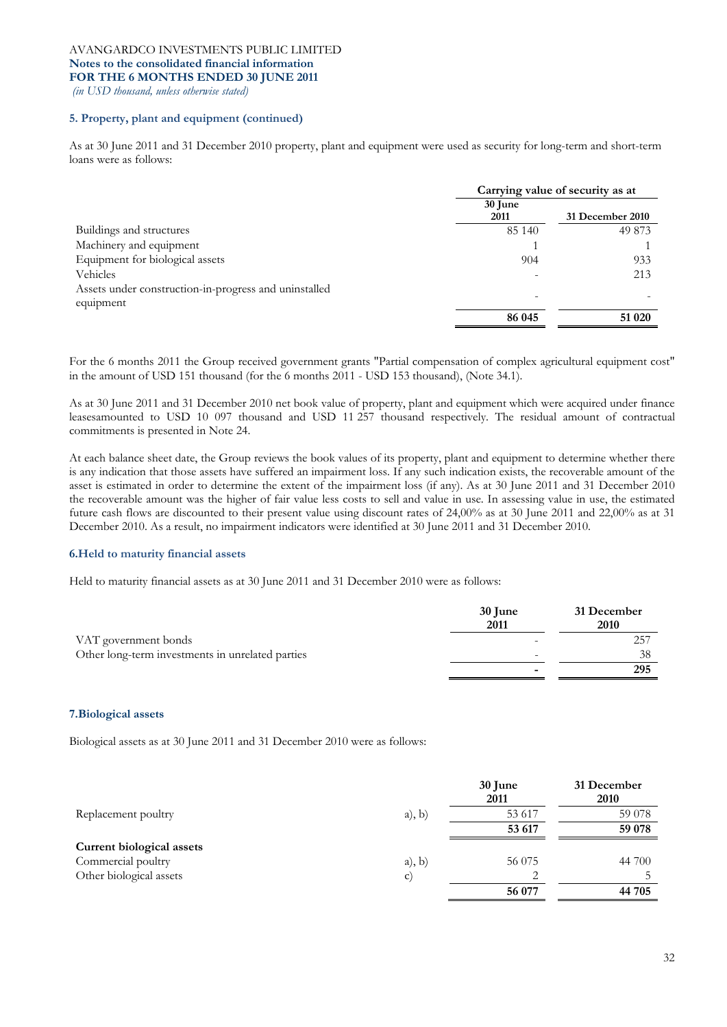### **5. Property, plant and equipment (continued)**

As at 30 June 2011 and 31 December 2010 property, plant and equipment were used as security for long-term and short-term loans were as follows:

|                                                       | Carrying value of security as at |                  |  |
|-------------------------------------------------------|----------------------------------|------------------|--|
|                                                       | 30 June                          |                  |  |
|                                                       | 2011                             | 31 December 2010 |  |
| Buildings and structures                              | 85 140                           | 49 873           |  |
| Machinery and equipment                               |                                  |                  |  |
| Equipment for biological assets                       | 904                              | 933              |  |
| Vehicles                                              |                                  | 213              |  |
| Assets under construction-in-progress and uninstalled |                                  |                  |  |
| equipment                                             |                                  |                  |  |
|                                                       | 86 045                           | 51 0 20          |  |

For the 6 months 2011 the Group received government grants "Partial compensation of complex agricultural equipment cost" in the amount of USD 151 thousand (for the 6 months 2011 - USD 153 thousand), (Note 34.1).

As at 30 June 2011 and 31 December 2010 net book value of property, plant and equipment which were acquired under finance leasesamounted to USD 10 097 thousand and USD 11 257 thousand respectively. The residual amount of contractual commitments is presented in Note 24.

Аt each balance sheet date, the Group reviews the book values of its property, plant and equipment to determine whether there is any indication that those assets have suffered an impairment loss. If any such indication exists, the recoverable amount of the asset is estimated in order to determine the extent of the impairment loss (if any). As at 30 June 2011 and 31 December 2010 the recoverable amount was the higher of fair value less costs to sell and value in use. In assessing value in use, the estimated future cash flows are discounted to their present value using discount rates of 24,00% as at 30 June 2011 and 22,00% as at 31 December 2010. As a result, no impairment indicators were identified at 30 June 2011 and 31 December 2010.

#### **6.Held to maturity financial assets**

Held to maturity financial assets as at 30 June 2011 and 31 December 2010 were as follows:

|                                                  | 30 June<br>2011 | 31 December<br>2010 |
|--------------------------------------------------|-----------------|---------------------|
| VAT government bonds                             |                 | - 257               |
| Other long-term investments in unrelated parties |                 | 38                  |
|                                                  |                 | 295                 |

#### **7.Biological assets**

Biological assets as at 30 June 2011 and 31 December 2010 were as follows:

|                           |              | 30 June<br>2011 | 31 December<br>2010 |
|---------------------------|--------------|-----------------|---------------------|
| Replacement poultry       | $a)$ , b)    | 53 617          | 59 078              |
|                           |              | 53 617          | 59 078              |
| Current biological assets |              |                 |                     |
| Commercial poultry        | $a)$ , b)    | 56 075          | 44 700              |
| Other biological assets   | $\mathbf{C}$ |                 |                     |
|                           |              | 56 077          | 44 705              |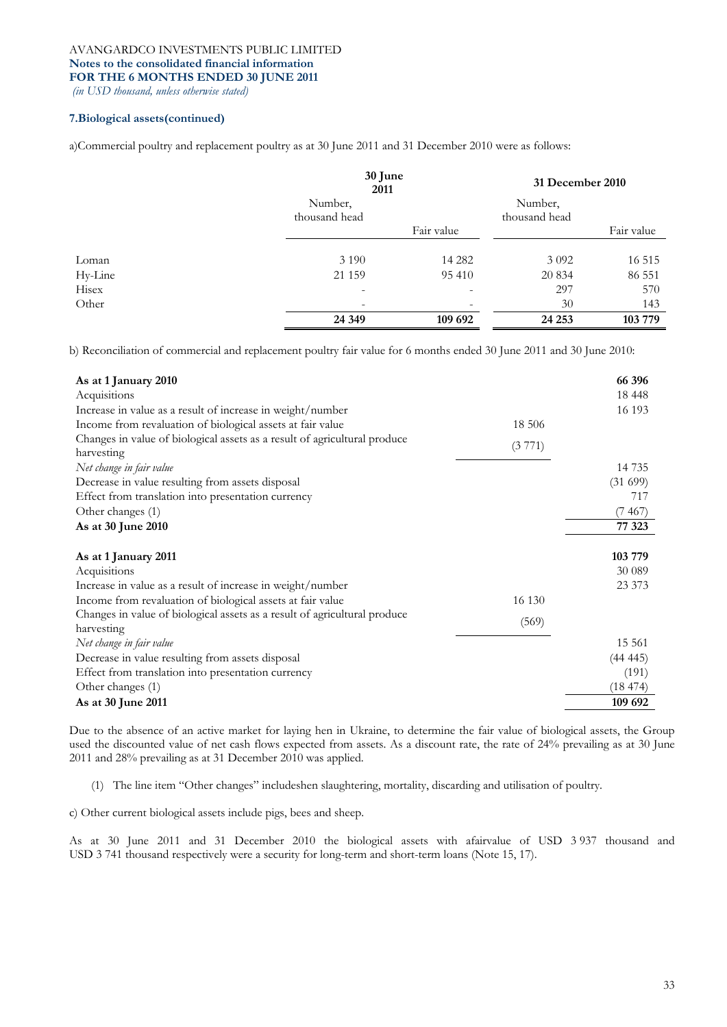*(in USD thousand, unless otherwise stated)*

#### **7.Biological assets(continued)**

a)Commercial poultry and replacement poultry as at 30 June 2011 and 31 December 2010 were as follows:

|         | 30 June<br>2011          |                          | 31 December 2010 |            |
|---------|--------------------------|--------------------------|------------------|------------|
|         | Number,                  |                          | Number,          |            |
|         | thousand head            |                          | thousand head    |            |
|         |                          | Fair value               |                  | Fair value |
|         |                          |                          |                  |            |
| Loman   | 3 1 9 0                  | 14 2 8 2                 | 3 0 9 2          | 16 515     |
| Hy-Line | 21 159                   | 95 410                   | 20 8 34          | 86 551     |
| Hisex   | $\overline{\phantom{a}}$ |                          | 297              | 570        |
| Other   | $\overline{\phantom{a}}$ | $\overline{\phantom{a}}$ | 30               | 143        |
|         | 24 349                   | 109 692                  | 24 25 3          | 103 779    |

b) Reconciliation of commercial and replacement poultry fair value for 6 months ended 30 June 2011 and 30 June 2010:

| As at 1 January 2010                                                                             | 66 396   |
|--------------------------------------------------------------------------------------------------|----------|
| Acquisitions                                                                                     | 18 4 48  |
| Increase in value as a result of increase in weight/number                                       | 16 193   |
| Income from revaluation of biological assets at fair value<br>18 506                             |          |
| Changes in value of biological assets as a result of agricultural produce                        |          |
| (3771)<br>harvesting                                                                             |          |
| Net change in fair value                                                                         | 14 7 35  |
| Decrease in value resulting from assets disposal                                                 | (31 699) |
| Effect from translation into presentation currency                                               | 717      |
| Other changes (1)                                                                                | (7 467)  |
| As at 30 June 2010                                                                               | 77 323   |
| As at 1 January 2011                                                                             | 103 779  |
| Acquisitions                                                                                     | 30 089   |
| Increase in value as a result of increase in weight/number                                       | 23 373   |
| Income from revaluation of biological assets at fair value<br>16 130                             |          |
| Changes in value of biological assets as a result of agricultural produce<br>(569)<br>harvesting |          |
| Net change in fair value                                                                         | 15 5 61  |
| Decrease in value resulting from assets disposal                                                 | (44445)  |
| Effect from translation into presentation currency                                               | (191)    |
| Other changes (1)                                                                                | (18474)  |
| As at 30 June 2011                                                                               | 109 692  |

Due to the absence of an active market for laying hen in Ukraine, to determine the fair value of biological assets, the Group used the discounted value of net cash flows expected from assets. As a discount rate, the rate of 24% prevailing as at 30 June 2011 and 28% prevailing as at 31 December 2010 was applied.

(1) The line item "Other changes" includeshen slaughtering, mortality, discarding and utilisation of poultry.

c) Other current biological assets include pigs, bees and sheep.

As at 30 June 2011 and 31 December 2010 the biological assets with afairvalue of USD 3 937 thousand and USD 3 741 thousand respectively were a security for long-term and short-term loans (Note 15, 17).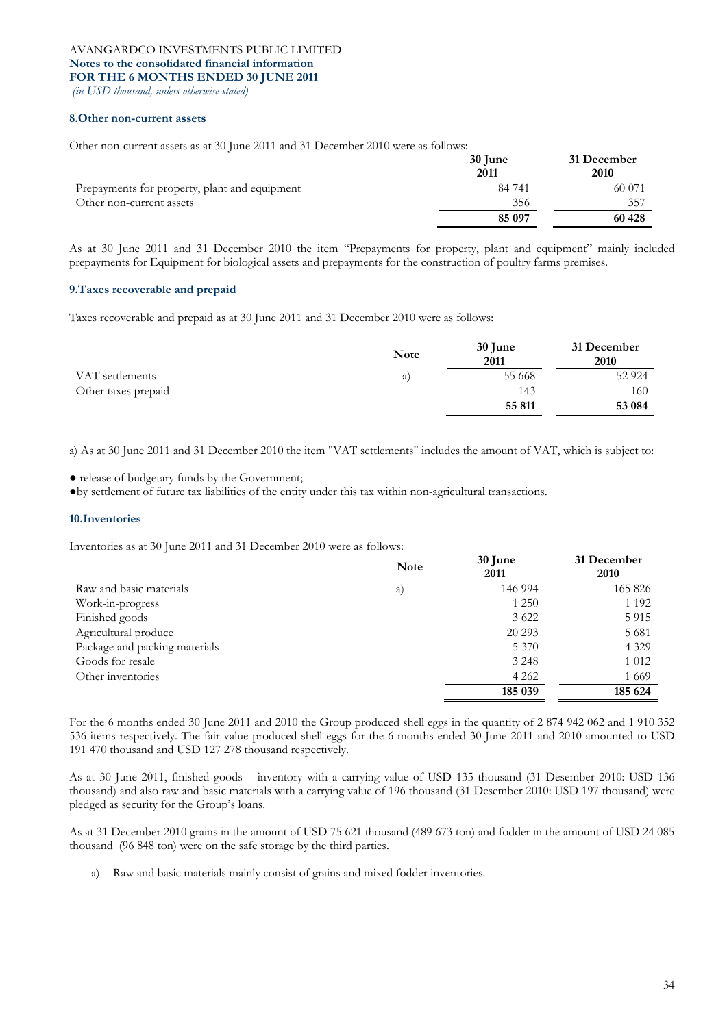*(in USD thousand, unless otherwise stated)*

#### **8.Other non-current assets**

Other non-current assets as at 30 June 2011 and 31 December 2010 were as follows:

|                                               | 30 June<br>2011 | 31 December<br>2010 |
|-----------------------------------------------|-----------------|---------------------|
| Prepayments for property, plant and equipment | 84 741          | 60 071              |
| Other non-current assets                      | 356             | 357                 |
|                                               | 85 097          | 60 428              |

As at 30 June 2011 and 31 December 2010 the item "Prepayments for property, plant and equipment" mainly included prepayments for Equipment for biological assets and prepayments for the construction of poultry farms premises.

#### **9.Taxes recoverable and prepaid**

Taxes recoverable and prepaid as at 30 June 2011 and 31 December 2010 were as follows:

|                     | <b>Note</b> | 30 June<br>2011 | 31 December<br>2010 |
|---------------------|-------------|-----------------|---------------------|
| VAT settlements     | a           | 55 6 68         | 52 9 24             |
| Other taxes prepaid |             | 143             | 160                 |
|                     |             | 55 811          | 53 084              |

a) As at 30 June 2011 and 31 December 2010 the item "VAT settlements" includes the amount of VAT, which is subject to:

● release of budgetary funds by the Government;

●by settlement of future tax liabilities of the entity under this tax within non-agricultural transactions.

#### **10.Inventories**

Inventories as at 30 June 2011 and 31 December 2010 were as follows:

|                               | <b>Note</b> | 30 June<br>2011 | 31 December<br>2010 |
|-------------------------------|-------------|-----------------|---------------------|
| Raw and basic materials       | a)          | 146 994         | 165 826             |
| Work-in-progress              |             | 1 2 5 0         | 1 1 9 2             |
| Finished goods                |             | 3 6 2 2         | 5915                |
| Agricultural produce          |             | 20 29 3         | 5 6 8 1             |
| Package and packing materials |             | 5 3 7 0         | 4 3 2 9             |
| Goods for resale              |             | 3 2 4 8         | 1 0 1 2             |
| Other inventories             |             | 4 2 6 2         | 1 6 6 9             |
|                               |             | 185 039         | 185 624             |

For the 6 months ended 30 June 2011 and 2010 the Group produced shell eggs in the quantity of 2 874 942 062 and 1 910 352 536 items respectively. The fair value produced shell eggs for the 6 months ended 30 June 2011 and 2010 amounted to USD 191 470 thousand and USD 127 278 thousand respectively.

As at 30 June 2011, finished goods – inventory with a carrying value of USD 135 thousand (31 Desember 2010: USD 136 thousand) and also raw and basic materials with a carrying value of 196 thousand (31 Desember 2010: USD 197 thousand) were pledged as security for the Group's loans.

As at 31 December 2010 grains in the amount of USD 75 621 thousand (489 673 ton) and fodder in the amount of USD 24 085 thousand (96 848 ton) were on the safe storage by the third parties.

a) Raw and basic materials mainly consist of grains and mixed fodder inventories.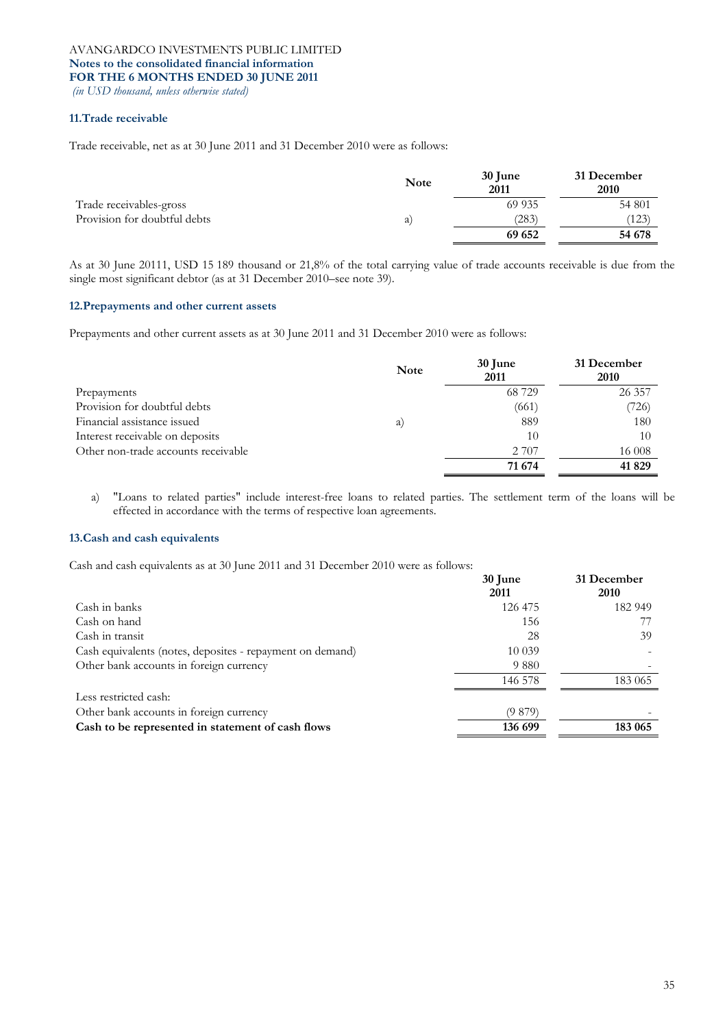#### **11.Trade receivable**

Trade receivable, net as at 30 June 2011 and 31 December 2010 were as follows:

|                              | <b>Note</b> | 30 June<br>2011 | 31 December<br>2010 |
|------------------------------|-------------|-----------------|---------------------|
| Trade receivables-gross      |             | 69 935          | 54 801              |
| Provision for doubtful debts | a           | (283)           | (123)               |
|                              |             | 69 652          | 54 678              |

As at 30 June 20111, USD 15 189 thousand or 21,8% of the total carrying value of trade accounts receivable is due from the single most significant debtor (as at 31 December 2010–see note 39).

#### **12.Prepayments and other current assets**

Prepayments and other current assets as at 30 June 2011 and 31 December 2010 were as follows:

|                                     | <b>Note</b> | 30 June<br>2011 | 31 December<br>2010 |
|-------------------------------------|-------------|-----------------|---------------------|
| Prepayments                         |             | 68 729          | 26 357              |
| Provision for doubtful debts        |             | (661)           | (726)               |
| Financial assistance issued         | a)          | 889             | 180                 |
| Interest receivable on deposits     |             | 10              | 10                  |
| Other non-trade accounts receivable |             | 2 7 0 7         | 16 008              |
|                                     |             | 71 674          | 41829               |

a) "Loans to related parties" include interest-free loans to related parties. The settlement term of the loans will be effected in accordance with the terms of respective loan agreements.

#### **13.Cash and cash equivalents**

Cash and cash equivalents as at 30 June 2011 and 31 December 2010 were as follows:

|                                                           | 30 June | 31 December |
|-----------------------------------------------------------|---------|-------------|
|                                                           | 2011    | 2010        |
| Cash in banks                                             | 126 475 | 182 949     |
| Cash on hand                                              | 156     |             |
| Cash in transit                                           | 28      | 39          |
| Cash equivalents (notes, deposites - repayment on demand) | 10 0 39 |             |
| Other bank accounts in foreign currency                   | 9 8 8 0 |             |
|                                                           | 146 578 | 183 065     |
| Less restricted cash:                                     |         |             |
| Other bank accounts in foreign currency                   | (9 879) |             |
| Cash to be represented in statement of cash flows         | 136 699 | 183 065     |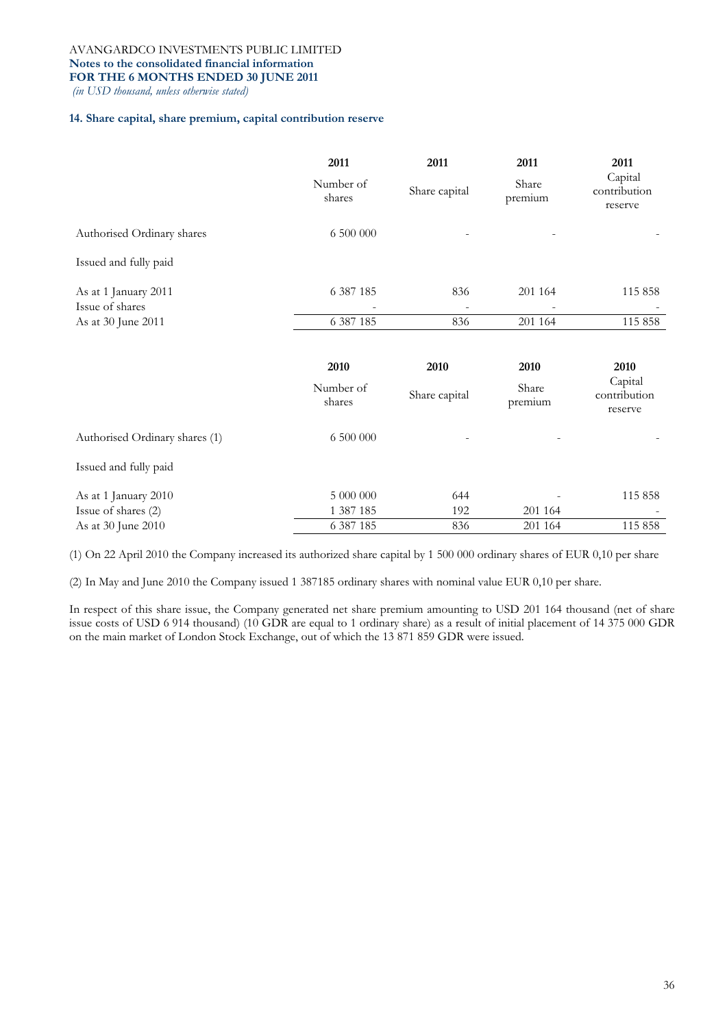#### **14. Share capital, share premium, capital contribution reserve**

|                                       | 2011<br>Number of   | 2011<br>Share capital | 2011<br>Share    | 2011<br>Capital<br>contribution    |
|---------------------------------------|---------------------|-----------------------|------------------|------------------------------------|
|                                       | shares              |                       | premium          | reserve                            |
| Authorised Ordinary shares            | 6 500 000           |                       |                  |                                    |
| Issued and fully paid                 |                     |                       |                  |                                    |
| As at 1 January 2011                  | 6 387 185           | 836                   | 201 164          | 115 858                            |
| Issue of shares<br>As at 30 June 2011 | 6 387 185           | 836                   | 201 164          | 115 858                            |
|                                       | 2010                | 2010                  | 2010             | 2010                               |
|                                       | Number of<br>shares | Share capital         | Share<br>premium | Capital<br>contribution<br>reserve |
| Authorised Ordinary shares (1)        | 6 500 000           |                       |                  |                                    |
| Issued and fully paid                 |                     |                       |                  |                                    |
| As at 1 January 2010                  | $5\;000\;000$       | 644                   |                  | 115 858                            |
| Issue of shares (2)                   | 1 387 185           | 192                   | 201 164          |                                    |
| As at 30 June 2010                    | 6 387 185           | 836                   | 201 164          | 115 858                            |

(1) On 22 April 2010 the Company increased its authorized share capital by 1 500 000 ordinary shares of EUR 0,10 per share

(2) In May and June 2010 the Company issued 1 387185 ordinary shares with nominal value EUR 0,10 per share.

In respect of this share issue, the Company generated net share premium amounting to USD 201 164 thousand (net of share issue costs of USD 6 914 thousand) (10 GDR are equal to 1 ordinary share) as a result of initial placement of 14 375 000 GDR on the main market of London Stock Exchange, out of which the 13 871 859 GDR were issued.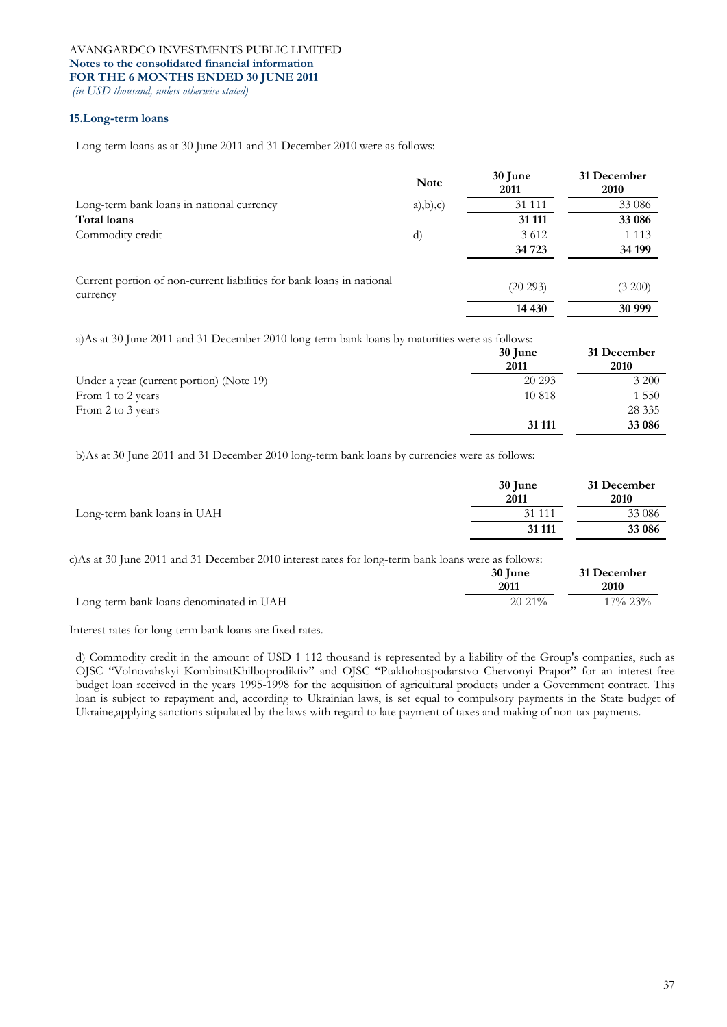*(in USD thousand, unless otherwise stated)*

#### **15.Long-term loans**

Long-term loans as at 30 June 2011 and 31 December 2010 were as follows:

|                                                                                   | <b>Note</b> | 30 June<br>2011 | 31 December<br>2010 |
|-----------------------------------------------------------------------------------|-------------|-----------------|---------------------|
| Long-term bank loans in national currency                                         | a),b),c)    | 31 111          | 33 086              |
| Total loans                                                                       |             | 31 111          | 33 086              |
| Commodity credit                                                                  | d)          | 3 6 1 2         | 1 1 1 3             |
|                                                                                   |             | 34 723          | 34 199              |
| Current portion of non-current liabilities for bank loans in national<br>currency |             | (20 293)        | (3 200)             |
|                                                                                   |             | 14 4 30         | 30 999              |

a)As at 30 June 2011 and 31 December 2010 long-term bank loans by maturities were as follows:

|                                          | 30 June<br>2011          | 31 December<br>2010 |
|------------------------------------------|--------------------------|---------------------|
| Under a year (current portion) (Note 19) | 20 29 3                  | 3 200               |
| From 1 to 2 years                        | 10818                    | 1550                |
| From 2 to 3 years                        | $\overline{\phantom{0}}$ | 28 3 3 5            |
|                                          | 31 111                   | 33 086              |

b)As at 30 June 2011 and 31 December 2010 long-term bank loans by currencies were as follows:

|                                                                                                    | 30 June<br>2011 | 31 December<br>2010 |
|----------------------------------------------------------------------------------------------------|-----------------|---------------------|
| Long-term bank loans in UAH                                                                        | 31 111          | 33 086              |
|                                                                                                    | 31 111          | 33 086              |
| c)As at 30 June 2011 and 31 December 2010 interest rates for long-term bank loans were as follows: | 30 June<br>2011 | 31 December<br>2010 |

Long-term bank loans denominated in UAH 20-21% 17%-23%

Interest rates for long-term bank loans are fixed rates.

d) Commodity credit in the amount of USD 1 112 thousand is represented by a liability of the Group's companies, such as OJSC "Volnovahskyi KombinatKhilboprodiktiv" and OJSC "Ptakhohospodarstvo Chervonyi Prapor" for an interest-free budget loan received in the years 1995-1998 for the acquisition of agricultural products under a Government contract. This loan is subject to repayment and, according to Ukrainian laws, is set equal to compulsory payments in the State budget of Ukraine,applying sanctions stipulated by the laws with regard to late payment of taxes and making of non-tax payments.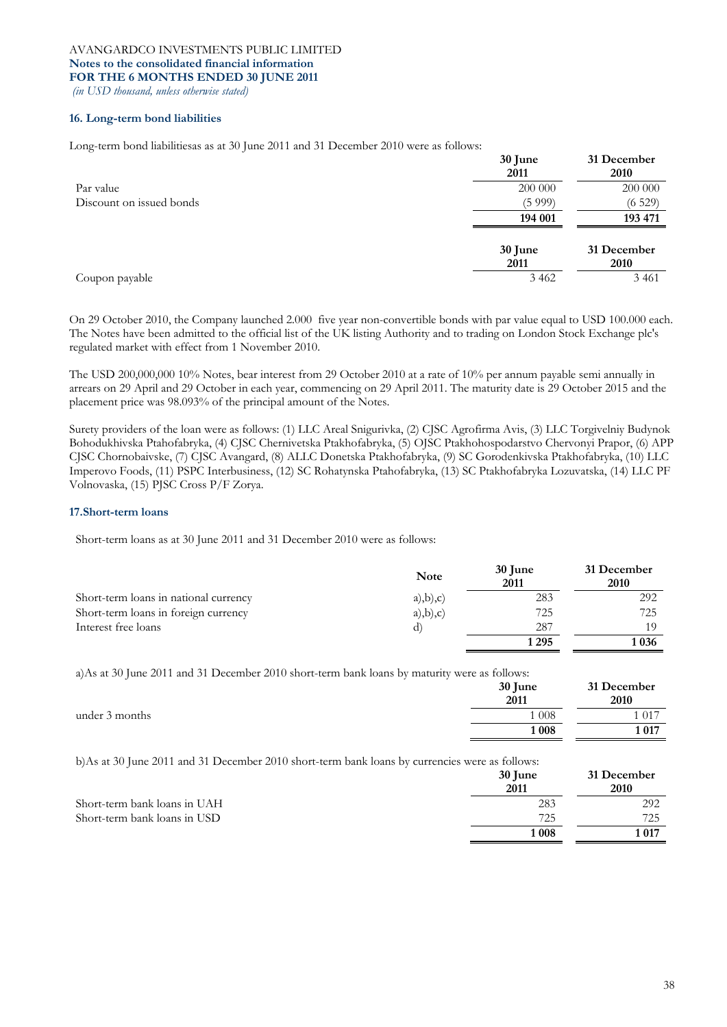*(in USD thousand, unless otherwise stated)*

#### **16. Long-term bond liabilities**

Long-term bond liabilitiesas as at 30 June 2011 and 31 December 2010 were as follows:

|                          | 30 June<br>2011 | 31 December<br>2010 |
|--------------------------|-----------------|---------------------|
| Par value                | 200 000         | 200 000             |
| Discount on issued bonds | (5999)          | (6529)              |
|                          | 194 001         | 193 471             |
|                          | 30 June<br>2011 | 31 December<br>2010 |
| Coupon payable           | 3 4 6 2         | 3 4 6 1             |

On 29 October 2010, the Company launched 2.000 five year non-convertible bonds with par value equal to USD 100.000 each. The Notes have been admitted to the official list of the UK listing Authority and to trading on London Stock Exchange plc's regulated market with effect from 1 November 2010.

The USD 200,000,000 10% Notes, bear interest from 29 October 2010 at a rate of 10% per annum payable semi annually in arrears on 29 April and 29 October in each year, commencing on 29 April 2011. The maturity date is 29 October 2015 and the placement price was 98.093% of the principal amount of the Notes.

Surety providers of the loan were as follows: (1) LLC Areal Snigurivka, (2) CJSC Agrofirma Avis, (3) LLC Torgivelniy Budynok Bohodukhivska Ptahofabryka, (4) CJSC Chernivetska Ptakhofabryka, (5) OJSC Ptakhohospodarstvo Chervonyi Prapor, (6) APP CJSC Chornobaivske, (7) CJSC Avangard, (8) ALLC Donetska Ptakhofabryka, (9) SC Gorodenkivska Ptakhofabryka, (10) LLC Imperovo Foods, (11) PSPC Interbusiness, (12) SC Rohatynska Ptahofabryka, (13) SC Ptakhofabryka Lozuvatska, (14) LLC PF Volnovaska, (15) PJSC Cross P/F Zorya.

#### **17.Short-term loans**

Short-term loans as at 30 June 2011 and 31 December 2010 were as follows:

|                                       | <b>Note</b> | 30 June<br>2011 | 31 December<br>2010 |
|---------------------------------------|-------------|-----------------|---------------------|
| Short-term loans in national currency | a),b),c)    | 283             | 292                 |
| Short-term loans in foreign currency  | $a)$ ,b),c) | 725             | 725                 |
| Interest free loans                   |             | 287             | 10                  |
|                                       |             | 1295            | 1 0 3 6             |

а)As at 30 June 2011 and 31 December 2010 short-term bank loans by maturity were as follows:

|                | 30 June<br>2011 | 31 December<br>2010 |
|----------------|-----------------|---------------------|
| under 3 months | 008             | . 017               |
|                | 1 0 0 8         | 1 0 1 7             |

b)As at 30 June 2011 and 31 December 2010 short-term bank loans by currencies were as follows:

|                              | 30 June<br>2011 | 31 December<br>2010 |
|------------------------------|-----------------|---------------------|
| Short-term bank loans in UAH | 283             | 292                 |
| Short-term bank loans in USD | 725             | 725                 |
|                              | 1 0 0 8         | 1 0 1 7             |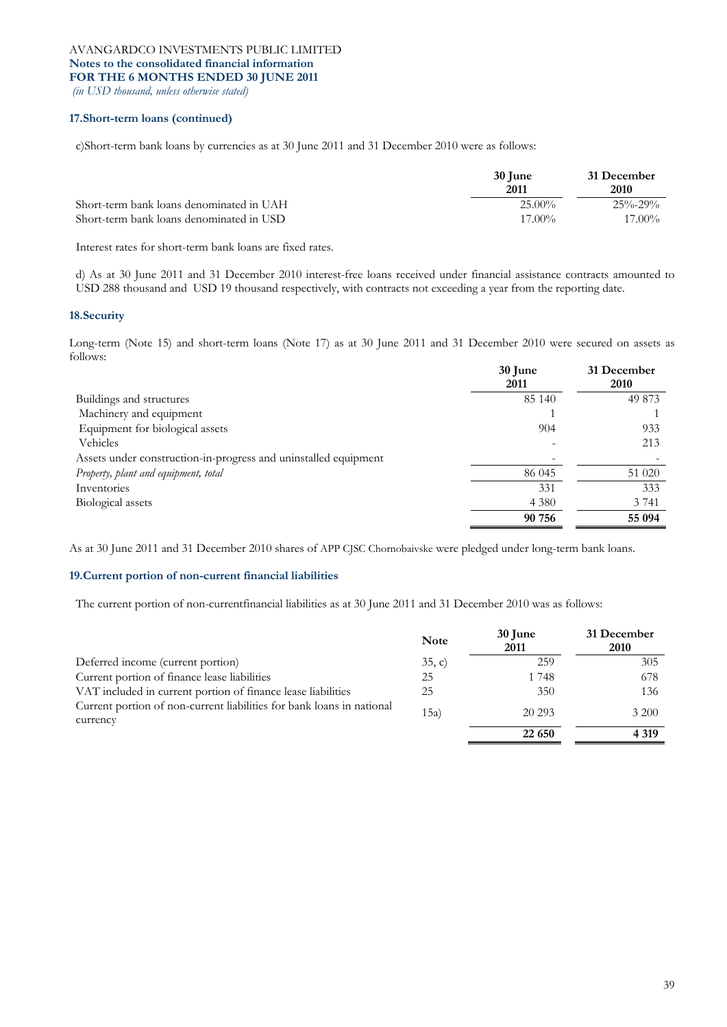#### **17.Short-term loans (continued)**

c)Short-term bank loans by currencies as at 30 June 2011 and 31 December 2010 were as follows:

|                                          | 30 June<br>2011 | 31 December<br>2010 |
|------------------------------------------|-----------------|---------------------|
| Short-term bank loans denominated in UAH | $25.00\%$       | $25\% - 29\%$       |
| Short-term bank loans denominated in USD | $17.00\%$       | 17.00%              |

Interest rates for short-term bank loans are fixed rates.

d) As at 30 June 2011 and 31 December 2010 interest-free loans received under financial assistance contracts amounted to USD 288 thousand and USD 19 thousand respectively, with contracts not exceeding a year from the reporting date.

#### **18.Security**

Long-term (Note 15) and short-term loans (Note 17) as at 30 June 2011 and 31 December 2010 were secured on assets as follows:

|                                                                 | 30 June<br>2011 | 31 December<br>2010 |
|-----------------------------------------------------------------|-----------------|---------------------|
| Buildings and structures                                        | 85 140          | 49 873              |
| Machinery and equipment                                         |                 |                     |
| Equipment for biological assets                                 | 904             | 933                 |
| <b>Vehicles</b>                                                 |                 | 213                 |
| Assets under construction-in-progress and uninstalled equipment |                 |                     |
| Property, plant and equipment, total                            | 86 045          | 51 0 20             |
| Inventories                                                     | 331             | 333                 |
| Biological assets                                               | 4 3 8 0         | 3 741               |
|                                                                 | 90 756          | 55 094              |

As at 30 June 2011 and 31 December 2010 shares of APP CJSC Chornobaivske were pledged under long-term bank loans.

#### **19.Current portion of non-current financial liabilities**

The current portion of non-currentfinancial liabilities as at 30 June 2011 and 31 December 2010 was as follows:

|                                                                                   | <b>Note</b> | 30 June<br>2011 | 31 December<br>2010 |
|-----------------------------------------------------------------------------------|-------------|-----------------|---------------------|
| Deferred income (current portion)                                                 | 35, c)      | 259             | 305                 |
| Current portion of finance lease liabilities                                      | 25          | 1748            | 678                 |
| VAT included in current portion of finance lease liabilities                      | 25          | 350             | 136                 |
| Current portion of non-current liabilities for bank loans in national<br>currency | 15a         | 20 29 3         | 3 200               |
|                                                                                   |             | 22 650          | 4 3 1 9             |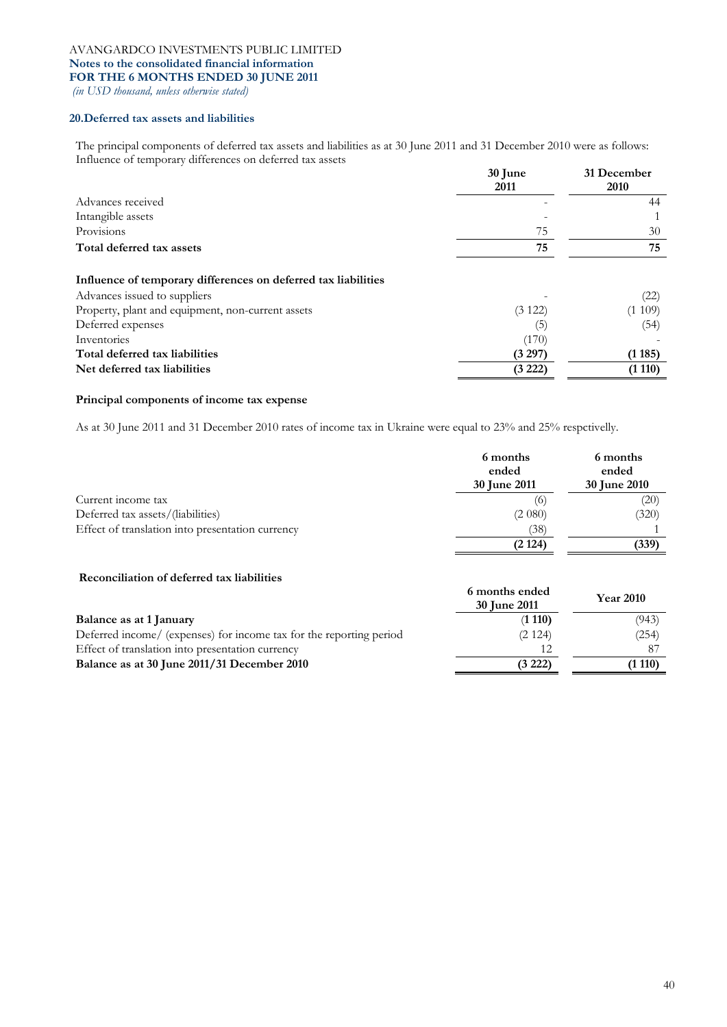### **20.Deferred tax assets and liabilities**

The principal components of deferred tax assets and liabilities as at 30 June 2011 and 31 December 2010 were as follows: Influence of temporary differences on deferred tax assets

|                                                                | 30 June | 31 December |
|----------------------------------------------------------------|---------|-------------|
|                                                                | 2011    | <b>2010</b> |
| Advances received                                              |         | 44          |
| Intangible assets                                              |         |             |
| Provisions                                                     | 75      | 30          |
| Total deferred tax assets                                      | 75      | 75          |
| Influence of temporary differences on deferred tax liabilities |         |             |
| Advances issued to suppliers                                   |         | (22)        |
| Property, plant and equipment, non-current assets              | (3 122) | (1109)      |
| Deferred expenses                                              | (5)     | (54)        |
| Inventories                                                    | (170)   |             |
| Total deferred tax liabilities                                 | (3 297) | (1185)      |
| Net deferred tax liabilities                                   | (3 222) | (1110)      |

### **Principal components of income tax expense**

As at 30 June 2011 and 31 December 2010 rates of income tax in Ukraine were equal to 23% and 25% respctivelly.

|                                                  | 6 months<br>ended<br>30 June 2011 | 6 months<br>ended<br>30 June 2010 |
|--------------------------------------------------|-----------------------------------|-----------------------------------|
| Current income tax                               | (6)                               | (20)                              |
| Deferred tax assets/(liabilities)                | (2080)                            | (320)                             |
| Effect of translation into presentation currency | (38)                              |                                   |
|                                                  | (2 124)                           | (339)                             |

#### **Reconciliation of deferred tax liabilities**

|                                                                     | 6 months ended<br>30 June 2011 | <b>Year 2010</b> |
|---------------------------------------------------------------------|--------------------------------|------------------|
| Balance as at 1 January                                             | (1110)                         | (943)            |
| Deferred income/ (expenses) for income tax for the reporting period | (2124)                         | (254)            |
| Effect of translation into presentation currency                    |                                |                  |
| Balance as at 30 June 2011/31 December 2010                         | (3 222)                        | (1110)           |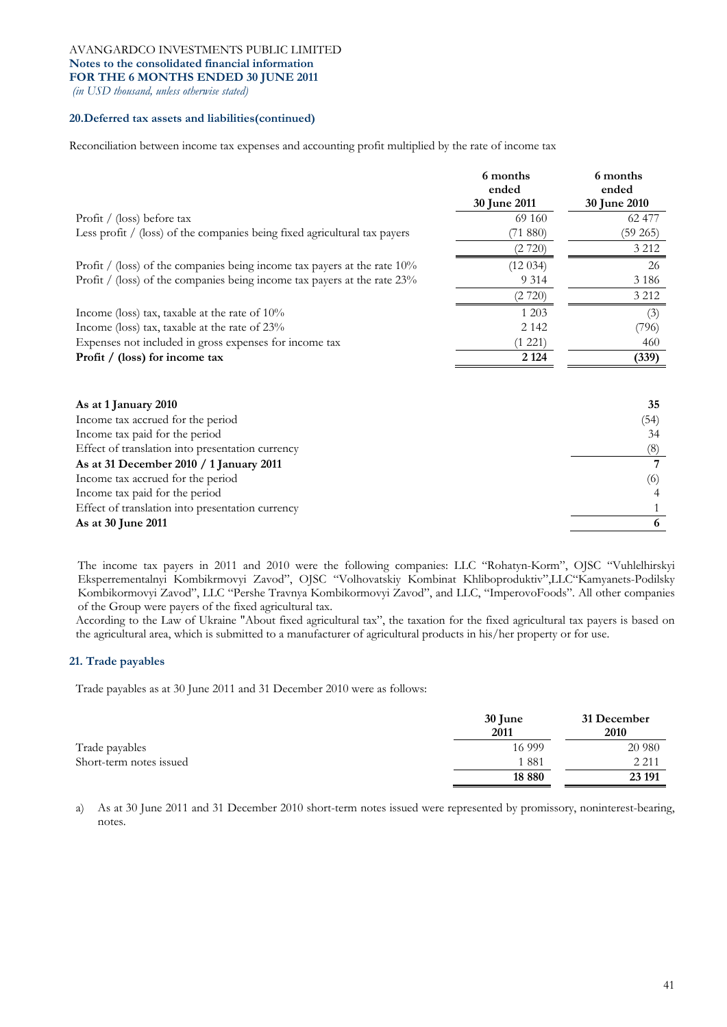*(in USD thousand, unless otherwise stated)*

#### **20.Deferred tax assets and liabilities(continued)**

Reconciliation between income tax expenses and accounting profit multiplied by the rate of income tax

|                                                                               | 6 months<br>ended<br>30 June 2011 | 6 months<br>ended<br>30 June 2010 |
|-------------------------------------------------------------------------------|-----------------------------------|-----------------------------------|
| Profit / (loss) before tax                                                    | 69 160                            | 62 477                            |
| Less profit / (loss) of the companies being fixed agricultural tax payers     | (71880)                           | (59 265)                          |
|                                                                               | (2720)                            | 3 2 1 2                           |
| Profit $/$ (loss) of the companies being income tax payers at the rate $10\%$ | (12 034)                          | 26                                |
| Profit / (loss) of the companies being income tax payers at the rate 23%      | 9 3 1 4                           | 3 1 8 6                           |
|                                                                               | (2720)                            | 3 2 1 2                           |
| Income (loss) tax, taxable at the rate of 10%                                 | 1 2 0 3                           | (3)                               |
| Income (loss) tax, taxable at the rate of 23%                                 | 2 1 4 2                           | (796)                             |
| Expenses not included in gross expenses for income tax                        | (1 221)                           | 460                               |
| Profit / (loss) for income tax                                                | 2 1 2 4                           | (339)                             |
|                                                                               |                                   |                                   |
| As at 1 January 2010                                                          |                                   | 35                                |
| Income tax accrued for the period                                             |                                   | (54)                              |
| Income tax paid for the period                                                |                                   | 34                                |
| Effect of translation into presentation currency                              |                                   | (8)                               |
| As at 31 December 2010 / 1 January 2011                                       |                                   | 7                                 |
| Income tax accrued for the period                                             |                                   | (6)                               |
| Income tax paid for the period                                                |                                   | 4                                 |
| Effect of translation into presentation currency                              |                                   | 1                                 |
| As at 30 June 2011                                                            |                                   | 6                                 |

The income tax payers in 2011 and 2010 were the following companies: LLC "Rohatyn-Korm", OJSC "Vuhlelhirskyi Eksperrementalnyi Kombikrmovyi Zavod", OJSC "Volhovatskiy Kombinat Khliboproduktiv",LLC"Kamyanets-Podilsky Kombikormovyi Zavod", LLC "Pershe Travnya Kombikormovyi Zavod", and LLC, "ImperovoFoods". All other companies of the Group were payers of the fixed agricultural tax.

According to the Law of Ukraine "About fixed agricultural tax", the taxation for the fixed agricultural tax payers is based on the agricultural area, which is submitted to a manufacturer of agricultural products in his/her property or for use.

#### **21. Trade payables**

Trade payables as at 30 June 2011 and 31 December 2010 were as follows:

|                         | 30 June<br>2011 | 31 December<br>2010 |
|-------------------------|-----------------|---------------------|
| Trade payables          | 16 999          | 20 980              |
| Short-term notes issued | 1881            | 2 2 1 1             |
|                         | 18 8 8 0        | 23 191              |

a) As at 30 June 2011 and 31 December 2010 short-term notes issued were represented by promissory, noninterest-bearing, notes.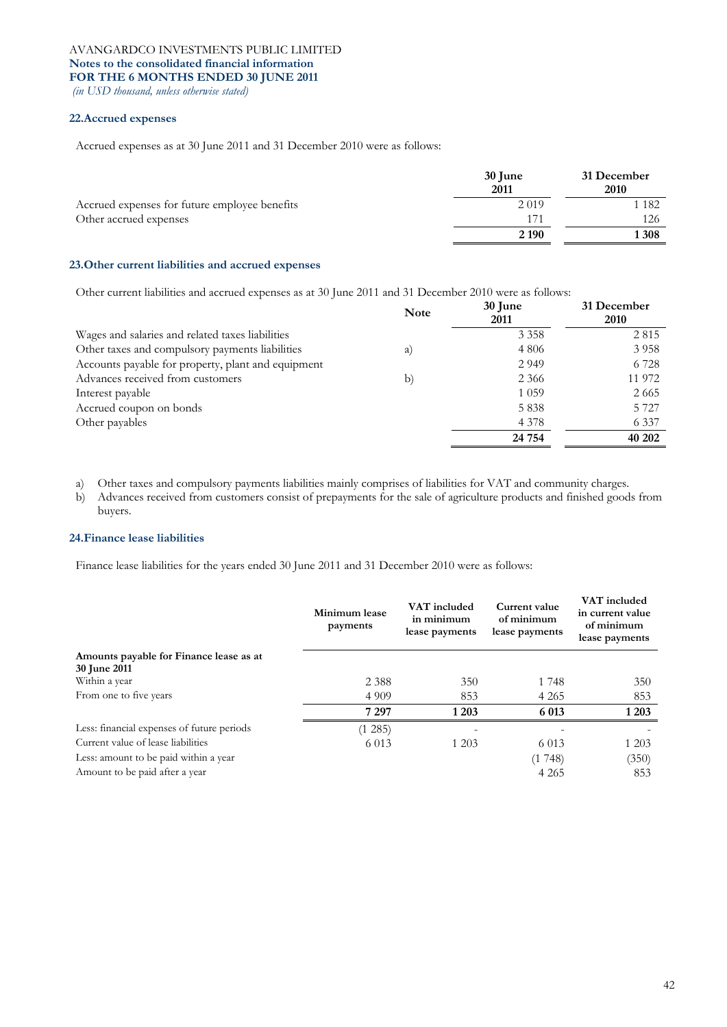#### **22.Accrued expenses**

Accrued expenses as at 30 June 2011 and 31 December 2010 were as follows:

|                                               | 30 June<br>2011 | 31 December<br>2010 |
|-----------------------------------------------|-----------------|---------------------|
| Accrued expenses for future employee benefits | 2019            | 1 182               |
| Other accrued expenses                        | 171             | 126                 |
|                                               | 2 1 9 0         | 1 308               |

### **23.Other current liabilities and accrued expenses**

Other current liabilities and accrued expenses as at 30 June 2011 and 31 December 2010 were as follows:

| Other current habitites and accrucie expenses as at 50 june 2011 and 31 December 2010 were as follows. | <b>Note</b> | 30 June<br>2011 | 31 December<br>2010 |
|--------------------------------------------------------------------------------------------------------|-------------|-----------------|---------------------|
| Wages and salaries and related taxes liabilities                                                       |             | 3 3 5 8         | 2815                |
| Other taxes and compulsory payments liabilities                                                        | a)          | 4 8 0 6         | 3958                |
| Accounts payable for property, plant and equipment                                                     |             | 2 9 4 9         | 6 7 2 8             |
| Advances received from customers                                                                       | b)          | 2 3 6 6         | 11 972              |
| Interest payable                                                                                       |             | 1 0 5 9         | 2 6 6 5             |
| Accrued coupon on bonds                                                                                |             | 5 8 3 8         | 5 7 2 7             |
| Other payables                                                                                         |             | 4 3 7 8         | 6 3 3 7             |
|                                                                                                        |             | 24 754          | 40 202              |

a) Other taxes and compulsory payments liabilities mainly comprises of liabilities for VAT and community charges.

b) Advances received from customers consist of prepayments for the sale of agriculture products and finished goods from buyers.

#### **24.Finance lease liabilities**

Finance lease liabilities for the years ended 30 June 2011 and 31 December 2010 were as follows:

|                                                         | Minimum lease<br>payments | VAT included<br>in minimum<br>lease payments | Current value<br>of minimum<br>lease payments | VAT included<br>in current value<br>of minimum<br>lease payments |
|---------------------------------------------------------|---------------------------|----------------------------------------------|-----------------------------------------------|------------------------------------------------------------------|
| Amounts payable for Finance lease as at<br>30 June 2011 |                           |                                              |                                               |                                                                  |
| Within a year                                           | 2 3 8 8                   | 350                                          | 1 748                                         | 350                                                              |
| From one to five years                                  | 4 9 0 9                   | 853                                          | 4 2 6 5                                       | 853                                                              |
|                                                         | 7 2 9 7                   | 1 2 0 3                                      | 6 0 13                                        | 1 2 0 3                                                          |
| Less: financial expenses of future periods              | (1285)                    |                                              |                                               |                                                                  |
| Current value of lease liabilities                      | 6 0 1 3                   | 1 203                                        | 6 0 1 3                                       | 1 203                                                            |
| Less: amount to be paid within a year                   |                           |                                              | (1748)                                        | (350)                                                            |
| Amount to be paid after a year                          |                           |                                              | 4 2 6 5                                       | 853                                                              |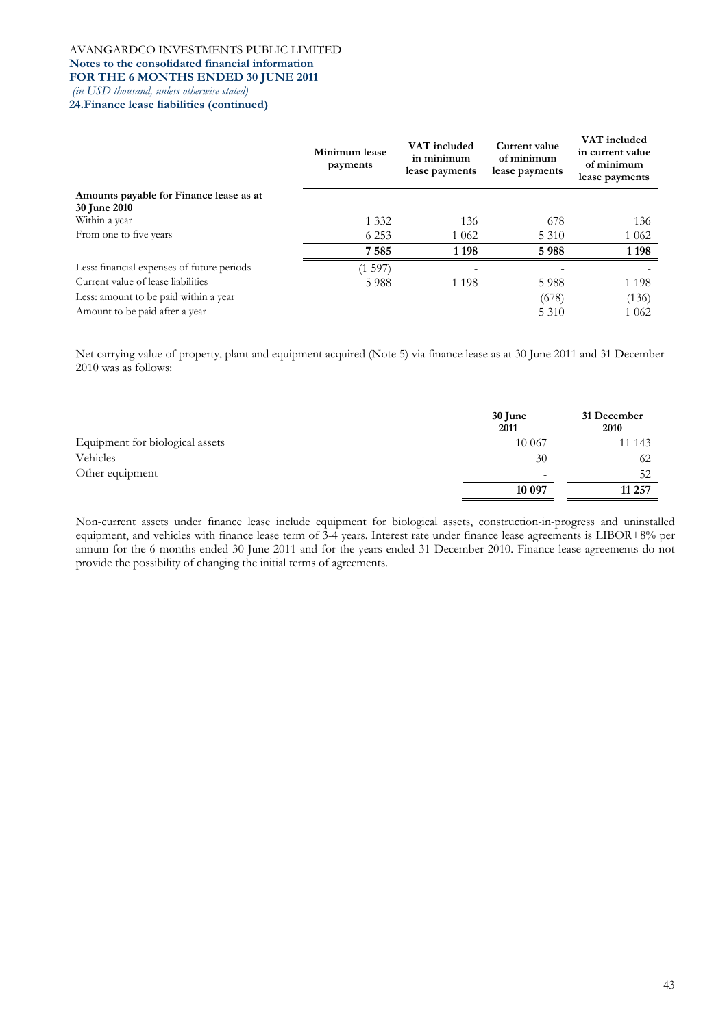**24.Finance lease liabilities (continued)** 

| Minimum lease<br>payments | VAT included<br>in minimum<br>lease payments | Current value<br>of minimum<br>lease payments | VAT included<br>in current value<br>of minimum<br>lease payments |
|---------------------------|----------------------------------------------|-----------------------------------------------|------------------------------------------------------------------|
|                           |                                              |                                               |                                                                  |
|                           |                                              |                                               |                                                                  |
| 1 3 3 2                   | 136                                          | 678                                           | 136                                                              |
| 6 2 5 3                   | 1 0 6 2                                      | 5 3 1 0                                       | 1 0 6 2                                                          |
| 7585                      | 1 1 9 8                                      | 5988                                          | 1 1 9 8                                                          |
| (1597)                    | $\overline{\phantom{a}}$                     | ۰                                             |                                                                  |
| 5988                      | 1 1 9 8                                      | 5988                                          | 1 1 9 8                                                          |
|                           |                                              | (678)                                         | (136)                                                            |
|                           |                                              | 5 3 1 0                                       | 1 0 6 2                                                          |
|                           |                                              |                                               |                                                                  |

Net carrying value of property, plant and equipment acquired (Note 5) via finance lease as at 30 June 2011 and 31 December 2010 was as follows:

|                                 | 30 June<br>2011          | 31 December<br>2010 |
|---------------------------------|--------------------------|---------------------|
| Equipment for biological assets | 10 067                   | 11 143              |
| Vehicles                        | 30                       | 62                  |
| Other equipment                 | $\overline{\phantom{0}}$ | 52                  |
|                                 | 10 0 97                  | 11 257              |

Non-current assets under finance lease include equipment for biological assets, construction-in-progress and uninstalled equipment, and vehicles with finance lease term of 3-4 years. Interest rate under finance lease agreements is LIBOR+8% per annum for the 6 months ended 30 June 2011 and for the years ended 31 December 2010. Finance lease agreements do not provide the possibility of changing the initial terms of agreements.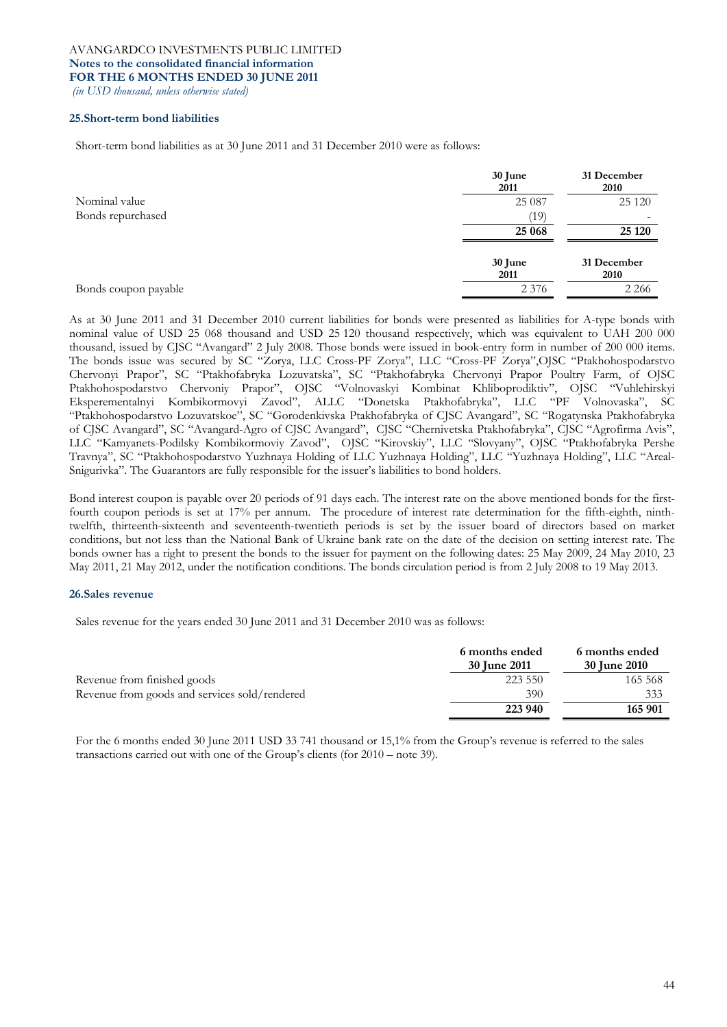*(in USD thousand, unless otherwise stated)*

#### **25.Short-term bond liabilities**

Short-term bond liabilities as at 30 June 2011 and 31 December 2010 were as follows:

|                      | 30 June<br>2011 | 31 December<br><b>2010</b> |
|----------------------|-----------------|----------------------------|
| Nominal value        | 25 087          | 25 1 20                    |
| Bonds repurchased    | '19)            |                            |
|                      | 25 068          | 25 1 20                    |
|                      | 30 June<br>2011 | 31 December<br>2010        |
| Bonds coupon payable | 2 3 7 6         | 2 2 6 6                    |

As at 30 June 2011 and 31 December 2010 current liabilities for bonds were presented as liabilities for A-type bonds with nominal value of USD 25 068 thousand and USD 25 120 thousand respectively, which was equivalent to UAH 200 000 thousand, issued by CJSC "Avangard" 2 July 2008. Those bonds were issued in book-entry form in number of 200 000 items. The bonds issue was secured by SC "Zorya, LLC Cross-PF Zorya", LLC "Cross-PF Zorya",OJSC "Ptakhohospodarstvo Chervonyi Prapor", SC "Ptakhofabryka Lozuvatska", SC "Ptakhofabryka Chervonyi Prapor Poultry Farm, of OJSC Ptakhohospodarstvo Chervoniy Prapor", OJSC "Volnovaskyi Kombinat Khliboprodiktiv", OJSC "Vuhlehirskyi Eksperementalnyi Kombikormovyi Zavod", ALLC "Donetska Ptakhofabryka", LLC "PF Volnovaska", SC "Ptakhohospodarstvo Lozuvatskoe", SC "Gorodenkivska Ptakhofabryka of CJSC Avangard", SC "Rogatynska Ptakhofabryka of CJSC Avangard", SC "Avangard-Agro of CJSC Avangard", CJSC "Chernivetska Ptakhofabryka", CJSC "Agrofirma Avis", LLC "Kamyanets-Podilsky Kombikormoviy Zavod", OJSC "Kirovskiy", LLC "Slovyany", OJSC "Ptakhofabryka Pershe Travnya", SC "Ptakhohospodarstvo Yuzhnaya Holding of LLC Yuzhnaya Holding", LLC "Yuzhnaya Holding", LLC "Areal-Snigurivka". The Guarantors are fully responsible for the issuer's liabilities to bond holders.

Bond interest coupon is payable over 20 periods of 91 days each. The interest rate on the above mentioned bonds for the firstfourth coupon periods is set at 17% per annum. The procedure of interest rate determination for the fifth-eighth, ninthtwelfth, thirteenth-sixteenth and seventeenth-twentieth periods is set by the issuer board of directors based on market conditions, but not less than the National Bank of Ukraine bank rate on the date of the decision on setting interest rate. The bonds owner has a right to present the bonds to the issuer for payment on the following dates: 25 May 2009, 24 May 2010, 23 May 2011, 21 May 2012, under the notification conditions. The bonds circulation period is from 2 July 2008 to 19 May 2013.

#### **26.Sales revenue**

Sales revenue for the years ended 30 June 2011 and 31 December 2010 was as follows:

|                                               | 6 months ended<br>30 June 2011 | 6 months ended<br><b>30 June 2010</b> |
|-----------------------------------------------|--------------------------------|---------------------------------------|
| Revenue from finished goods                   | 223 550                        | 165 568                               |
| Revenue from goods and services sold/rendered | 390                            | 333                                   |
|                                               | 223 940                        | 165 901                               |

For the 6 months ended 30 June 2011 USD 33 741 thousand or 15,1% from the Group's revenue is referred to the sales transactions carried out with one of the Group's clients (for 2010 – note 39).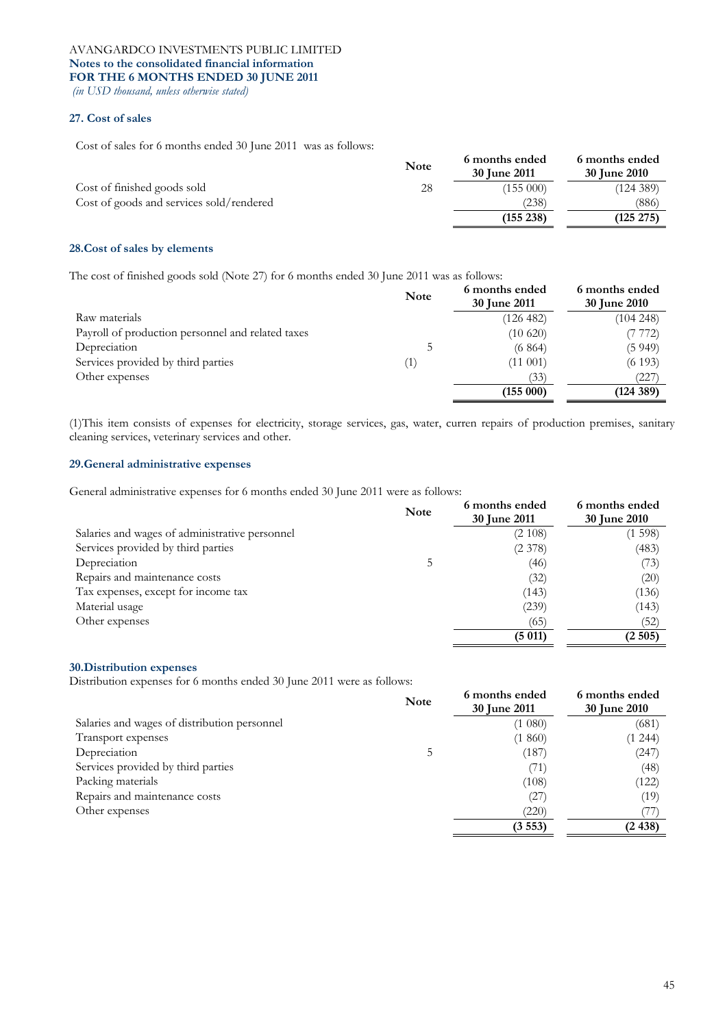*(in USD thousand, unless otherwise stated)*

### **27. Cost of sales**

Cost of sales for 6 months ended 30 June 2011 was as follows:

|                                          | <b>Note</b> | 6 months ended<br><b>30 June 2011</b> | 6 months ended<br><b>30 June 2010</b> |
|------------------------------------------|-------------|---------------------------------------|---------------------------------------|
| Cost of finished goods sold              | 28          | (155000)                              | (124 389)                             |
| Cost of goods and services sold/rendered |             | (238)                                 | (886)                                 |
|                                          |             | (155 238)                             | $(125\ 275)$                          |

## **28.Cost of sales by elements**

The cost of finished goods sold (Note 27) for 6 months ended 30 June 2011 was as follows:

|                                                   | <b>Note</b> | 6 months ended<br>30 June 2011 | 6 months ended<br><b>30 June 2010</b> |
|---------------------------------------------------|-------------|--------------------------------|---------------------------------------|
| Raw materials                                     |             | (126 482)                      | (104 248)                             |
| Payroll of production personnel and related taxes |             | (10620)                        | (7772)                                |
| Depreciation                                      |             | (6864)                         | (5 949)                               |
| Services provided by third parties                | (1)         | $(11\ 001)$                    | (6193)                                |
| Other expenses                                    |             | (33)                           | (227                                  |
|                                                   |             | (155000)                       | (124 389)                             |

(1)This item consists of expenses for electricity, storage services, gas, water, curren repairs of production premises, sanitary cleaning services, veterinary services and other.

#### **29.General administrative expenses**

General administrative expenses for 6 months ended 30 June 2011 were as follows:

|                                                | <b>Note</b> | 6 months ended<br>30 June 2011 | 6 months ended<br>30 June 2010 |
|------------------------------------------------|-------------|--------------------------------|--------------------------------|
| Salaries and wages of administrative personnel |             | (2108)                         | (1598)                         |
| Services provided by third parties             |             | (2.378)                        | (483)                          |
| Depreciation                                   |             | (46)                           | (73)                           |
| Repairs and maintenance costs                  |             | (32)                           | (20)                           |
| Tax expenses, except for income tax            |             | (143)                          | (136)                          |
| Material usage                                 |             | (239)                          | (143)                          |
| Other expenses                                 |             | (65)                           | (52)                           |
|                                                |             | (5 011)                        | (2505)                         |

#### **30.Distribution expenses**

Distribution expenses for 6 months ended 30 June 2011 were as follows:

|                                              | <b>Note</b> | 6 months ended<br><b>30 June 2011</b> | 6 months ended<br>30 June 2010 |
|----------------------------------------------|-------------|---------------------------------------|--------------------------------|
| Salaries and wages of distribution personnel |             | (1080)                                | (681)                          |
| Transport expenses                           |             | (1, 860)                              | $(1\;244)$                     |
| Depreciation                                 |             | (187)                                 | (247)                          |
| Services provided by third parties           |             | (71                                   | (48)                           |
| Packing materials                            |             | (108)                                 | (122)                          |
| Repairs and maintenance costs                |             | (27)                                  | (19)                           |
| Other expenses                               |             | (220)                                 |                                |
|                                              |             | (3553)                                | (2438)                         |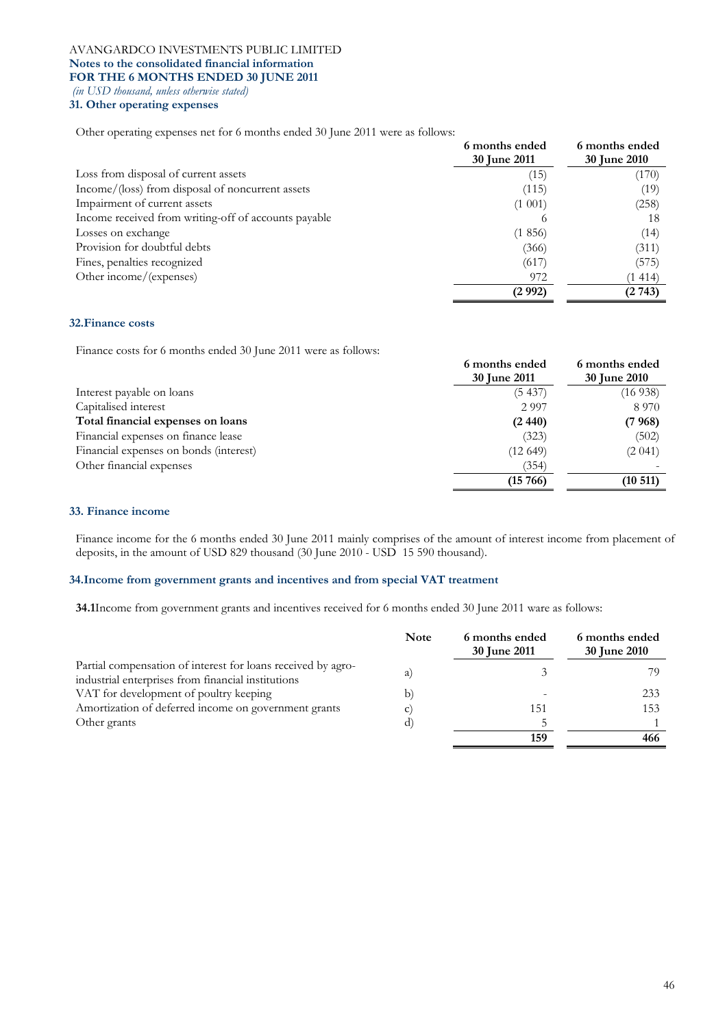**31. Other operating expenses** 

Other operating expenses net for 6 months ended 30 June 2011 were as follows:

|                                                      | 6 months ended | 6 months ended |
|------------------------------------------------------|----------------|----------------|
|                                                      | 30 June 2011   | 30 June 2010   |
| Loss from disposal of current assets                 | (15)           | (170)          |
| Income/(loss) from disposal of noncurrent assets     | (115)          | (19)           |
| Impairment of current assets                         | (1 001)        | (258)          |
| Income received from writing-off of accounts payable | $\circ$        | 18             |
| Losses on exchange                                   | (1856)         | (14)           |
| Provision for doubtful debts                         | (366)          | (311)          |
| Fines, penalties recognized                          | (617)          | (575)          |
| Other income/(expenses)                              | 972            | (1414)         |
|                                                      | (2992)         | (2743)         |

#### **32.Finance costs**

Finance costs for 6 months ended 30 June 2011 were as follows:

|                                        | 6 months ended<br>30 June 2011 | 6 months ended<br>30 June 2010 |
|----------------------------------------|--------------------------------|--------------------------------|
|                                        |                                |                                |
| Interest payable on loans              | (5437)                         | (16938)                        |
| Capitalised interest                   | 2 9 9 7                        | 8970                           |
| Total financial expenses on loans      | (2440)                         | (7968)                         |
| Financial expenses on finance lease    | (323)                          | (502)                          |
| Financial expenses on bonds (interest) | (12649)                        | (2041)                         |
| Other financial expenses               | (354)                          |                                |
|                                        | (15766)                        | (10 511)                       |

#### **33. Finance income**

Finance income for the 6 months ended 30 June 2011 mainly comprises of the amount of interest income from placement of deposits, in the amount of USD 829 thousand (30 June 2010 - USD 15 590 thousand).

#### **34.Income from government grants and incentives and from special VAT treatment**

**34.1**Income from government grants and incentives received for 6 months ended 30 June 2011 ware as follows:

|                                                                                                                    | <b>Note</b> | 6 months ended<br><b>30 June 2011</b> | 6 months ended<br>30 June 2010 |
|--------------------------------------------------------------------------------------------------------------------|-------------|---------------------------------------|--------------------------------|
| Partial compensation of interest for loans received by agro-<br>industrial enterprises from financial institutions | a)          |                                       | 79.                            |
| VAT for development of poultry keeping                                                                             | b)          |                                       | 233                            |
| Amortization of deferred income on government grants                                                               | C)          | 151                                   | 153                            |
| Other grants                                                                                                       | d)          |                                       |                                |
|                                                                                                                    |             | 159                                   | 466                            |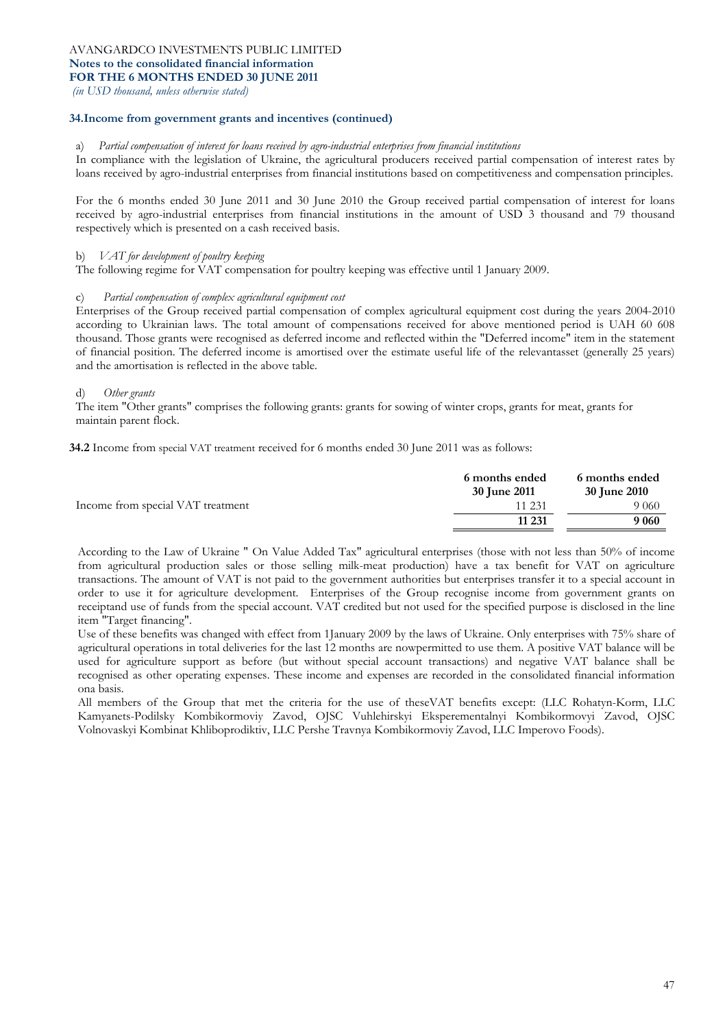#### **34.Income from government grants and incentives (continued)**

#### a) *Partial compensation of interest for loans received by agro-industrial enterprises from financial institutions*

In compliance with the legislation of Ukraine, the agricultural producers received partial compensation of interest rates by loans received by agro-industrial enterprises from financial institutions based on competitiveness and compensation principles.

For the 6 months ended 30 June 2011 and 30 June 2010 the Group received partial compensation of interest for loans received by agro-industrial enterprises from financial institutions in the amount of USD 3 thousand and 79 thousand respectively which is presented on a cash received basis.

#### b) *VAT for development of poultry keeping*

The following regime for VAT compensation for poultry keeping was effective until 1 January 2009.

#### c) *Partial compensation of complex agricultural equipment cost*

Enterprises of the Group received partial compensation of complex agricultural equipment cost during the years 2004-2010 according to Ukrainian laws. The total amount of compensations received for above mentioned period is UAH 60 608 thousand. Those grants were recognised as deferred income and reflected within the "Deferred income" item in the statement of financial position. The deferred income is amortised over the estimate useful life of the relevantasset (generally 25 years) and the amortisation is reflected in the above table.

#### d) *Other grants*

The item "Other grants" comprises the following grants: grants for sowing of winter crops, grants for meat, grants for maintain parent flock.

**34.2** Income from special VAT treatment received for 6 months ended 30 June 2011 was as follows:

|                                   | 6 months ended<br>30 June 2011 | 6 months ended<br><b>30 June 2010</b> |
|-----------------------------------|--------------------------------|---------------------------------------|
| Income from special VAT treatment | 11 231                         | 9 0 6 0                               |
|                                   | 11 231                         | 9 0 6 0                               |

According to the Law of Ukraine " On Value Added Tax" agricultural enterprises (those with not less than 50% of income from agricultural production sales or those selling milk-meat production) have a tax benefit for VAT on agriculture transactions. The amount of VAT is not paid to the government authorities but enterprises transfer it to a special account in order to use it for agriculture development. Enterprises of the Group recognise income from government grants on receiptand use of funds from the special account. VAT credited but not used for the specified purpose is disclosed in the line item "Target financing".

Use of these benefits was changed with effect from 1January 2009 by the laws of Ukraine. Only enterprises with 75% share of agricultural operations in total deliveries for the last 12 months are nowpermitted to use them. A positive VAT balance will be used for agriculture support as before (but without special account transactions) and negative VAT balance shall be recognised as other operating expenses. These income and expenses are recorded in the consolidated financial information ona basis.

All members of the Group that met the criteria for the use of theseVAT benefits except: (LLC Rohatyn-Korm, LLC Kamyanets-Podilsky Kombikormoviy Zavod, OJSC Vuhlehirskyi Eksperementalnyi Kombikormovyi Zavod, OJSC Volnovaskyi Kombinat Khliboprodiktiv, LLC Pershe Travnya Kombikormoviy Zavod, LLC Imperovo Foods).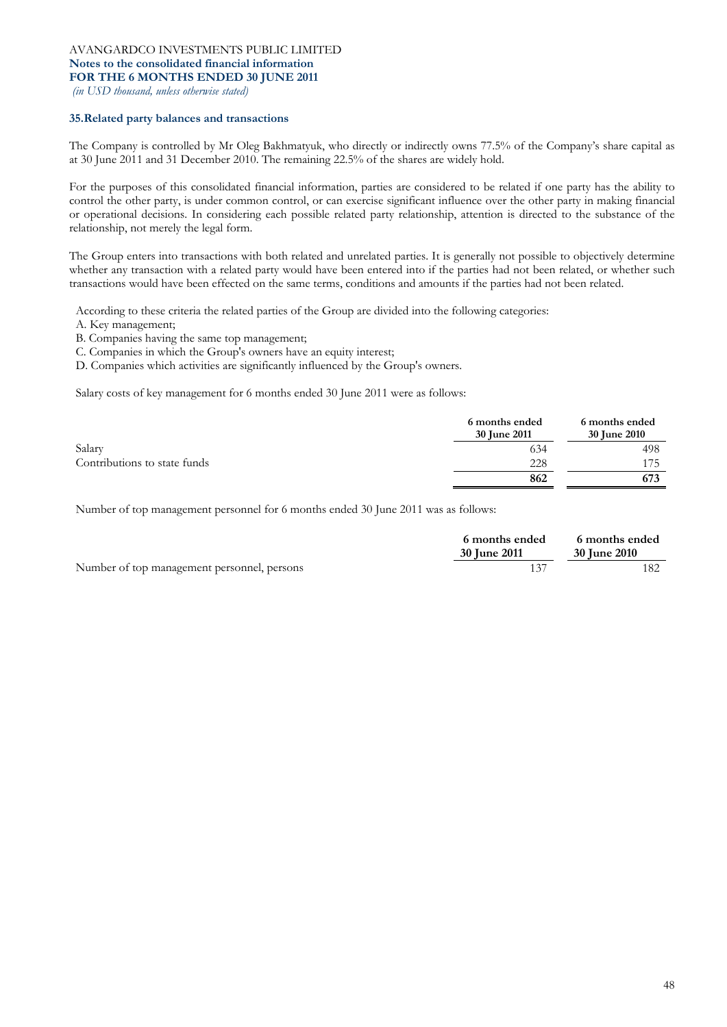*(in USD thousand, unless otherwise stated)*

### **35.Related party balances and transactions**

The Company is controlled by Mr Oleg Bakhmatyuk, who directly or indirectly owns 77.5% of the Company's share capital as at 30 June 2011 and 31 December 2010. The remaining 22.5% of the shares are widely hold.

For the purposes of this consolidated financial information, parties are considered to be related if one party has the ability to control the other party, is under common control, or can exercise significant influence over the other party in making financial or operational decisions. In considering each possible related party relationship, attention is directed to the substance of the relationship, not merely the legal form.

The Group enters into transactions with both related and unrelated parties. It is generally not possible to objectively determine whether any transaction with a related party would have been entered into if the parties had not been related, or whether such transactions would have been effected on the same terms, conditions and amounts if the parties had not been related.

According to these criteria the related parties of the Group are divided into the following categories:

- A. Key management;
- B. Companies having the same top management;
- C. Companies in which the Group's owners have an equity interest;
- D. Companies which activities are significantly influenced by the Group's owners.

Salary costs of key management for 6 months ended 30 June 2011 were as follows:

|                              | 6 months ended<br>30 June 2011 | 6 months ended<br>30 June 2010 |
|------------------------------|--------------------------------|--------------------------------|
| Salary                       | 634                            | 498                            |
| Contributions to state funds | 228                            | 175                            |
|                              | 862                            | 673                            |
|                              |                                |                                |

Number of top management personnel for 6 months ended 30 June 2011 was as follows:

|                                             | 6 months ended | 6 months ended      |
|---------------------------------------------|----------------|---------------------|
|                                             | 30 June 2011   | <b>30 June 2010</b> |
| Number of top management personnel, persons |                | 182                 |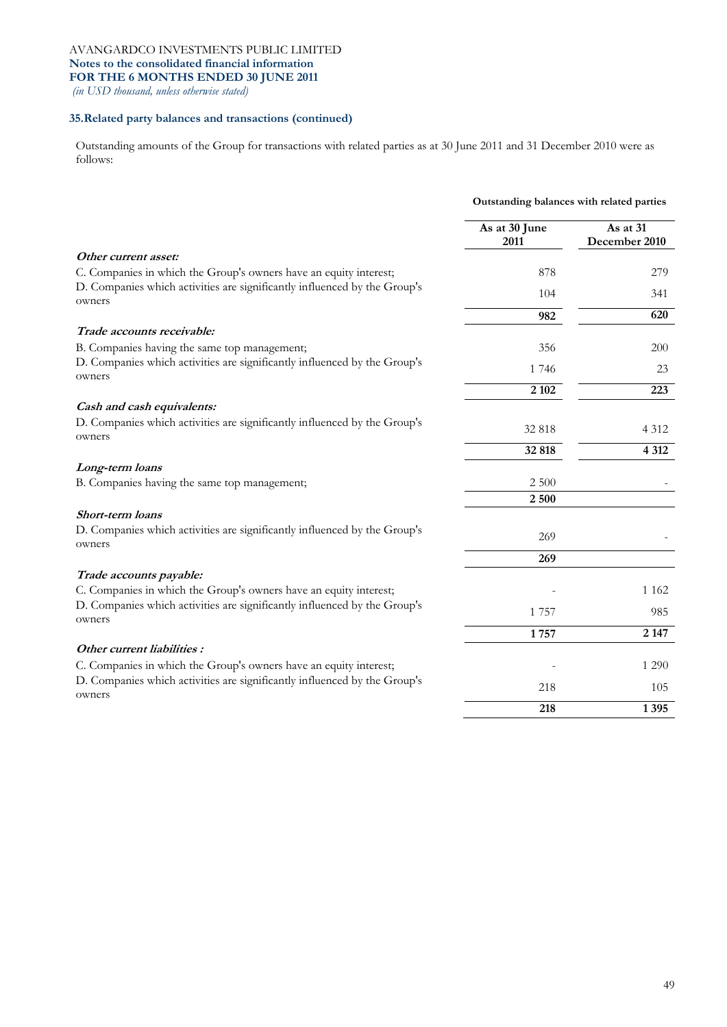# **35.Related party balances and transactions (continued)**

Outstanding amounts of the Group for transactions with related parties as at 30 June 2011 and 31 December 2010 were as follows:

|                                                                                     | Outstanding balances with related parties |                           |  |
|-------------------------------------------------------------------------------------|-------------------------------------------|---------------------------|--|
|                                                                                     | As at 30 June<br>2011                     | As at 31<br>December 2010 |  |
| Other current asset:                                                                |                                           |                           |  |
| C. Companies in which the Group's owners have an equity interest;                   | 878                                       | 279                       |  |
| D. Companies which activities are significantly influenced by the Group's<br>owners | 104                                       | 341                       |  |
|                                                                                     | 982                                       | 620                       |  |
| Trade accounts receivable:                                                          |                                           |                           |  |
| B. Companies having the same top management;                                        | 356                                       | <b>200</b>                |  |
| D. Companies which activities are significantly influenced by the Group's<br>owners | 1746                                      | 23                        |  |
|                                                                                     | 2 10 2                                    | 223                       |  |
| Cash and cash equivalents:                                                          |                                           |                           |  |
| D. Companies which activities are significantly influenced by the Group's<br>owners | 32 818                                    | 4 3 1 2                   |  |
|                                                                                     | 32 818                                    | 4 3 1 2                   |  |
| Long-term loans                                                                     |                                           |                           |  |
| B. Companies having the same top management;                                        | 2 500                                     |                           |  |
|                                                                                     | 2 500                                     |                           |  |
| <b>Short-term</b> loans                                                             |                                           |                           |  |
| D. Companies which activities are significantly influenced by the Group's<br>owners | 269                                       |                           |  |
|                                                                                     | 269                                       |                           |  |
| Trade accounts payable:                                                             |                                           |                           |  |
| C. Companies in which the Group's owners have an equity interest;                   |                                           | 1 1 6 2                   |  |
| D. Companies which activities are significantly influenced by the Group's<br>owners | 1757                                      | 985                       |  |
|                                                                                     | 1757                                      | 2 1 4 7                   |  |
| Other current liabilities :                                                         |                                           |                           |  |
| C. Companies in which the Group's owners have an equity interest;                   |                                           | 1 2 9 0                   |  |
| D. Companies which activities are significantly influenced by the Group's<br>owners | 218                                       | 105                       |  |
|                                                                                     | 218                                       | 1395                      |  |
|                                                                                     |                                           |                           |  |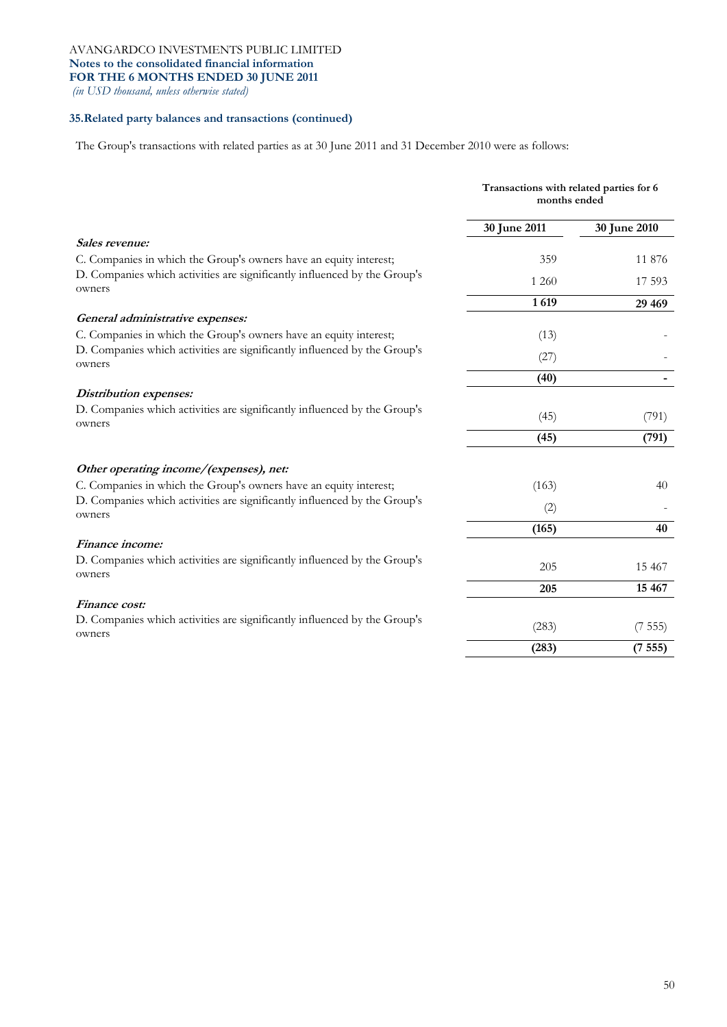# **35.Related party balances and transactions (continued)**

The Group's transactions with related parties as at 30 June 2011 and 31 December 2010 were as follows:

|                                                                                     | Transactions with related parties for 6<br>months ended |              |
|-------------------------------------------------------------------------------------|---------------------------------------------------------|--------------|
|                                                                                     | 30 June 2011                                            | 30 June 2010 |
| <i>Sales revenue:</i>                                                               |                                                         |              |
| C. Companies in which the Group's owners have an equity interest;                   | 359                                                     | 11 876       |
| D. Companies which activities are significantly influenced by the Group's<br>owners | 1 260                                                   | 17 593       |
|                                                                                     | 1619                                                    | 29 4 69      |
| General administrative expenses:                                                    |                                                         |              |
| C. Companies in which the Group's owners have an equity interest;                   | (13)                                                    |              |
| D. Companies which activities are significantly influenced by the Group's<br>owners | (27)                                                    |              |
|                                                                                     | (40)                                                    |              |
| <b>Distribution expenses:</b>                                                       |                                                         |              |
| D. Companies which activities are significantly influenced by the Group's<br>owners | (45)                                                    | (791)        |
|                                                                                     | (45)                                                    | (791)        |
| Other operating income/(expenses), net:                                             |                                                         |              |
| C. Companies in which the Group's owners have an equity interest;                   | (163)                                                   | 40           |
| D. Companies which activities are significantly influenced by the Group's<br>owners | (2)                                                     |              |
|                                                                                     | (165)                                                   | 40           |
| <i>Finance income:</i>                                                              |                                                         |              |
| D. Companies which activities are significantly influenced by the Group's<br>owners | 205                                                     | 15 4 67      |
|                                                                                     | 205                                                     | 15 4 67      |
| Finance cost:                                                                       |                                                         |              |
| D. Companies which activities are significantly influenced by the Group's<br>owners | (283)                                                   | (7555)       |
|                                                                                     | (283)                                                   | (7555)       |
|                                                                                     |                                                         |              |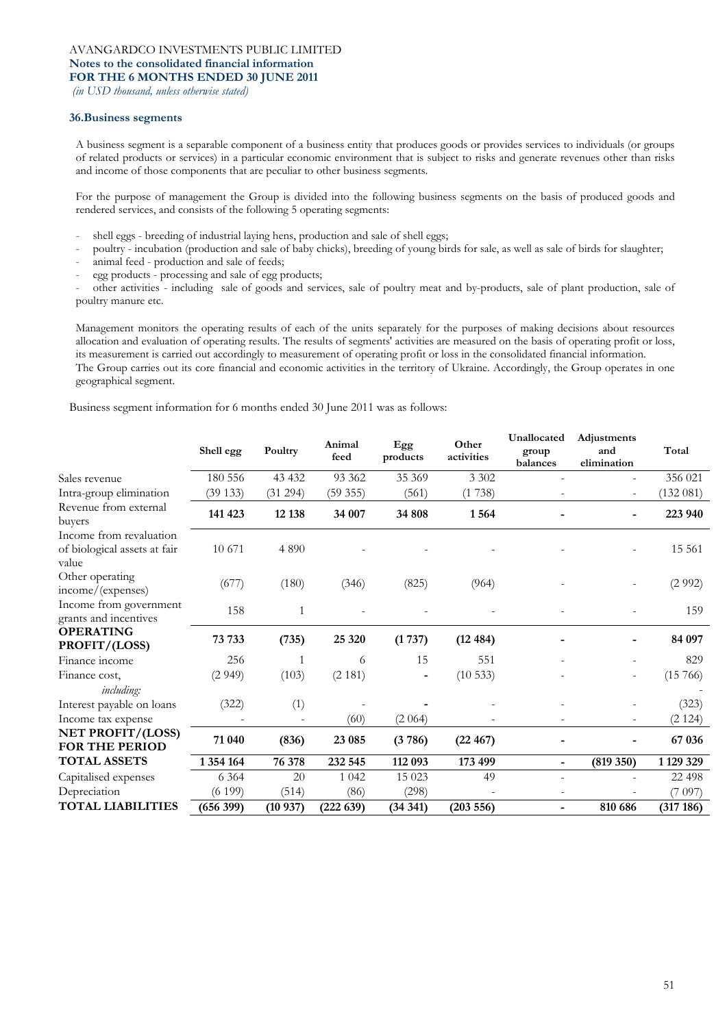#### **36.Business segments**

A business segment is a separable component of a business entity that produces goods or provides services to individuals (or groups of related products or services) in a particular economic environment that is subject to risks and generate revenues other than risks and income of those components that are peculiar to other business segments.

For the purpose of management the Group is divided into the following business segments on the basis of produced goods and rendered services, and consists of the following 5 operating segments:

- shell eggs breeding of industrial laying hens, production and sale of shell eggs;
- poultry incubation (production and sale of baby chicks), breeding of young birds for sale, as well as sale of birds for slaughter;
- animal feed production and sale of feeds;
- egg products processing and sale of egg products;

- other activities - including sale of goods and services, sale of poultry meat and by-products, sale of plant production, sale of poultry manure etc.

Management monitors the operating results of each of the units separately for the purposes of making decisions about resources allocation and evaluation of operating results. The results of segments' activities are measured on the basis of operating profit or loss, its measurement is carried out accordingly to measurement of operating profit or loss in the consolidated financial information. The Group carries out its core financial and economic activities in the territory of Ukraine. Accordingly, the Group operates in one geographical segment.

Business segment information for 6 months ended 30 June 2011 was as follows:

|                                                                  | Shell egg | Poultry  | Animal<br>feed | Egg<br>products | Other<br>activities | Unallocated<br>group<br>balances | Adjustments<br>and<br>elimination | Total     |
|------------------------------------------------------------------|-----------|----------|----------------|-----------------|---------------------|----------------------------------|-----------------------------------|-----------|
| Sales revenue                                                    | 180 556   | 43 4 32  | 93 362         | 35 369          | 3 3 0 2             |                                  | $\sim$                            | 356 021   |
| Intra-group elimination                                          | (39133)   | (31 294) | (59355)        | (561)           | (1738)              |                                  | $\overline{\phantom{a}}$          | (132081)  |
| Revenue from external<br>buyers                                  | 141 423   | 12 138   | 34 007         | 34 808          | 1564                |                                  |                                   | 223 940   |
| Income from revaluation<br>of biological assets at fair<br>value | 10 671    | 4 8 9 0  |                |                 |                     |                                  |                                   | 15 5 6 1  |
| Other operating<br>income/(expenses)                             | (677)     | (180)    | (346)          | (825)           | (964)               |                                  |                                   | (2992)    |
| Income from government<br>grants and incentives                  | 158       | 1        |                |                 |                     |                                  |                                   | 159       |
| <b>OPERATING</b><br>PROFIT/(LOSS)                                | 73 733    | (735)    | 25 3 20        | (1737)          | (12484)             |                                  |                                   | 84 097    |
| Finance income                                                   | 256       | 1        | 6              | 15              | 551                 |                                  |                                   | 829       |
| Finance cost.                                                    | (2949)    | (103)    | (2181)         |                 | $(10\ 533)$         |                                  |                                   | (15766)   |
| including:                                                       |           |          |                |                 |                     |                                  |                                   |           |
| Interest payable on loans                                        | (322)     | (1)      |                |                 |                     |                                  |                                   | (323)     |
| Income tax expense                                               |           |          | (60)           | (2064)          |                     |                                  |                                   | (2124)    |
| <b>NET PROFIT/(LOSS)</b><br><b>FOR THE PERIOD</b>                | 71 040    | (836)    | 23 085         | (3786)          | (22467)             |                                  |                                   | 67 036    |
| <b>TOTAL ASSETS</b>                                              | 1 354 164 | 76 378   | 232 545        | 112 093         | 173 499             | ٠                                | (819 350)                         | 1 129 329 |
| Capitalised expenses                                             | 6 3 6 4   | 20       | 1 0 4 2        | 15 023          | 49                  |                                  |                                   | 22 498    |
| Depreciation                                                     | (6199)    | (514)    | (86)           | (298)           |                     |                                  |                                   | (7097)    |
| <b>TOTAL LIABILITIES</b>                                         | (656 399) | (10937)  | (222 639)      | (34341)         | (203 556)           | $\blacksquare$                   | 810 686                           | (317186)  |
|                                                                  |           |          |                |                 |                     |                                  |                                   |           |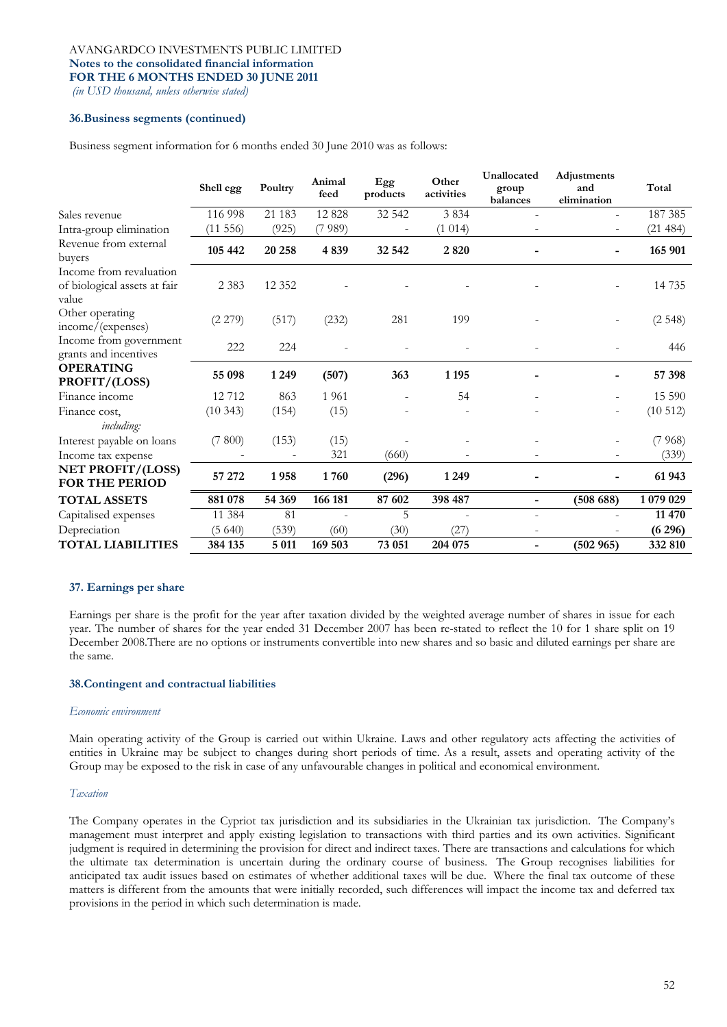*(in USD thousand, unless otherwise stated)*

#### **36.Business segments (continued)**

Business segment information for 6 months ended 30 June 2010 was as follows:

|                                                                  | Shell egg   | Poultry  | Animal<br>feed | Egg<br>products | Other<br>activities | Unallocated<br>group<br>balances | Adjustments<br>and<br>elimination | Total     |
|------------------------------------------------------------------|-------------|----------|----------------|-----------------|---------------------|----------------------------------|-----------------------------------|-----------|
| Sales revenue                                                    | 116 998     | 21 183   | 12828          | 32 542          | 3 8 3 4             | ä,                               | $\overline{\phantom{a}}$          | 187 385   |
| Intra-group elimination                                          | $(11\;556)$ | (925)    | (7989)         |                 | (1 014)             |                                  |                                   | (21484)   |
| Revenue from external<br>buyers                                  | 105 442     | 20 25 8  | 4839           | 32 542          | 2820                |                                  |                                   | 165 901   |
| Income from revaluation<br>of biological assets at fair<br>value | 2 3 8 3     | 12 3 5 2 |                |                 |                     |                                  |                                   | 14 7 35   |
| Other operating<br>income/(expenses)                             | (2 279)     | (517)    | (232)          | 281             | 199                 |                                  |                                   | (2548)    |
| Income from government<br>grants and incentives                  | 222         | 224      |                |                 |                     |                                  |                                   | 446       |
| <b>OPERATING</b><br>PROFIT/(LOSS)                                | 55 098      | 1 2 4 9  | (507)          | 363             | 1 1 9 5             | ٠                                |                                   | 57 398    |
| Finance income                                                   | 12712       | 863      | 1 9 6 1        |                 | 54                  |                                  |                                   | 15 590    |
| Finance cost,                                                    | (10343)     | (154)    | (15)           |                 |                     |                                  | $\overline{\phantom{a}}$          | (10512)   |
| including:                                                       |             |          |                |                 |                     |                                  |                                   |           |
| Interest payable on loans                                        | (7800)      | (153)    | (15)           |                 |                     |                                  |                                   | (7968)    |
| Income tax expense                                               |             |          | 321            | (660)           |                     |                                  |                                   | (339)     |
| <b>NET PROFIT/(LOSS)</b><br><b>FOR THE PERIOD</b>                | 57 272      | 1958     | 1760           | (296)           | 1 2 4 9             |                                  |                                   | 61943     |
| <b>TOTAL ASSETS</b>                                              | 881078      | 54 369   | 166 181        | 87 602          | 398 487             | $\blacksquare$                   | (50868)                           | 1 079 029 |
| Capitalised expenses                                             | 11 384      | 81       |                | 5               |                     | ٠                                |                                   | 11 470    |
| Depreciation                                                     | (5, 640)    | (539)    | (60)           | (30)            | (27)                |                                  |                                   | (6296)    |
| <b>TOTAL LIABILITIES</b>                                         | 384 135     | 5 0 1 1  | 169 503        | 73 051          | 204 075             | ۰                                | (502965)                          | 332 810   |

#### **37. Earnings per share**

Earnings per share is the profit for the year after taxation divided by the weighted average number of shares in issue for each year. The number of shares for the year ended 31 December 2007 has been re-stated to reflect the 10 for 1 share split on 19 December 2008.There are no options or instruments convertible into new shares and so basic and diluted earnings per share are the same.

#### **38.Contingent and contractual liabilities**

#### *Economic environment*

Main operating activity of the Group is carried out within Ukraine. Laws and other regulatory acts affecting the activities of entities in Ukraine may be subject to changes during short periods of time. As a result, assets and operating activity of the Group may be exposed to the risk in case of any unfavourable changes in political and economical environment.

#### *Taxation*

The Company operates in the Cypriot tax jurisdiction and its subsidiaries in the Ukrainian tax jurisdiction. The Company's management must interpret and apply existing legislation to transactions with third parties and its own activities. Significant judgment is required in determining the provision for direct and indirect taxes. There are transactions and calculations for which the ultimate tax determination is uncertain during the ordinary course of business. The Group recognises liabilities for anticipated tax audit issues based on estimates of whether additional taxes will be due. Where the final tax outcome of these matters is different from the amounts that were initially recorded, such differences will impact the income tax and deferred tax provisions in the period in which such determination is made.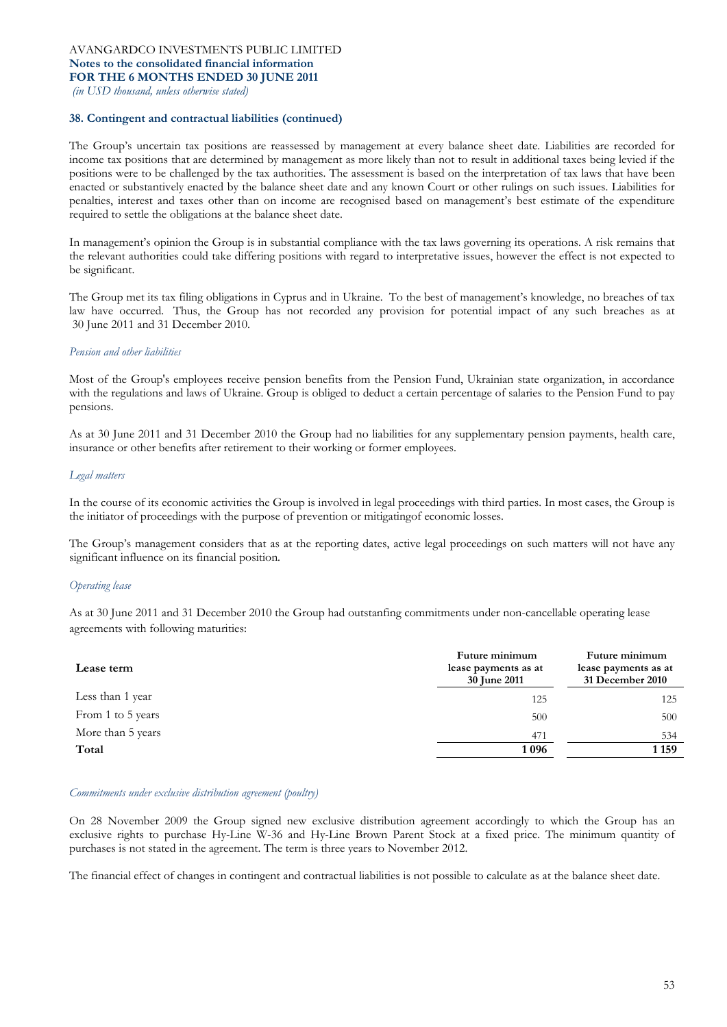#### **38. Contingent and contractual liabilities (continued)**

The Group's uncertain tax positions are reassessed by management at every balance sheet date. Liabilities are recorded for income tax positions that are determined by management as more likely than not to result in additional taxes being levied if the positions were to be challenged by the tax authorities. The assessment is based on the interpretation of tax laws that have been enacted or substantively enacted by the balance sheet date and any known Court or other rulings on such issues. Liabilities for penalties, interest and taxes other than on income are recognised based on management's best estimate of the expenditure required to settle the obligations at the balance sheet date.

In management's opinion the Group is in substantial compliance with the tax laws governing its operations. A risk remains that the relevant authorities could take differing positions with regard to interpretative issues, however the effect is not expected to be significant.

The Group met its tax filing obligations in Cyprus and in Ukraine. To the best of management's knowledge, no breaches of tax law have occurred. Thus, the Group has not recorded any provision for potential impact of any such breaches as at 30 June 2011 and 31 December 2010.

#### *Pension and other liabilities*

Most of the Group's employees receive pension benefits from the Pension Fund, Ukrainian state organization, in accordance with the regulations and laws of Ukraine. Group is obliged to deduct a certain percentage of salaries to the Pension Fund to pay pensions.

As at 30 June 2011 and 31 December 2010 the Group had no liabilities for any supplementary pension payments, health care, insurance or other benefits after retirement to their working or former employees.

#### *Legal matters*

In the course of its economic activities the Group is involved in legal proceedings with third parties. In most cases, the Group is the initiator of proceedings with the purpose of prevention or mitigatingof economic losses.

The Group's management considers that as at the reporting dates, active legal proceedings on such matters will not have any significant influence on its financial position.

#### *Operating lease*

As at 30 June 2011 and 31 December 2010 the Group had outstanfing commitments under non-cancellable operating lease agreements with following maturities:

| Lease term        | Future minimum<br>lease payments as at<br>30 June 2011 | Future minimum<br>lease payments as at<br>31 December 2010 |
|-------------------|--------------------------------------------------------|------------------------------------------------------------|
| Less than 1 year  | 125                                                    | 125                                                        |
| From 1 to 5 years | 500                                                    | 500                                                        |
| More than 5 years | 471                                                    | 534                                                        |
| Total             | 1096                                                   | 1 1 5 9                                                    |

#### *Commitments under exclusive distribution agreement (poultry)*

On 28 November 2009 the Group signed new exclusive distribution agreement accordingly to which the Group has an exclusive rights to purchase Hy-Line W-36 and Hy-Line Brown Parent Stock at a fixed price. The minimum quantity of purchases is not stated in the agreement. The term is three years to November 2012.

The financial effect of changes in contingent and contractual liabilities is not possible to calculate as at the balance sheet date.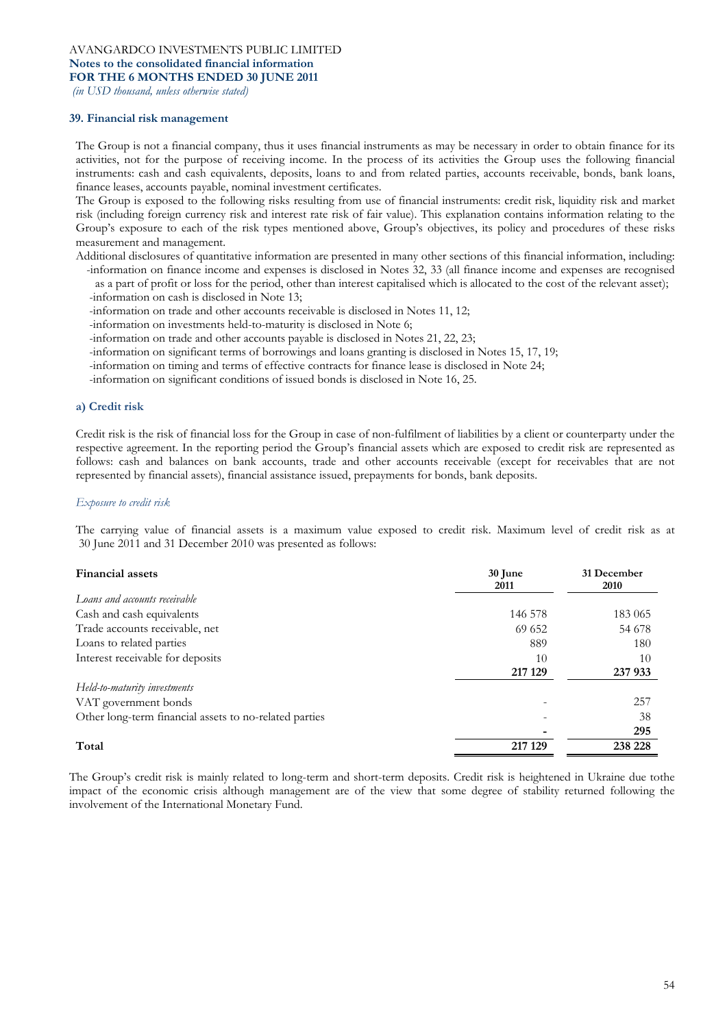#### **39. Financial risk management**

The Group is not a financial company, thus it uses financial instruments as may be necessary in order to obtain finance for its activities, not for the purpose of receiving income. In the process of its activities the Group uses the following financial instruments: cash and cash equivalents, deposits, loans to and from related parties, accounts receivable, bonds, bank loans, finance leases, accounts payable, nominal investment certificates.

The Group is exposed to the following risks resulting from use of financial instruments: credit risk, liquidity risk and market risk (including foreign currency risk and interest rate risk of fair value). This explanation contains information relating to the Group's exposure to each of the risk types mentioned above, Group's objectives, its policy and procedures of these risks measurement and management.

Additional disclosures of quantitative information are presented in many other sections of this financial information, including: -information on finance income and expenses is disclosed in Notes 32, 33 (all finance income and expenses are recognised as a part of profit or loss for the period, other than interest capitalised which is allocated to the cost of the relevant asset); -information on cash is disclosed in Note 13;

- -information on trade and other accounts receivable is disclosed in Notes 11, 12;
- -information on investments held-to-maturity is disclosed in Note 6;
- -information on trade and other accounts payable is disclosed in Notes 21, 22, 23;
- -information on significant terms of borrowings and loans granting is disclosed in Notes 15, 17, 19;
- -information on timing and terms of effective contracts for finance lease is disclosed in Note 24;
- -information on significant conditions of issued bonds is disclosed in Note 16, 25.

#### **a) Credit risk**

Credit risk is the risk of financial loss for the Group in case of non-fulfilment of liabilities by a client or counterparty under the respective agreement. In the reporting period the Group's financial assets which are exposed to credit risk are represented as follows: cash and balances on bank accounts, trade and other accounts receivable (except for receivables that are not represented by financial assets), financial assistance issued, prepayments for bonds, bank deposits.

#### *Exposure to credit risk*

The carrying value of financial assets is a maximum value exposed to credit risk. Maximum level of credit risk as at 30 June 2011 and 31 December 2010 was presented as follows:

| <b>Financial assets</b>                                | 30 June<br>2011 | 31 December<br>2010 |
|--------------------------------------------------------|-----------------|---------------------|
| Loans and accounts receivable                          |                 |                     |
| Cash and cash equivalents                              | 146 578         | 183 065             |
| Trade accounts receivable, net                         | 69 652          | 54 678              |
| Loans to related parties                               | 889             | 180                 |
| Interest receivable for deposits                       | 10              | 10                  |
|                                                        | 217 129         | 237 933             |
| Held-to-maturity investments                           |                 |                     |
| VAT government bonds                                   |                 | 257                 |
| Other long-term financial assets to no-related parties |                 | 38                  |
|                                                        |                 | 295                 |
| Total                                                  | 217 129         | 238 228             |

The Group's credit risk is mainly related to long-term and short-term deposits. Credit risk is heightened in Ukraine due tothe impact of the economic crisis although management are of the view that some degree of stability returned following the involvement of the International Monetary Fund.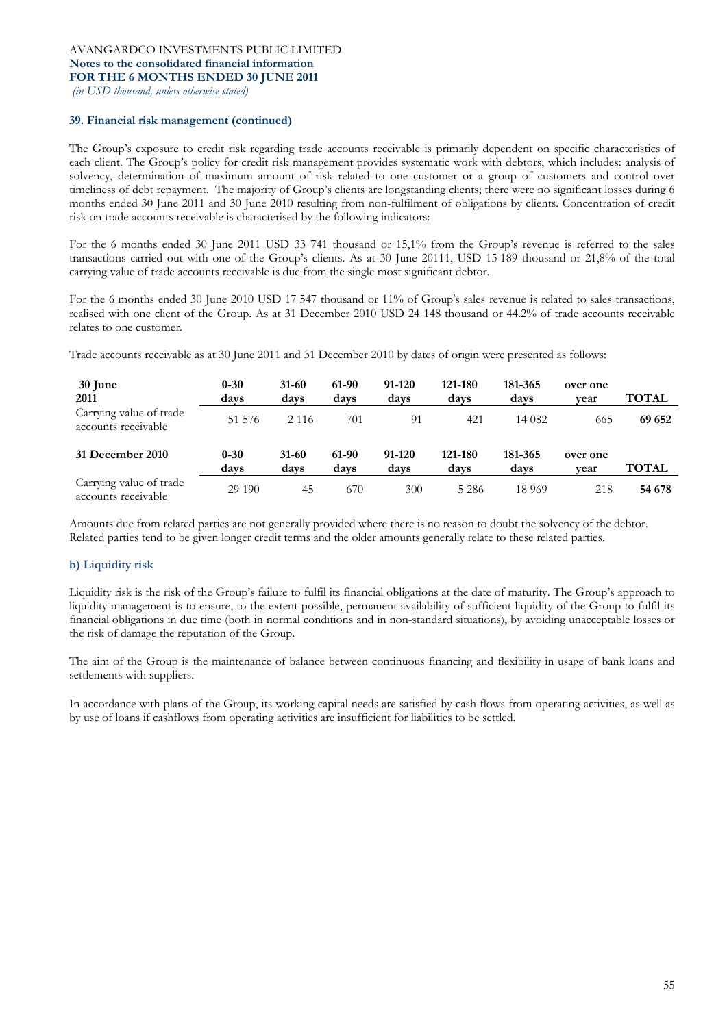#### **39. Financial risk management (continued)**

The Group's exposure to credit risk regarding trade accounts receivable is primarily dependent on specific characteristics of each client. The Group's policy for credit risk management provides systematic work with debtors, which includes: analysis of solvency, determination of maximum amount of risk related to one customer or a group of customers and control over timeliness of debt repayment. The majority of Group's clients are longstanding clients; there were no significant losses during 6 months ended 30 June 2011 and 30 June 2010 resulting from non-fulfilment of obligations by clients. Concentration of credit risk on trade accounts receivable is characterised by the following indicators:

For the 6 months ended 30 June 2011 USD 33 741 thousand or 15,1% from the Group's revenue is referred to the sales transactions carried out with one of the Group's clients. As at 30 June 20111, USD 15 189 thousand or 21,8% of the total carrying value of trade accounts receivable is due from the single most significant debtor.

For the 6 months ended 30 June 2010 USD 17 547 thousand or 11% of Group's sales revenue is related to sales transactions, realised with one client of the Group. As at 31 December 2010 USD 24 148 thousand or 44.2% of trade accounts receivable relates to one customer.

Trade accounts receivable as at 30 June 2011 and 31 December 2010 by dates of origin were presented as follows:

| 30 June<br>2011                                | $0 - 30$<br>days | $31-60$<br>days   | 61-90<br>days | 91-120<br>days | 121-180<br>days | 181-365<br>days | over one<br>vear | <b>TOTAL</b> |
|------------------------------------------------|------------------|-------------------|---------------|----------------|-----------------|-----------------|------------------|--------------|
| Carrying value of trade<br>accounts receivable | 51 576           | 2 1 1 6           | 701           | 91             | 421             | 14 082          | 665              | 69 652       |
| 31 December 2010                               | $0 - 30$<br>days | $31 - 60$<br>days | 61-90<br>days | 91-120<br>days | 121-180<br>days | 181-365<br>days | over one<br>vear | <b>TOTAL</b> |
| Carrying value of trade<br>accounts receivable | 29 190           | 45                | 670           | 300            | 5 2 8 6         | 18 969          | 218              | 54 678       |

Amounts due from related parties are not generally provided where there is no reason to doubt the solvency of the debtor. Related parties tend to be given longer credit terms and the older amounts generally relate to these related parties.

#### **b) Liquidity risk**

Liquidity risk is the risk of the Group's failure to fulfil its financial obligations at the date of maturity. The Group's approach to liquidity management is to ensure, to the extent possible, permanent availability of sufficient liquidity of the Group to fulfil its financial obligations in due time (both in normal conditions and in non-standard situations), by avoiding unacceptable losses or the risk of damage the reputation of the Group.

The aim of the Group is the maintenance of balance between continuous financing and flexibility in usage of bank loans and settlements with suppliers.

In accordance with plans of the Group, its working capital needs are satisfied by cash flows from operating activities, as well as by use of loans if cashflows from operating activities are insufficient for liabilities to be settled.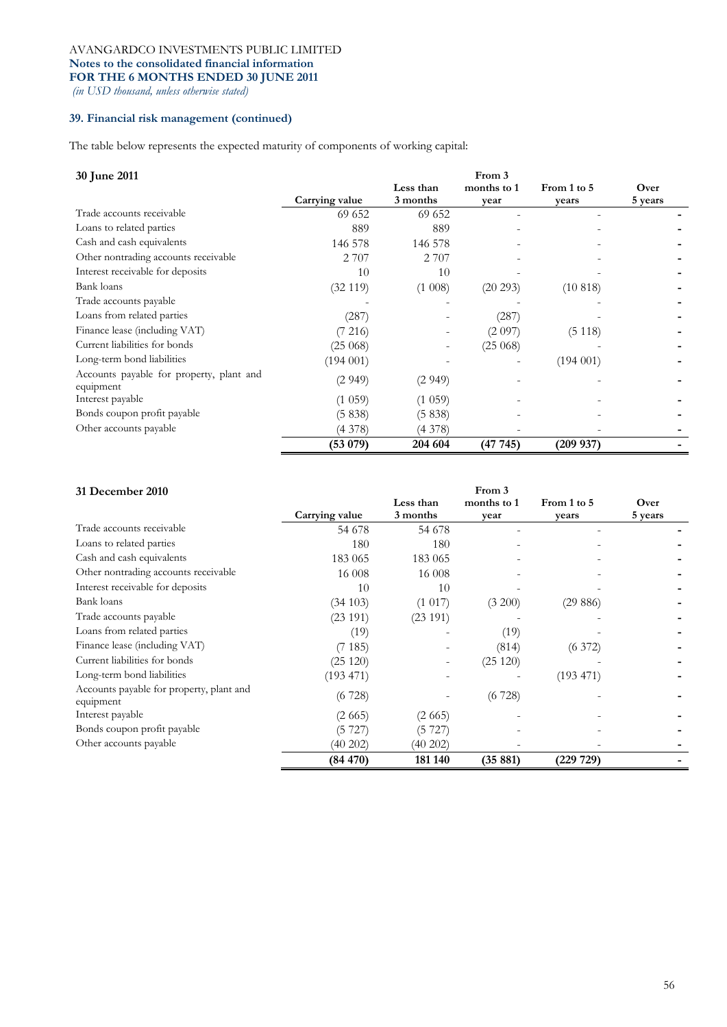*(in USD thousand, unless otherwise stated)*

# **39. Financial risk management (continued)**

The table below represents the expected maturity of components of working capital:

| 30 June 2011                                          |                |           | From 3      |             |         |
|-------------------------------------------------------|----------------|-----------|-------------|-------------|---------|
|                                                       |                | Less than | months to 1 | From 1 to 5 | Over    |
|                                                       | Carrying value | 3 months  | year        | years       | 5 years |
| Trade accounts receivable                             | 69 652         | 69 652    |             |             |         |
| Loans to related parties                              | 889            | 889       |             |             |         |
| Cash and cash equivalents                             | 146 578        | 146 578   |             |             |         |
| Other nontrading accounts receivable                  | 2 707          | 2 7 0 7   |             |             |         |
| Interest receivable for deposits                      | 10             | 10        |             |             |         |
| Bank loans                                            | (32119)        | (1008)    | $(20\ 293)$ | (10818)     |         |
| Trade accounts payable                                |                |           |             |             |         |
| Loans from related parties                            | (287)          |           | (287)       |             |         |
| Finance lease (including VAT)                         | (7216)         |           | (2097)      | (5118)      |         |
| Current liabilities for bonds                         | (25068)        |           | (25068)     |             |         |
| Long-term bond liabilities                            | (194 001)      |           |             | (194001)    |         |
| Accounts payable for property, plant and<br>equipment | (2949)         | (2949)    |             |             |         |
| Interest payable                                      | (1059)         | (1059)    |             |             |         |
| Bonds coupon profit payable                           | (5838)         | (5838)    |             |             |         |
| Other accounts payable                                | (4 378)        | (4378)    |             |             |         |
|                                                       | (53079)        | 204 604   | (47 745)    | (209937)    |         |

# **31 December 2010**

| 31 December 2010                                      |                |           | From 3      |             |         |
|-------------------------------------------------------|----------------|-----------|-------------|-------------|---------|
|                                                       |                | Less than | months to 1 | From 1 to 5 | Over    |
|                                                       | Carrying value | 3 months  | year        | years       | 5 years |
| Trade accounts receivable                             | 54 678         | 54 678    |             |             |         |
| Loans to related parties                              | 180            | 180       |             |             |         |
| Cash and cash equivalents                             | 183 065        | 183 065   |             |             |         |
| Other nontrading accounts receivable                  | 16 008         | 16 008    |             |             |         |
| Interest receivable for deposits                      | 10             | 10        |             |             |         |
| Bank loans                                            | (34103)        | (1017)    | (3 200)     | (29 886)    |         |
| Trade accounts payable                                | (23191)        | (23 191)  |             |             |         |
| Loans from related parties                            | (19)           |           | (19)        |             |         |
| Finance lease (including VAT)                         | (7 185)        |           | (814)       | (6372)      |         |
| Current liabilities for bonds                         | (25120)        |           | (25120)     |             |         |
| Long-term bond liabilities                            | (193 471)      |           |             | (193 471)   |         |
| Accounts payable for property, plant and<br>equipment | (6728)         |           | (6728)      |             |         |
| Interest payable                                      | (2.665)        | (2.665)   |             |             |         |
| Bonds coupon profit payable                           | (5 727)        | (5727)    |             |             |         |
| Other accounts payable                                | (40 202)       | (40 202)  |             |             |         |
|                                                       | (84 470)       | 181 140   | (35 881)    | (229 729)   |         |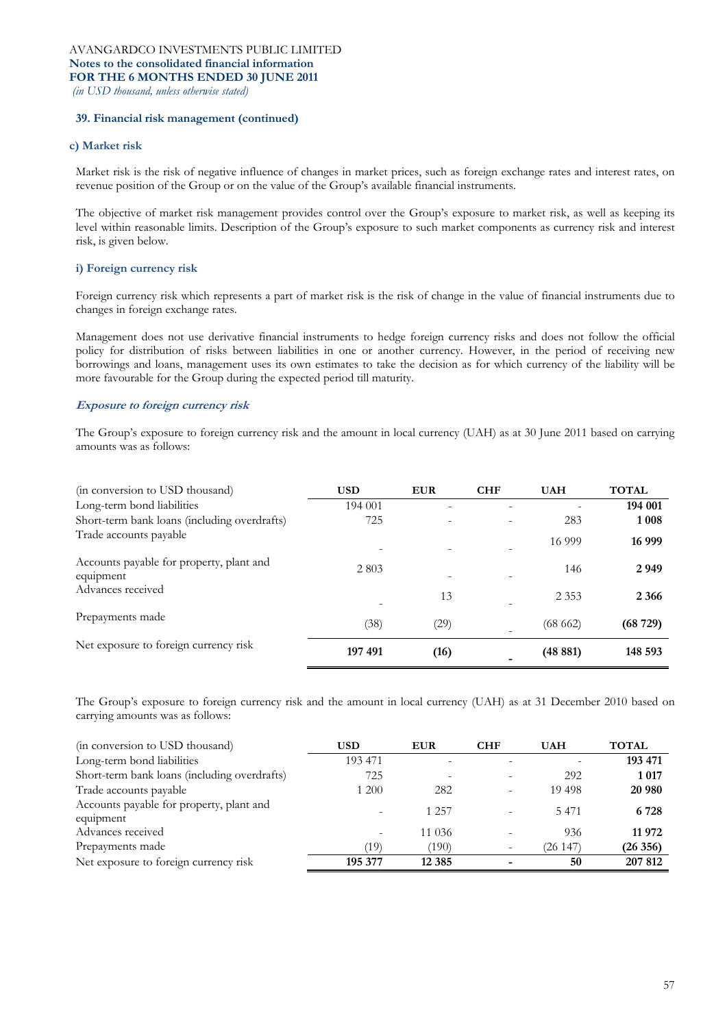#### **39. Financial risk management (continued)**

#### **c) Market risk**

Market risk is the risk of negative influence of changes in market prices, such as foreign exchange rates and interest rates, on revenue position of the Group or on the value of the Group's available financial instruments.

The objective of market risk management provides control over the Group's exposure to market risk, as well as keeping its level within reasonable limits. Description of the Group's exposure to such market components as currency risk and interest risk, is given below.

#### **i) Foreign currency risk**

Foreign currency risk which represents a part of market risk is the risk of change in the value of financial instruments due to changes in foreign exchange rates.

Management does not use derivative financial instruments to hedge foreign currency risks and does not follow the official policy for distribution of risks between liabilities in one or another currency. However, in the period of receiving new borrowings and loans, management uses its own estimates to take the decision as for which currency of the liability will be more favourable for the Group during the expected period till maturity.

#### **Exposure to foreign currency risk**

The Group's exposure to foreign currency risk and the amount in local currency (UAH) as at 30 June 2011 based on carrying amounts was as follows:

| (in conversion to USD thousand)                       | <b>USD</b>               | <b>EUR</b>               | <b>CHF</b> | <b>UAH</b> | <b>TOTAL</b> |
|-------------------------------------------------------|--------------------------|--------------------------|------------|------------|--------------|
| Long-term bond liabilities                            | 194 001                  | $\overline{\phantom{0}}$ |            |            | 194 001      |
| Short-term bank loans (including overdrafts)          | 725                      |                          |            | 283        | 1 0 0 8      |
| Trade accounts payable                                | $\overline{\phantom{a}}$ |                          |            | 16 9 99    | 16 9 99      |
| Accounts payable for property, plant and<br>equipment | 2 803                    |                          |            | 146        | 2949         |
| Advances received                                     |                          | 13                       |            | 2 3 5 3    | 2 3 6 6      |
| Prepayments made                                      | (38)                     | (29)                     |            | (68662)    | (68729)      |
| Net exposure to foreign currency risk                 | 197 491                  | (16)                     |            | (48 881)   | 148 593      |

The Group's exposure to foreign currency risk and the amount in local currency (UAH) as at 31 December 2010 based on carrying amounts was as follows:

| (in conversion to USD thousand)                       | USD                          | <b>EUR</b> | <b>CHF</b>               | <b>UAH</b> | <b>TOTAL</b> |
|-------------------------------------------------------|------------------------------|------------|--------------------------|------------|--------------|
| Long-term bond liabilities                            | 193 471                      |            |                          |            | 193 471      |
| Short-term bank loans (including overdrafts)          | 725                          |            |                          | 292        | 1 0 1 7      |
| Trade accounts payable                                | 1 200                        | 282        |                          | 19 498     | 20 980       |
| Accounts payable for property, plant and<br>equipment | $\qquad \qquad \blacksquare$ | 1 257      |                          | 5471       | 6 7 2 8      |
| Advances received                                     | $\overline{\phantom{a}}$     | 11 036     |                          | 936        | 11 972       |
| Prepayments made                                      | 79)                          | (190       | $\overline{\phantom{a}}$ | (26 147)   | (26 356)     |
| Net exposure to foreign currency risk                 | 195 377                      | 12 3 8 5   |                          | 50         | 207 812      |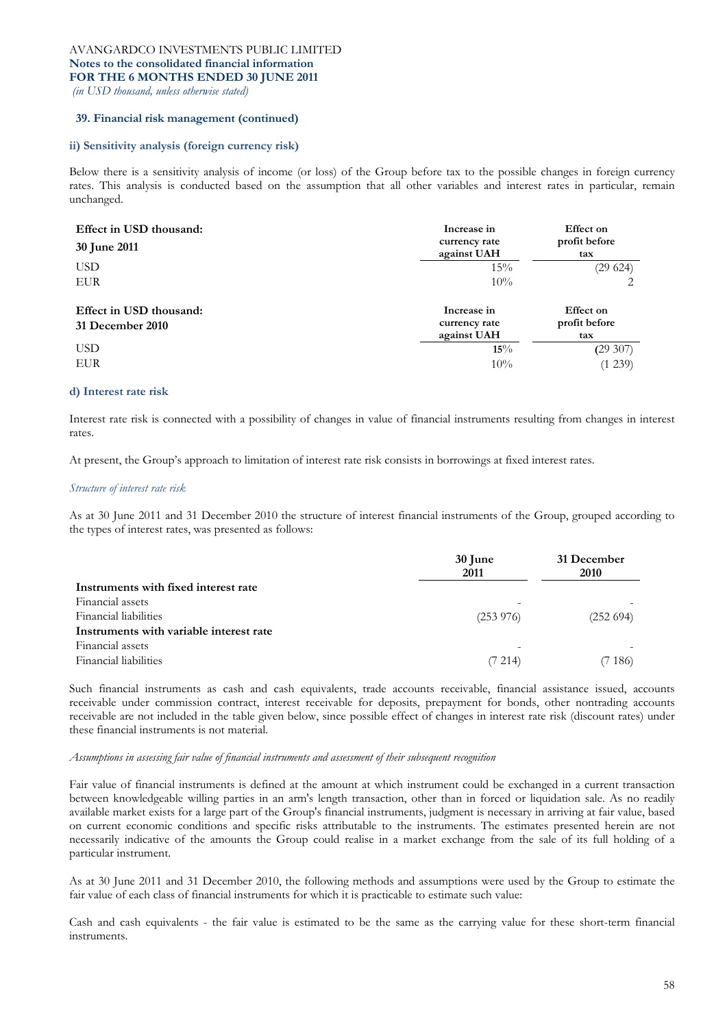*(in USD thousand, unless otherwise stated)*

#### **39. Financial risk management (continued)**

#### **ii) Sensitivity analysis (foreign currency risk)**

Below there is a sensitivity analysis of income (or loss) of the Group before tax to the possible changes in foreign currency rates. This analysis is conducted based on the assumption that all other variables and interest rates in particular, remain unchanged.

| Effect in USD thousand:                     | Increase in                                 | Effect on                         |
|---------------------------------------------|---------------------------------------------|-----------------------------------|
| 30 June 2011                                | currency rate<br>against UAH                | profit before<br>tax              |
| <b>USD</b>                                  | 15%                                         | (29624)                           |
| EUR                                         | 10%                                         |                                   |
| Effect in USD thousand:<br>31 December 2010 | Increase in<br>currency rate<br>against UAH | Effect on<br>profit before<br>tax |
| <b>USD</b>                                  | $15\%$                                      | $(29\;307)$                       |
| <b>EUR</b>                                  | 10%                                         | (1 239)                           |

#### **d) Interest rate risk**

Interest rate risk is connected with a possibility of changes in value of financial instruments resulting from changes in interest rates.

At present, the Group's approach to limitation of interest rate risk consists in borrowings at fixed interest rates.

#### *Structure of interest rate risk*

As at 30 June 2011 and 31 December 2010 the structure of interest financial instruments of the Group, grouped according to the types of interest rates, was presented as follows:

|                                         | 30 June<br>2011 | 31 December<br>2010 |
|-----------------------------------------|-----------------|---------------------|
| Instruments with fixed interest rate    |                 |                     |
| Financial assets                        |                 |                     |
| Financial liabilities                   | (253 976)       | (252694)            |
| Instruments with variable interest rate |                 |                     |
| Financial assets                        |                 |                     |
| <b>Financial liabilities</b>            | (7214)          | (7 186)             |

Such financial instruments as cash and cash equivalents, trade accounts receivable, financial assistance issued, accounts receivable under commission contract, interest receivable for deposits, prepayment for bonds, other nontrading accounts receivable are not included in the table given below, since possible effect of changes in interest rate risk (discount rates) under these financial instruments is not material.

#### *Assumptions in assessing fair value of financial instruments and assessment of their subsequent recognition*

Fair value of financial instruments is defined at the amount at which instrument could be exchanged in a current transaction between knowledgeable willing parties in an arm's length transaction, other than in forced or liquidation sale. As no readily available market exists for a large part of the Group's financial instruments, judgment is necessary in arriving at fair value, based on current economic conditions and specific risks attributable to the instruments. The estimates presented herein are not necessarily indicative of the amounts the Group could realise in a market exchange from the sale of its full holding of a particular instrument.

As at 30 June 2011 and 31 December 2010, the following methods and assumptions were used by the Group to estimate the fair value of each class of financial instruments for which it is practicable to estimate such value:

Cash and cash equivalents - the fair value is estimated to be the same as the carrying value for these short-term financial instruments.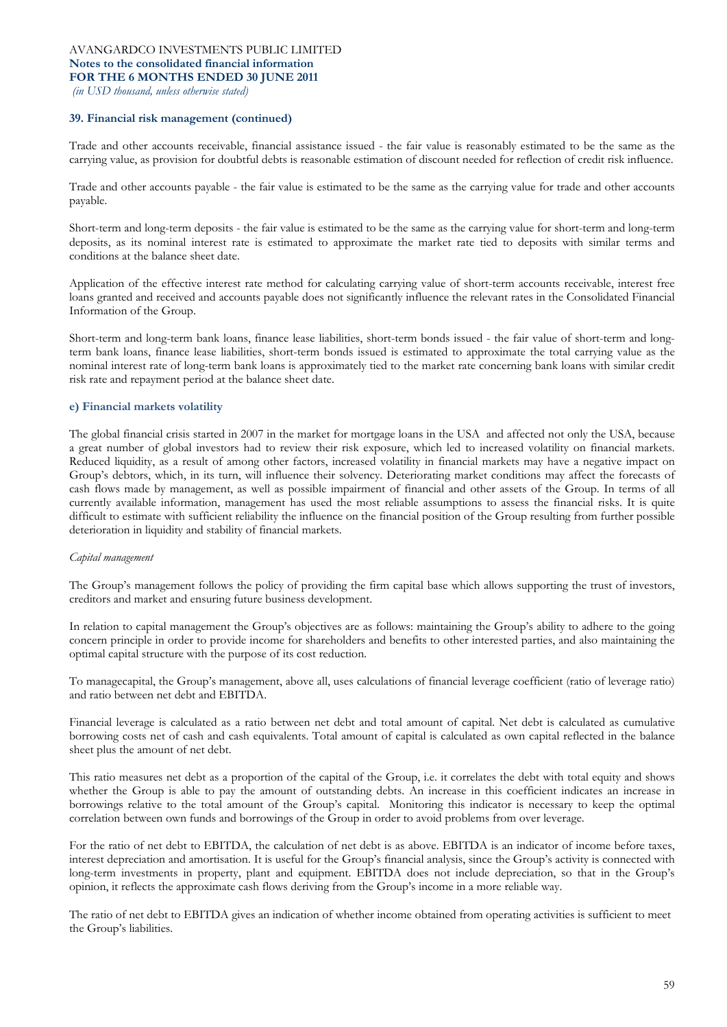#### **39. Financial risk management (continued)**

Trade and other accounts receivable, financial assistance issued - the fair value is reasonably estimated to be the same as the carrying value, as provision for doubtful debts is reasonable estimation of discount needed for reflection of credit risk influence.

Trade and other accounts payable - the fair value is estimated to be the same as the carrying value for trade and other accounts payable.

Short-term and long-term deposits - the fair value is estimated to be the same as the carrying value for short-term and long-term deposits, as its nominal interest rate is estimated to approximate the market rate tied to deposits with similar terms and conditions at the balance sheet date.

Application of the effective interest rate method for calculating carrying value of short-term accounts receivable, interest free loans granted and received and accounts payable does not significantly influence the relevant rates in the Consolidated Financial Information of the Group.

Short-term and long-term bank loans, finance lease liabilities, short-term bonds issued - the fair value of short-term and longterm bank loans, finance lease liabilities, short-term bonds issued is estimated to approximate the total carrying value as the nominal interest rate of long-term bank loans is approximately tied to the market rate concerning bank loans with similar credit risk rate and repayment period at the balance sheet date.

#### **e) Financial markets volatility**

The global financial crisis started in 2007 in the market for mortgage loans in the USA and affected not only the USA, because a great number of global investors had to review their risk exposure, which led to increased volatility on financial markets. Reduced liquidity, as a result of among other factors, increased volatility in financial markets may have a negative impact on Group's debtors, which, in its turn, will influence their solvency. Deteriorating market conditions may affect the forecasts of cash flows made by management, as well as possible impairment of financial and other assets of the Group. In terms of all currently available information, management has used the most reliable assumptions to assess the financial risks. It is quite difficult to estimate with sufficient reliability the influence on the financial position of the Group resulting from further possible deterioration in liquidity and stability of financial markets.

#### *Capital management*

The Group's management follows the policy of providing the firm capital base which allows supporting the trust of investors, creditors and market and ensuring future business development.

In relation to capital management the Group's objectives are as follows: maintaining the Group's ability to adhere to the going concern principle in order to provide income for shareholders and benefits to other interested parties, and also maintaining the optimal capital structure with the purpose of its cost reduction.

To managecapital, the Group's management, above all, uses calculations of financial leverage coefficient (ratio of leverage ratio) and ratio between net debt and EBITDA.

Financial leverage is calculated as a ratio between net debt and total amount of capital. Net debt is calculated as cumulative borrowing costs net of cash and cash equivalents. Total amount of capital is calculated as own capital reflected in the balance sheet plus the amount of net debt.

This ratio measures net debt as a proportion of the capital of the Group, i.e. it correlates the debt with total equity and shows whether the Group is able to pay the amount of outstanding debts. An increase in this coefficient indicates an increase in borrowings relative to the total amount of the Group's capital. Monitoring this indicator is necessary to keep the optimal correlation between own funds and borrowings of the Group in order to avoid problems from over leverage.

For the ratio of net debt to EBITDA, the calculation of net debt is as above. EBITDA is an indicator of income before taxes, interest depreciation and amortisation. It is useful for the Group's financial analysis, since the Group's activity is connected with long-term investments in property, plant and equipment. EBITDA does not include depreciation, so that in the Group's opinion, it reflects the approximate cash flows deriving from the Group's income in a more reliable way.

The ratio of net debt to EBITDA gives an indication of whether income obtained from operating activities is sufficient to meet the Group's liabilities.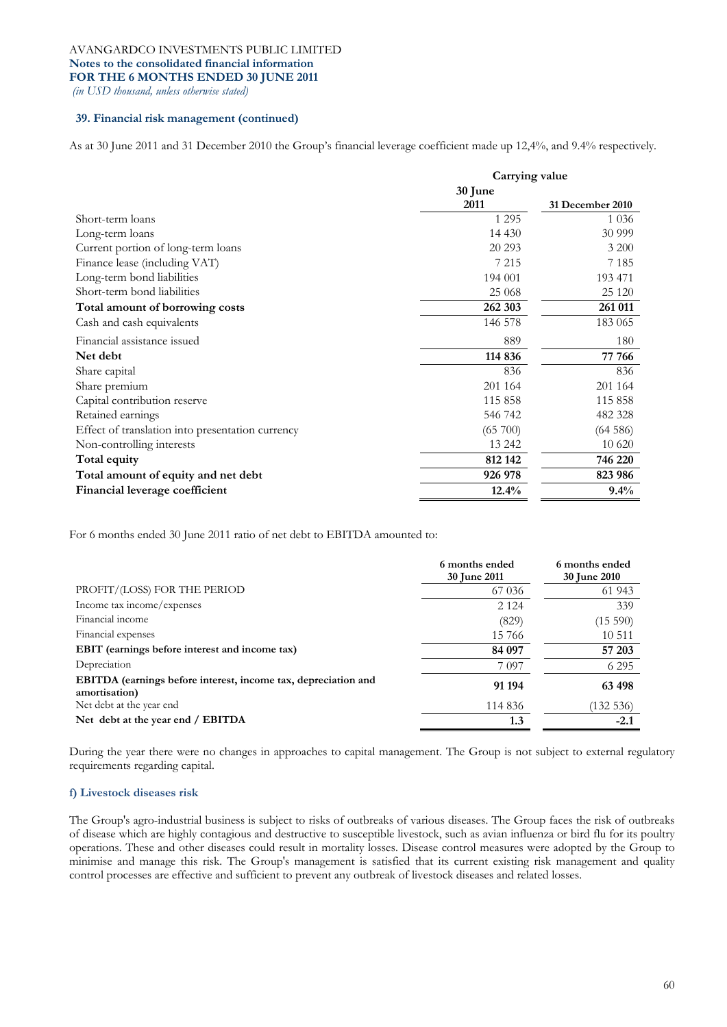#### **39. Financial risk management (continued)**

As at 30 June 2011 and 31 December 2010 the Group's financial leverage coefficient made up 12,4%, and 9.4% respectively.

|                                                  | Carrying value  |                  |
|--------------------------------------------------|-----------------|------------------|
|                                                  | 30 June<br>2011 | 31 December 2010 |
| Short-term loans                                 | 1 2 9 5         | 1 0 3 6          |
| Long-term loans                                  | 14 4 3 0        | 30 999           |
| Current portion of long-term loans               | 20 29 3         | 3 200            |
| Finance lease (including VAT)                    | 7 2 1 5         | 7 1 8 5          |
| Long-term bond liabilities                       | 194 001         | 193 471          |
| Short-term bond liabilities                      | 25 068          | 25 1 20          |
| Total amount of borrowing costs                  | 262 303         | 261 011          |
| Cash and cash equivalents                        | 146 578         | 183 065          |
| Financial assistance issued                      | 889             | 180              |
| Net debt                                         | 114 836         | 77 766           |
| Share capital                                    | 836             | 836              |
| Share premium                                    | 201 164         | 201 164          |
| Capital contribution reserve                     | 115 858         | 115 858          |
| Retained earnings                                | 546 742         | 482 328          |
| Effect of translation into presentation currency | (65700)         | (64586)          |
| Non-controlling interests                        | 13 24 2         | 10 620           |
| Total equity                                     | 812 142         | 746 220          |
| Total amount of equity and net debt              | 926 978         | 823 986          |
| Financial leverage coefficient                   | 12.4%           | $9.4\%$          |

For 6 months ended 30 June 2011 ratio of net debt to EBITDA amounted to:

|                                                                                 | 6 months ended<br>30 June 2011 | 6 months ended<br><b>30 June 2010</b> |
|---------------------------------------------------------------------------------|--------------------------------|---------------------------------------|
| PROFIT/(LOSS) FOR THE PERIOD                                                    | 67 036                         | 61 943                                |
| Income tax income/expenses                                                      | 2 1 2 4                        | 339                                   |
| Financial income                                                                | (829)                          | (15 590)                              |
| Financial expenses                                                              | 15 766                         | 10 511                                |
| EBIT (earnings before interest and income tax)                                  | 84 097                         | 57 203                                |
| Depreciation                                                                    | 7097                           | 6 2 9 5                               |
| EBITDA (earnings before interest, income tax, depreciation and<br>amortisation) | 91 194                         | 63 498                                |
| Net debt at the year end                                                        | 114 836                        | (132 536)                             |
| Net debt at the year end / EBITDA                                               | $1.3\phantom{0}$               | $-2.1$                                |

During the year there were no changes in approaches to capital management. The Group is not subject to external regulatory requirements regarding capital.

#### **f) Livestock diseases risk**

The Group's agro-industrial business is subject to risks of outbreaks of various diseases. The Group faces the risk of outbreaks of disease which are highly contagious and destructive to susceptible livestock, such as avian influenza or bird flu for its poultry operations. These and other diseases could result in mortality losses. Disease control measures were adopted by the Group to minimise and manage this risk. The Group's management is satisfied that its current existing risk management and quality control processes are effective and sufficient to prevent any outbreak of livestock diseases and related losses.